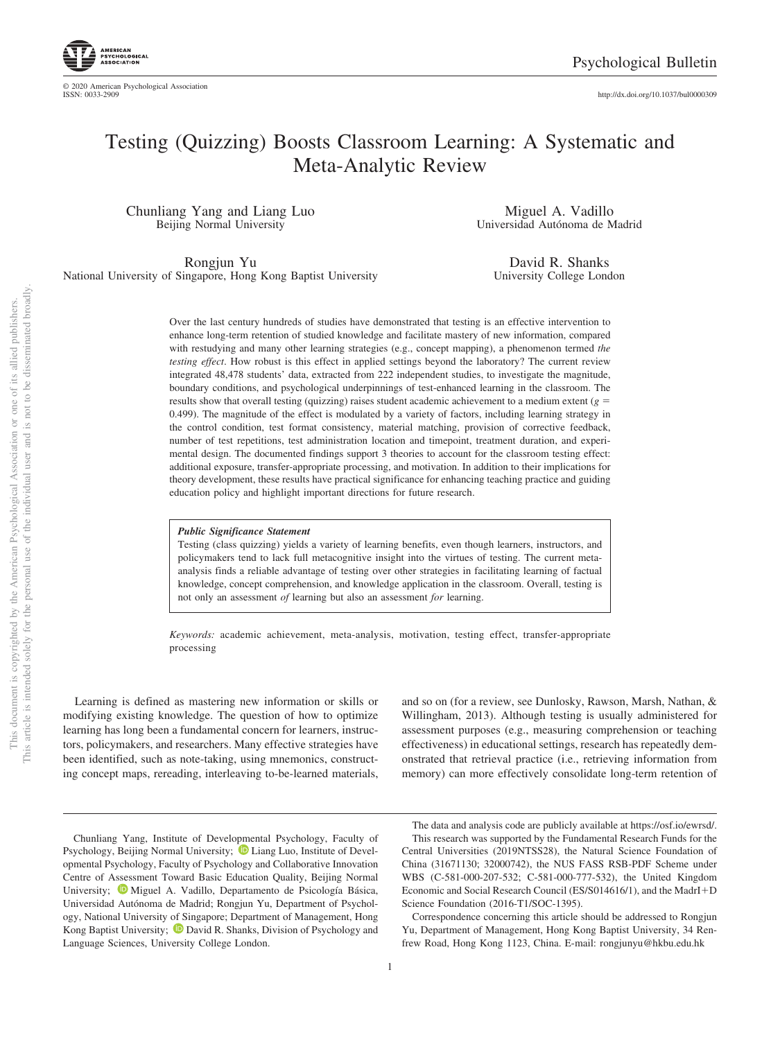http://dx.doi.org/10.1037/bul0000309

# Testing (Quizzing) Boosts Classroom Learning: A Systematic and Meta-Analytic Review

Chunliang Yang and Liang Luo Beijing Normal University

Miguel A. Vadillo Universidad Autónoma de Madrid

Rongjun Yu National University of Singapore, Hong Kong Baptist University

David R. Shanks University College London

Over the last century hundreds of studies have demonstrated that testing is an effective intervention to enhance long-term retention of studied knowledge and facilitate mastery of new information, compared with restudying and many other learning strategies (e.g., concept mapping), a phenomenon termed *the testing effect*. How robust is this effect in applied settings beyond the laboratory? The current review integrated 48,478 students' data, extracted from 222 independent studies, to investigate the magnitude, boundary conditions, and psychological underpinnings of test-enhanced learning in the classroom. The results show that overall testing (quizzing) raises student academic achievement to a medium extent (*g* = 0.499). The magnitude of the effect is modulated by a variety of factors, including learning strategy in the control condition, test format consistency, material matching, provision of corrective feedback, number of test repetitions, test administration location and timepoint, treatment duration, and experimental design. The documented findings support 3 theories to account for the classroom testing effect: additional exposure, transfer-appropriate processing, and motivation. In addition to their implications for theory development, these results have practical significance for enhancing teaching practice and guiding education policy and highlight important directions for future research.

#### *Public Significance Statement*

Testing (class quizzing) yields a variety of learning benefits, even though learners, instructors, and policymakers tend to lack full metacognitive insight into the virtues of testing. The current metaanalysis finds a reliable advantage of testing over other strategies in facilitating learning of factual knowledge, concept comprehension, and knowledge application in the classroom. Overall, testing is not only an assessment *of* learning but also an assessment *for* learning.

*Keywords:* academic achievement, meta-analysis, motivation, testing effect, transfer-appropriate processing

Learning is defined as mastering new information or skills or modifying existing knowledge. The question of how to optimize learning has long been a fundamental concern for learners, instructors, policymakers, and researchers. Many effective strategies have been identified, such as note-taking, using mnemonics, constructing concept maps, rereading, interleaving to-be-learned materials, and so on (for a review, see Dunlosky, Rawson, Marsh, Nathan, & Willingham, 2013). Although testing is usually administered for assessment purposes (e.g., measuring comprehension or teaching effectiveness) in educational settings, research has repeatedly demonstrated that retrieval practice (i.e., retrieving information from memory) can more effectively consolidate long-term retention of

The data and analysis code are publicly available at https://osf.io/ewrsd/. This research was supported by the Fundamental Research Funds for the Central Universities (2019NTSS28), the Natural Science Foundation of China (31671130; 32000742), the NUS FASS RSB-PDF Scheme under WBS (C-581-000-207-532; C-581-000-777-532), the United Kingdom Economic and Social Research Council (ES/S014616/1), and the MadrI+D Science Foundation (2016-T1/SOC-1395).

Correspondence concerning this article should be addressed to Rongjun Yu, Department of Management, Hong Kong Baptist University, 34 Renfrew Road, Hong Kong 1123, China. E-mail: rongjunyu@hkbu.edu.hk

Chunliang Yang, Institute of Developmental Psychology, Faculty of Psychology, Beijing Normal University;  $\bullet$  Liang Luo, Institute of Developmental Psychology, Faculty of Psychology and Collaborative Innovation Centre of Assessment Toward Basic Education Quality, Beijing Normal University; Miguel A. Vadillo, Departamento de Psicología Básica, Universidad Autónoma de Madrid; Rongjun Yu, Department of Psychology, National University of Singapore; Department of Management, Hong Kong Baptist University;  $\bullet$  David R. Shanks, Division of Psychology and Language Sciences, University College London.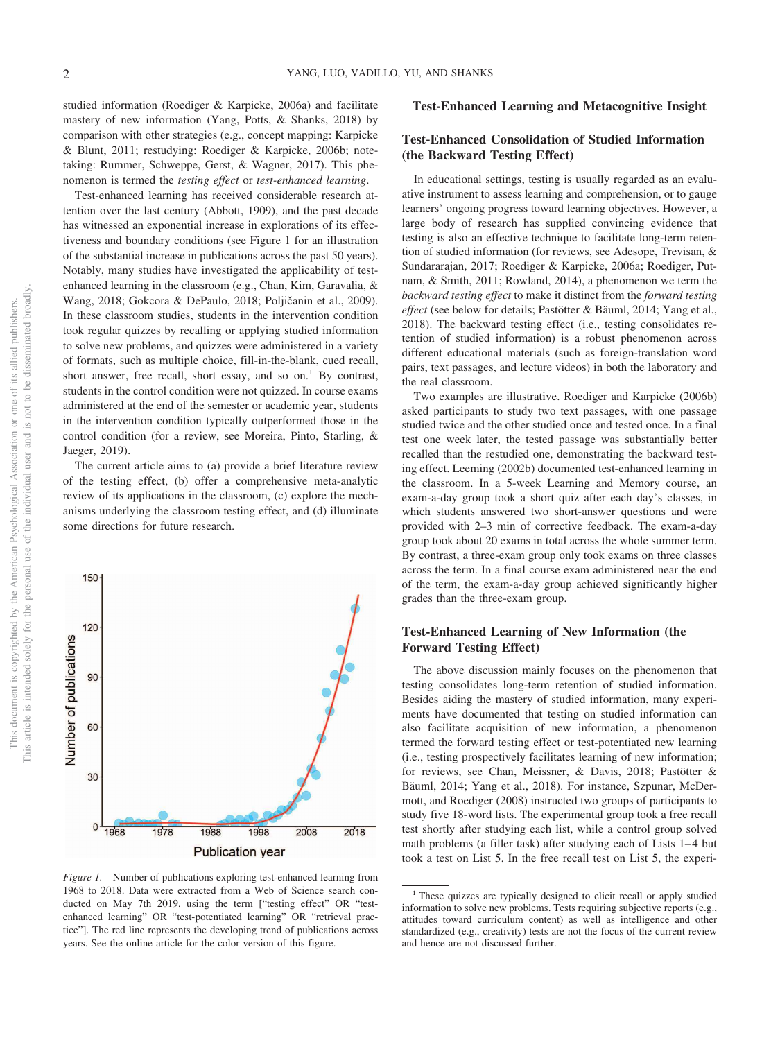studied information (Roediger & Karpicke, 2006a) and facilitate mastery of new information (Yang, Potts, & Shanks, 2018) by comparison with other strategies (e.g., concept mapping: Karpicke & Blunt, 2011; restudying: Roediger & Karpicke, 2006b; notetaking: Rummer, Schweppe, Gerst, & Wagner, 2017). This phenomenon is termed the *testing effect* or *test-enhanced learning*.

Test-enhanced learning has received considerable research attention over the last century (Abbott, 1909), and the past decade has witnessed an exponential increase in explorations of its effectiveness and boundary conditions (see Figure 1 for an illustration of the substantial increase in publications across the past 50 years). Notably, many studies have investigated the applicability of testenhanced learning in the classroom (e.g., Chan, Kim, Garavalia, & Wang, 2018; Gokcora & DePaulo, 2018; Poljičanin et al., 2009). In these classroom studies, students in the intervention condition took regular quizzes by recalling or applying studied information to solve new problems, and quizzes were administered in a variety of formats, such as multiple choice, fill-in-the-blank, cued recall, short answer, free recall, short essay, and so on.<sup>1</sup> By contrast, students in the control condition were not quizzed. In course exams administered at the end of the semester or academic year, students in the intervention condition typically outperformed those in the control condition (for a review, see Moreira, Pinto, Starling, & Jaeger, 2019).

The current article aims to (a) provide a brief literature review of the testing effect, (b) offer a comprehensive meta-analytic review of its applications in the classroom, (c) explore the mechanisms underlying the classroom testing effect, and (d) illuminate some directions for future research.



*Figure 1.* Number of publications exploring test-enhanced learning from 1968 to 2018. Data were extracted from a Web of Science search conducted on May 7th 2019, using the term ["testing effect" OR "testenhanced learning" OR "test-potentiated learning" OR "retrieval practice"]. The red line represents the developing trend of publications across years. See the online article for the color version of this figure.

### **Test-Enhanced Learning and Metacognitive Insight**

# **Test-Enhanced Consolidation of Studied Information (the Backward Testing Effect)**

In educational settings, testing is usually regarded as an evaluative instrument to assess learning and comprehension, or to gauge learners' ongoing progress toward learning objectives. However, a large body of research has supplied convincing evidence that testing is also an effective technique to facilitate long-term retention of studied information (for reviews, see Adesope, Trevisan, & Sundararajan, 2017; Roediger & Karpicke, 2006a; Roediger, Putnam, & Smith, 2011; Rowland, 2014), a phenomenon we term the *backward testing effect* to make it distinct from the *forward testing effect* (see below for details; Pastötter & Bäuml, 2014; Yang et al., 2018). The backward testing effect (i.e., testing consolidates retention of studied information) is a robust phenomenon across different educational materials (such as foreign-translation word pairs, text passages, and lecture videos) in both the laboratory and the real classroom.

Two examples are illustrative. Roediger and Karpicke (2006b) asked participants to study two text passages, with one passage studied twice and the other studied once and tested once. In a final test one week later, the tested passage was substantially better recalled than the restudied one, demonstrating the backward testing effect. Leeming (2002b) documented test-enhanced learning in the classroom. In a 5-week Learning and Memory course, an exam-a-day group took a short quiz after each day's classes, in which students answered two short-answer questions and were provided with 2–3 min of corrective feedback. The exam-a-day group took about 20 exams in total across the whole summer term. By contrast, a three-exam group only took exams on three classes across the term. In a final course exam administered near the end of the term, the exam-a-day group achieved significantly higher grades than the three-exam group.

# **Test-Enhanced Learning of New Information (the Forward Testing Effect)**

The above discussion mainly focuses on the phenomenon that testing consolidates long-term retention of studied information. Besides aiding the mastery of studied information, many experiments have documented that testing on studied information can also facilitate acquisition of new information, a phenomenon termed the forward testing effect or test-potentiated new learning (i.e., testing prospectively facilitates learning of new information; for reviews, see Chan, Meissner, & Davis, 2018; Pastötter & Bäuml, 2014; Yang et al., 2018). For instance, Szpunar, McDermott, and Roediger (2008) instructed two groups of participants to study five 18-word lists. The experimental group took a free recall test shortly after studying each list, while a control group solved math problems (a filler task) after studying each of Lists 1-4 but took a test on List 5. In the free recall test on List 5, the experi-

<sup>&</sup>lt;sup>1</sup> These quizzes are typically designed to elicit recall or apply studied information to solve new problems. Tests requiring subjective reports (e.g., attitudes toward curriculum content) as well as intelligence and other standardized (e.g., creativity) tests are not the focus of the current review and hence are not discussed further.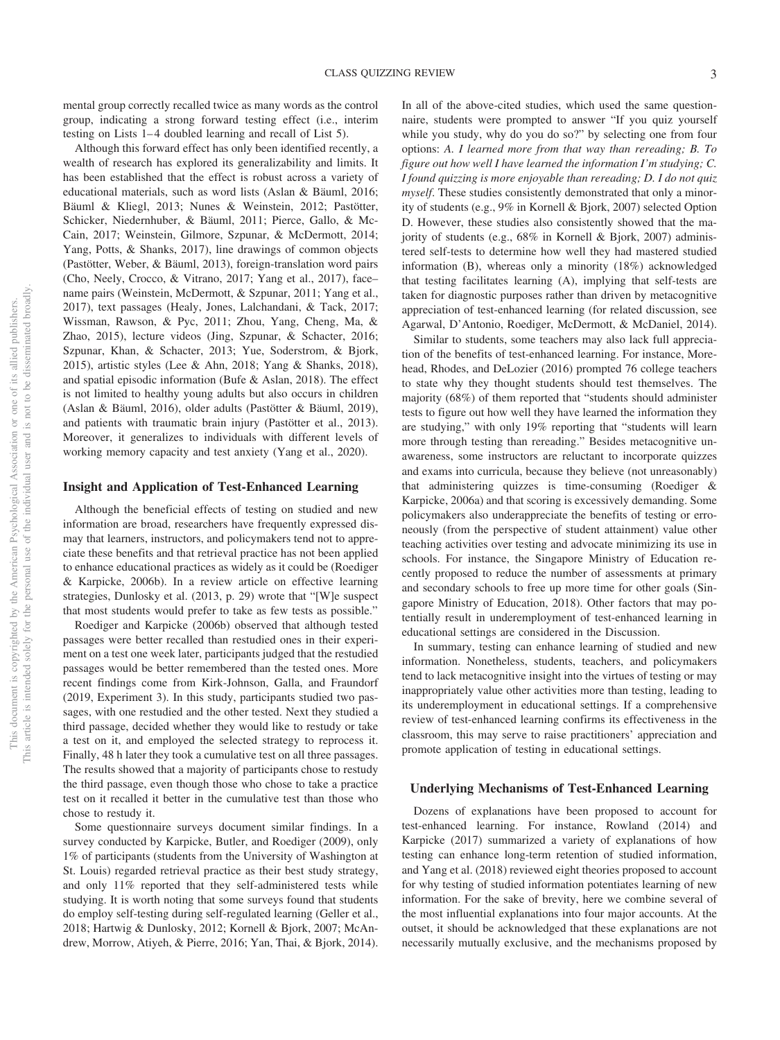mental group correctly recalled twice as many words as the control group, indicating a strong forward testing effect (i.e., interim testing on Lists 1– 4 doubled learning and recall of List 5).

Although this forward effect has only been identified recently, a wealth of research has explored its generalizability and limits. It has been established that the effect is robust across a variety of educational materials, such as word lists (Aslan & Bäuml, 2016; Bäuml & Kliegl, 2013; Nunes & Weinstein, 2012; Pastötter, Schicker, Niedernhuber, & Bäuml, 2011; Pierce, Gallo, & Mc-Cain, 2017; Weinstein, Gilmore, Szpunar, & McDermott, 2014; Yang, Potts, & Shanks, 2017), line drawings of common objects (Pastötter, Weber, & Bäuml, 2013), foreign-translation word pairs (Cho, Neely, Crocco, & Vitrano, 2017; Yang et al., 2017), face– name pairs (Weinstein, McDermott, & Szpunar, 2011; Yang et al., 2017), text passages (Healy, Jones, Lalchandani, & Tack, 2017; Wissman, Rawson, & Pyc, 2011; Zhou, Yang, Cheng, Ma, & Zhao, 2015), lecture videos (Jing, Szpunar, & Schacter, 2016; Szpunar, Khan, & Schacter, 2013; Yue, Soderstrom, & Bjork, 2015), artistic styles (Lee & Ahn, 2018; Yang & Shanks, 2018), and spatial episodic information (Bufe & Aslan, 2018). The effect is not limited to healthy young adults but also occurs in children (Aslan & Bäuml, 2016), older adults (Pastötter & Bäuml, 2019), and patients with traumatic brain injury (Pastötter et al., 2013). Moreover, it generalizes to individuals with different levels of working memory capacity and test anxiety (Yang et al., 2020).

### **Insight and Application of Test-Enhanced Learning**

Although the beneficial effects of testing on studied and new information are broad, researchers have frequently expressed dismay that learners, instructors, and policymakers tend not to appreciate these benefits and that retrieval practice has not been applied to enhance educational practices as widely as it could be (Roediger & Karpicke, 2006b). In a review article on effective learning strategies, Dunlosky et al. (2013, p. 29) wrote that "[W]e suspect that most students would prefer to take as few tests as possible."

Roediger and Karpicke (2006b) observed that although tested passages were better recalled than restudied ones in their experiment on a test one week later, participants judged that the restudied passages would be better remembered than the tested ones. More recent findings come from Kirk-Johnson, Galla, and Fraundorf (2019, Experiment 3). In this study, participants studied two passages, with one restudied and the other tested. Next they studied a third passage, decided whether they would like to restudy or take a test on it, and employed the selected strategy to reprocess it. Finally, 48 h later they took a cumulative test on all three passages. The results showed that a majority of participants chose to restudy the third passage, even though those who chose to take a practice test on it recalled it better in the cumulative test than those who chose to restudy it.

Some questionnaire surveys document similar findings. In a survey conducted by Karpicke, Butler, and Roediger (2009), only 1% of participants (students from the University of Washington at St. Louis) regarded retrieval practice as their best study strategy, and only 11% reported that they self-administered tests while studying. It is worth noting that some surveys found that students do employ self-testing during self-regulated learning (Geller et al., 2018; Hartwig & Dunlosky, 2012; Kornell & Bjork, 2007; McAndrew, Morrow, Atiyeh, & Pierre, 2016; Yan, Thai, & Bjork, 2014).

In all of the above-cited studies, which used the same questionnaire, students were prompted to answer "If you quiz yourself while you study, why do you do so?" by selecting one from four options: *A. I learned more from that way than rereading; B. To figure out how well I have learned the information I'm studying; C. I found quizzing is more enjoyable than rereading; D. I do not quiz myself*. These studies consistently demonstrated that only a minority of students (e.g., 9% in Kornell & Bjork, 2007) selected Option D. However, these studies also consistently showed that the majority of students (e.g., 68% in Kornell & Bjork, 2007) administered self-tests to determine how well they had mastered studied information (B), whereas only a minority (18%) acknowledged that testing facilitates learning (A), implying that self-tests are taken for diagnostic purposes rather than driven by metacognitive appreciation of test-enhanced learning (for related discussion, see Agarwal, D'Antonio, Roediger, McDermott, & McDaniel, 2014).

Similar to students, some teachers may also lack full appreciation of the benefits of test-enhanced learning. For instance, Morehead, Rhodes, and DeLozier (2016) prompted 76 college teachers to state why they thought students should test themselves. The majority (68%) of them reported that "students should administer tests to figure out how well they have learned the information they are studying," with only 19% reporting that "students will learn more through testing than rereading." Besides metacognitive unawareness, some instructors are reluctant to incorporate quizzes and exams into curricula, because they believe (not unreasonably) that administering quizzes is time-consuming (Roediger & Karpicke, 2006a) and that scoring is excessively demanding. Some policymakers also underappreciate the benefits of testing or erroneously (from the perspective of student attainment) value other teaching activities over testing and advocate minimizing its use in schools. For instance, the Singapore Ministry of Education recently proposed to reduce the number of assessments at primary and secondary schools to free up more time for other goals (Singapore Ministry of Education, 2018). Other factors that may potentially result in underemployment of test-enhanced learning in educational settings are considered in the Discussion.

In summary, testing can enhance learning of studied and new information. Nonetheless, students, teachers, and policymakers tend to lack metacognitive insight into the virtues of testing or may inappropriately value other activities more than testing, leading to its underemployment in educational settings. If a comprehensive review of test-enhanced learning confirms its effectiveness in the classroom, this may serve to raise practitioners' appreciation and promote application of testing in educational settings.

#### **Underlying Mechanisms of Test-Enhanced Learning**

Dozens of explanations have been proposed to account for test-enhanced learning. For instance, Rowland (2014) and Karpicke (2017) summarized a variety of explanations of how testing can enhance long-term retention of studied information, and Yang et al. (2018) reviewed eight theories proposed to account for why testing of studied information potentiates learning of new information. For the sake of brevity, here we combine several of the most influential explanations into four major accounts. At the outset, it should be acknowledged that these explanations are not necessarily mutually exclusive, and the mechanisms proposed by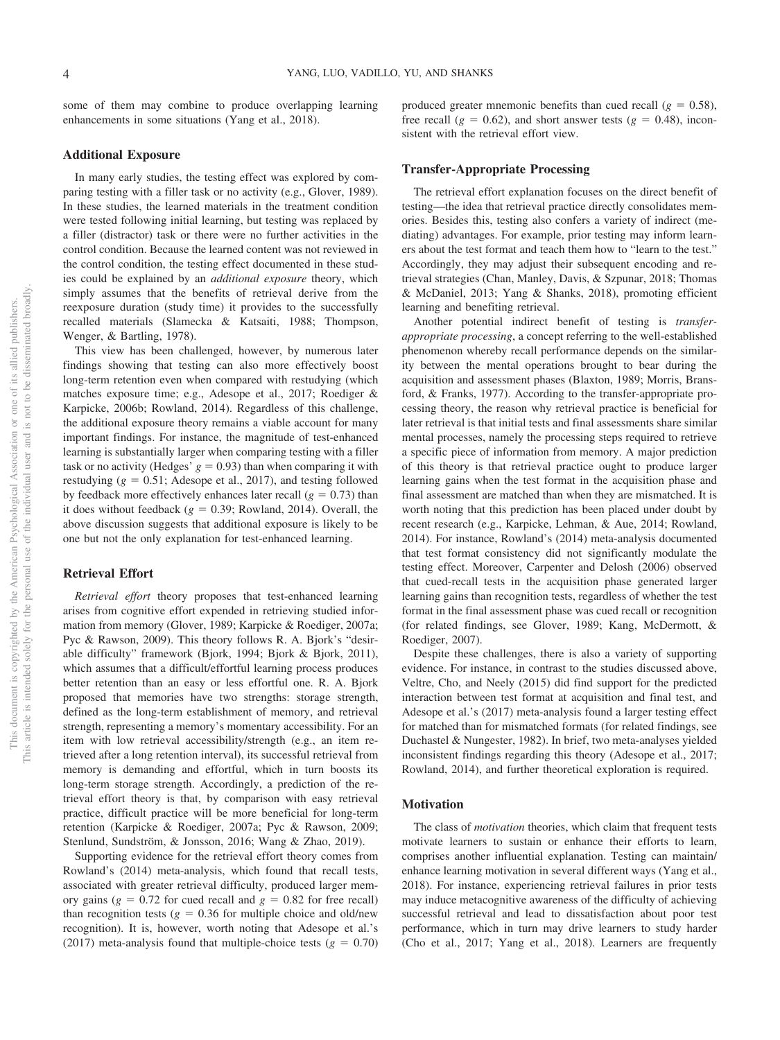some of them may combine to produce overlapping learning enhancements in some situations (Yang et al., 2018).

#### **Additional Exposure**

In many early studies, the testing effect was explored by comparing testing with a filler task or no activity (e.g., Glover, 1989). In these studies, the learned materials in the treatment condition were tested following initial learning, but testing was replaced by a filler (distractor) task or there were no further activities in the control condition. Because the learned content was not reviewed in the control condition, the testing effect documented in these studies could be explained by an *additional exposure* theory, which simply assumes that the benefits of retrieval derive from the reexposure duration (study time) it provides to the successfully recalled materials (Slamecka & Katsaiti, 1988; Thompson, Wenger, & Bartling, 1978).

This view has been challenged, however, by numerous later findings showing that testing can also more effectively boost long-term retention even when compared with restudying (which matches exposure time; e.g., Adesope et al., 2017; Roediger & Karpicke, 2006b; Rowland, 2014). Regardless of this challenge, the additional exposure theory remains a viable account for many important findings. For instance, the magnitude of test-enhanced learning is substantially larger when comparing testing with a filler task or no activity (Hedges'  $g = 0.93$ ) than when comparing it with restudying  $(g = 0.51;$  Adesope et al., 2017), and testing followed by feedback more effectively enhances later recall  $(g = 0.73)$  than it does without feedback  $(g = 0.39;$  Rowland, 2014). Overall, the above discussion suggests that additional exposure is likely to be one but not the only explanation for test-enhanced learning.

### **Retrieval Effort**

*Retrieval effort* theory proposes that test-enhanced learning arises from cognitive effort expended in retrieving studied information from memory (Glover, 1989; Karpicke & Roediger, 2007a; Pyc & Rawson, 2009). This theory follows R. A. Bjork's "desirable difficulty" framework (Bjork, 1994; Bjork & Bjork, 2011), which assumes that a difficult/effortful learning process produces better retention than an easy or less effortful one. R. A. Bjork proposed that memories have two strengths: storage strength, defined as the long-term establishment of memory, and retrieval strength, representing a memory's momentary accessibility. For an item with low retrieval accessibility/strength (e.g., an item retrieved after a long retention interval), its successful retrieval from memory is demanding and effortful, which in turn boosts its long-term storage strength. Accordingly, a prediction of the retrieval effort theory is that, by comparison with easy retrieval practice, difficult practice will be more beneficial for long-term retention (Karpicke & Roediger, 2007a; Pyc & Rawson, 2009; Stenlund, Sundström, & Jonsson, 2016; Wang & Zhao, 2019).

Supporting evidence for the retrieval effort theory comes from Rowland's (2014) meta-analysis, which found that recall tests, associated with greater retrieval difficulty, produced larger memory gains ( $g = 0.72$  for cued recall and  $g = 0.82$  for free recall) than recognition tests ( $g = 0.36$  for multiple choice and old/new recognition). It is, however, worth noting that Adesope et al.'s (2017) meta-analysis found that multiple-choice tests  $(g = 0.70)$ 

produced greater mnemonic benefits than cued recall  $(g = 0.58)$ , free recall ( $g = 0.62$ ), and short answer tests ( $g = 0.48$ ), inconsistent with the retrieval effort view.

#### **Transfer-Appropriate Processing**

The retrieval effort explanation focuses on the direct benefit of testing—the idea that retrieval practice directly consolidates memories. Besides this, testing also confers a variety of indirect (mediating) advantages. For example, prior testing may inform learners about the test format and teach them how to "learn to the test." Accordingly, they may adjust their subsequent encoding and retrieval strategies (Chan, Manley, Davis, & Szpunar, 2018; Thomas & McDaniel, 2013; Yang & Shanks, 2018), promoting efficient learning and benefiting retrieval.

Another potential indirect benefit of testing is *transferappropriate processing*, a concept referring to the well-established phenomenon whereby recall performance depends on the similarity between the mental operations brought to bear during the acquisition and assessment phases (Blaxton, 1989; Morris, Bransford, & Franks, 1977). According to the transfer-appropriate processing theory, the reason why retrieval practice is beneficial for later retrieval is that initial tests and final assessments share similar mental processes, namely the processing steps required to retrieve a specific piece of information from memory. A major prediction of this theory is that retrieval practice ought to produce larger learning gains when the test format in the acquisition phase and final assessment are matched than when they are mismatched. It is worth noting that this prediction has been placed under doubt by recent research (e.g., Karpicke, Lehman, & Aue, 2014; Rowland, 2014). For instance, Rowland's (2014) meta-analysis documented that test format consistency did not significantly modulate the testing effect. Moreover, Carpenter and Delosh (2006) observed that cued-recall tests in the acquisition phase generated larger learning gains than recognition tests, regardless of whether the test format in the final assessment phase was cued recall or recognition (for related findings, see Glover, 1989; Kang, McDermott, & Roediger, 2007).

Despite these challenges, there is also a variety of supporting evidence. For instance, in contrast to the studies discussed above, Veltre, Cho, and Neely (2015) did find support for the predicted interaction between test format at acquisition and final test, and Adesope et al.'s (2017) meta-analysis found a larger testing effect for matched than for mismatched formats (for related findings, see Duchastel & Nungester, 1982). In brief, two meta-analyses yielded inconsistent findings regarding this theory (Adesope et al., 2017; Rowland, 2014), and further theoretical exploration is required.

### **Motivation**

The class of *motivation* theories, which claim that frequent tests motivate learners to sustain or enhance their efforts to learn, comprises another influential explanation. Testing can maintain/ enhance learning motivation in several different ways (Yang et al., 2018). For instance, experiencing retrieval failures in prior tests may induce metacognitive awareness of the difficulty of achieving successful retrieval and lead to dissatisfaction about poor test performance, which in turn may drive learners to study harder (Cho et al., 2017; Yang et al., 2018). Learners are frequently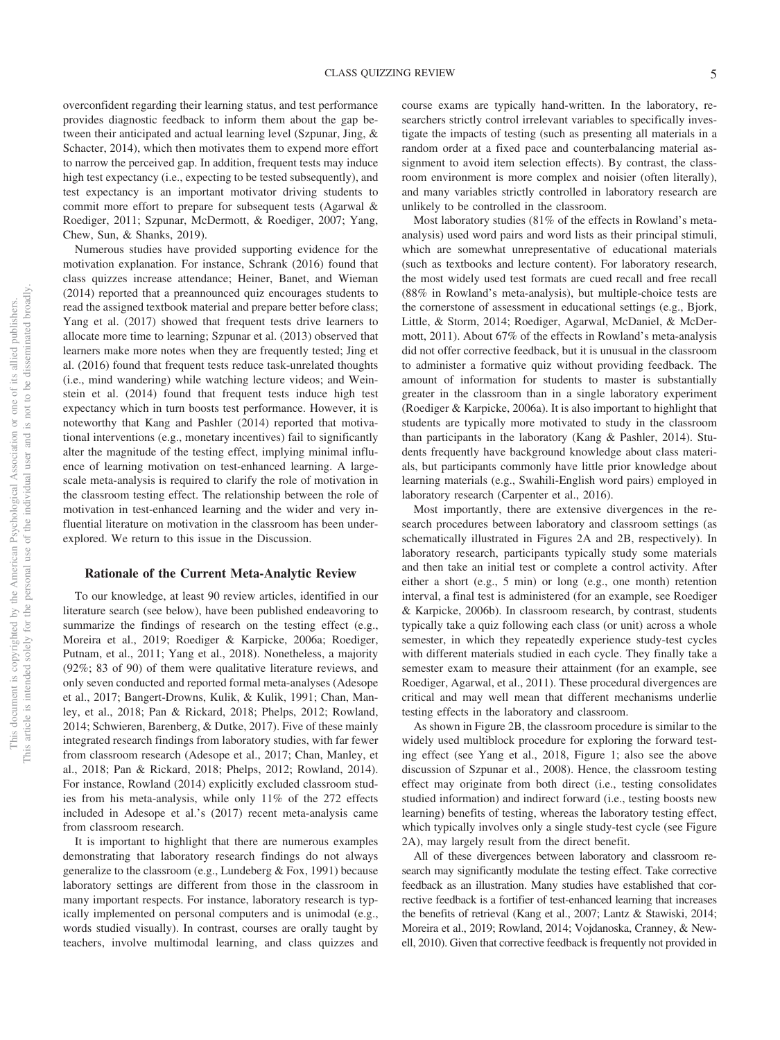overconfident regarding their learning status, and test performance provides diagnostic feedback to inform them about the gap between their anticipated and actual learning level (Szpunar, Jing, & Schacter, 2014), which then motivates them to expend more effort to narrow the perceived gap. In addition, frequent tests may induce high test expectancy (i.e., expecting to be tested subsequently), and test expectancy is an important motivator driving students to commit more effort to prepare for subsequent tests (Agarwal & Roediger, 2011; Szpunar, McDermott, & Roediger, 2007; Yang, Chew, Sun, & Shanks, 2019).

Numerous studies have provided supporting evidence for the motivation explanation. For instance, Schrank (2016) found that class quizzes increase attendance; Heiner, Banet, and Wieman (2014) reported that a preannounced quiz encourages students to read the assigned textbook material and prepare better before class; Yang et al. (2017) showed that frequent tests drive learners to allocate more time to learning; Szpunar et al. (2013) observed that learners make more notes when they are frequently tested; Jing et al. (2016) found that frequent tests reduce task-unrelated thoughts (i.e., mind wandering) while watching lecture videos; and Weinstein et al. (2014) found that frequent tests induce high test expectancy which in turn boosts test performance. However, it is noteworthy that Kang and Pashler (2014) reported that motivational interventions (e.g., monetary incentives) fail to significantly alter the magnitude of the testing effect, implying minimal influence of learning motivation on test-enhanced learning. A largescale meta-analysis is required to clarify the role of motivation in the classroom testing effect. The relationship between the role of motivation in test-enhanced learning and the wider and very influential literature on motivation in the classroom has been underexplored. We return to this issue in the Discussion.

#### **Rationale of the Current Meta-Analytic Review**

To our knowledge, at least 90 review articles, identified in our literature search (see below), have been published endeavoring to summarize the findings of research on the testing effect (e.g., Moreira et al., 2019; Roediger & Karpicke, 2006a; Roediger, Putnam, et al., 2011; Yang et al., 2018). Nonetheless, a majority (92%; 83 of 90) of them were qualitative literature reviews, and only seven conducted and reported formal meta-analyses (Adesope et al., 2017; Bangert-Drowns, Kulik, & Kulik, 1991; Chan, Manley, et al., 2018; Pan & Rickard, 2018; Phelps, 2012; Rowland, 2014; Schwieren, Barenberg, & Dutke, 2017). Five of these mainly integrated research findings from laboratory studies, with far fewer from classroom research (Adesope et al., 2017; Chan, Manley, et al., 2018; Pan & Rickard, 2018; Phelps, 2012; Rowland, 2014). For instance, Rowland (2014) explicitly excluded classroom studies from his meta-analysis, while only 11% of the 272 effects included in Adesope et al.'s (2017) recent meta-analysis came from classroom research.

It is important to highlight that there are numerous examples demonstrating that laboratory research findings do not always generalize to the classroom (e.g., Lundeberg & Fox, 1991) because laboratory settings are different from those in the classroom in many important respects. For instance, laboratory research is typically implemented on personal computers and is unimodal (e.g., words studied visually). In contrast, courses are orally taught by teachers, involve multimodal learning, and class quizzes and course exams are typically hand-written. In the laboratory, researchers strictly control irrelevant variables to specifically investigate the impacts of testing (such as presenting all materials in a random order at a fixed pace and counterbalancing material assignment to avoid item selection effects). By contrast, the classroom environment is more complex and noisier (often literally), and many variables strictly controlled in laboratory research are unlikely to be controlled in the classroom.

Most laboratory studies (81% of the effects in Rowland's metaanalysis) used word pairs and word lists as their principal stimuli, which are somewhat unrepresentative of educational materials (such as textbooks and lecture content). For laboratory research, the most widely used test formats are cued recall and free recall (88% in Rowland's meta-analysis), but multiple-choice tests are the cornerstone of assessment in educational settings (e.g., Bjork, Little, & Storm, 2014; Roediger, Agarwal, McDaniel, & McDermott, 2011). About 67% of the effects in Rowland's meta-analysis did not offer corrective feedback, but it is unusual in the classroom to administer a formative quiz without providing feedback. The amount of information for students to master is substantially greater in the classroom than in a single laboratory experiment (Roediger & Karpicke, 2006a). It is also important to highlight that students are typically more motivated to study in the classroom than participants in the laboratory (Kang & Pashler, 2014). Students frequently have background knowledge about class materials, but participants commonly have little prior knowledge about learning materials (e.g., Swahili-English word pairs) employed in laboratory research (Carpenter et al., 2016).

Most importantly, there are extensive divergences in the research procedures between laboratory and classroom settings (as schematically illustrated in Figures 2A and 2B, respectively). In laboratory research, participants typically study some materials and then take an initial test or complete a control activity. After either a short (e.g., 5 min) or long (e.g., one month) retention interval, a final test is administered (for an example, see Roediger & Karpicke, 2006b). In classroom research, by contrast, students typically take a quiz following each class (or unit) across a whole semester, in which they repeatedly experience study-test cycles with different materials studied in each cycle. They finally take a semester exam to measure their attainment (for an example, see Roediger, Agarwal, et al., 2011). These procedural divergences are critical and may well mean that different mechanisms underlie testing effects in the laboratory and classroom.

As shown in Figure 2B, the classroom procedure is similar to the widely used multiblock procedure for exploring the forward testing effect (see Yang et al., 2018, Figure 1; also see the above discussion of Szpunar et al., 2008). Hence, the classroom testing effect may originate from both direct (i.e., testing consolidates studied information) and indirect forward (i.e., testing boosts new learning) benefits of testing, whereas the laboratory testing effect, which typically involves only a single study-test cycle (see Figure 2A), may largely result from the direct benefit.

All of these divergences between laboratory and classroom research may significantly modulate the testing effect. Take corrective feedback as an illustration. Many studies have established that corrective feedback is a fortifier of test-enhanced learning that increases the benefits of retrieval (Kang et al., 2007; Lantz & Stawiski, 2014; Moreira et al., 2019; Rowland, 2014; Vojdanoska, Cranney, & Newell, 2010). Given that corrective feedback is frequently not provided in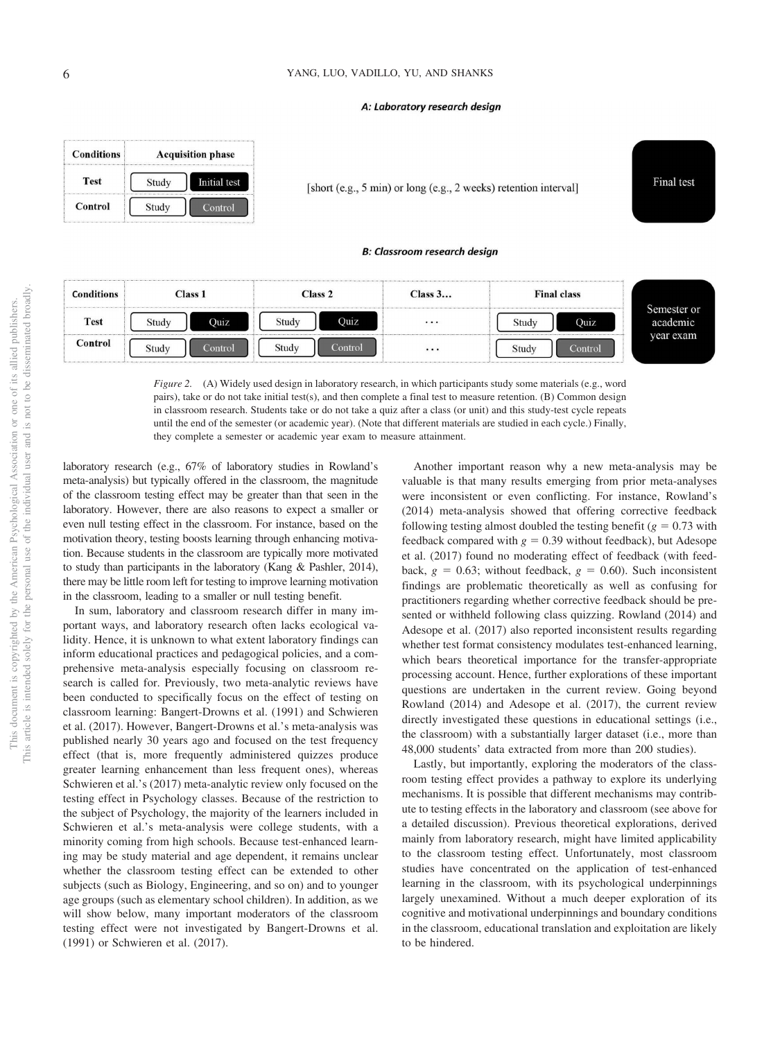#### A: Laboratory research design



[short (e.g., 5 min) or long (e.g., 2 weeks) retention interval]

#### **B: Classroom research design**

| <b>Conditions</b> | <b>Class 1</b> |         | Class 2 |         | Class 3   | <b>Final class</b> |         |                         |
|-------------------|----------------|---------|---------|---------|-----------|--------------------|---------|-------------------------|
| <b>Test</b>       | Study          | Ouiz    | Study   | Ouiz    | $\cdots$  | Study              | Ouiz    | Semester or<br>academic |
| Control           | Study          | Control | Study   | Control | $\ddotsc$ | Study              | Control | year exam               |

*Figure 2.* (A) Widely used design in laboratory research, in which participants study some materials (e.g., word pairs), take or do not take initial test(s), and then complete a final test to measure retention. (B) Common design in classroom research. Students take or do not take a quiz after a class (or unit) and this study-test cycle repeats until the end of the semester (or academic year). (Note that different materials are studied in each cycle.) Finally, they complete a semester or academic year exam to measure attainment.

laboratory research (e.g., 67% of laboratory studies in Rowland's meta-analysis) but typically offered in the classroom, the magnitude of the classroom testing effect may be greater than that seen in the laboratory. However, there are also reasons to expect a smaller or even null testing effect in the classroom. For instance, based on the motivation theory, testing boosts learning through enhancing motivation. Because students in the classroom are typically more motivated to study than participants in the laboratory (Kang & Pashler, 2014), there may be little room left for testing to improve learning motivation in the classroom, leading to a smaller or null testing benefit.

In sum, laboratory and classroom research differ in many important ways, and laboratory research often lacks ecological validity. Hence, it is unknown to what extent laboratory findings can inform educational practices and pedagogical policies, and a comprehensive meta-analysis especially focusing on classroom research is called for. Previously, two meta-analytic reviews have been conducted to specifically focus on the effect of testing on classroom learning: Bangert-Drowns et al. (1991) and Schwieren et al. (2017). However, Bangert-Drowns et al.'s meta-analysis was published nearly 30 years ago and focused on the test frequency effect (that is, more frequently administered quizzes produce greater learning enhancement than less frequent ones), whereas Schwieren et al.'s (2017) meta-analytic review only focused on the testing effect in Psychology classes. Because of the restriction to the subject of Psychology, the majority of the learners included in Schwieren et al.'s meta-analysis were college students, with a minority coming from high schools. Because test-enhanced learning may be study material and age dependent, it remains unclear whether the classroom testing effect can be extended to other subjects (such as Biology, Engineering, and so on) and to younger age groups (such as elementary school children). In addition, as we will show below, many important moderators of the classroom testing effect were not investigated by Bangert-Drowns et al. (1991) or Schwieren et al. (2017).

Another important reason why a new meta-analysis may be valuable is that many results emerging from prior meta-analyses were inconsistent or even conflicting. For instance, Rowland's (2014) meta-analysis showed that offering corrective feedback following testing almost doubled the testing benefit  $(g = 0.73 \text{ with}$ feedback compared with  $g = 0.39$  without feedback), but Adesope et al. (2017) found no moderating effect of feedback (with feedback,  $g = 0.63$ ; without feedback,  $g = 0.60$ ). Such inconsistent findings are problematic theoretically as well as confusing for practitioners regarding whether corrective feedback should be presented or withheld following class quizzing. Rowland (2014) and Adesope et al. (2017) also reported inconsistent results regarding whether test format consistency modulates test-enhanced learning, which bears theoretical importance for the transfer-appropriate processing account. Hence, further explorations of these important questions are undertaken in the current review. Going beyond Rowland (2014) and Adesope et al. (2017), the current review directly investigated these questions in educational settings (i.e., the classroom) with a substantially larger dataset (i.e., more than 48,000 students' data extracted from more than 200 studies).

Final test

Lastly, but importantly, exploring the moderators of the classroom testing effect provides a pathway to explore its underlying mechanisms. It is possible that different mechanisms may contribute to testing effects in the laboratory and classroom (see above for a detailed discussion). Previous theoretical explorations, derived mainly from laboratory research, might have limited applicability to the classroom testing effect. Unfortunately, most classroom studies have concentrated on the application of test-enhanced learning in the classroom, with its psychological underpinnings largely unexamined. Without a much deeper exploration of its cognitive and motivational underpinnings and boundary conditions in the classroom, educational translation and exploitation are likely to be hindered.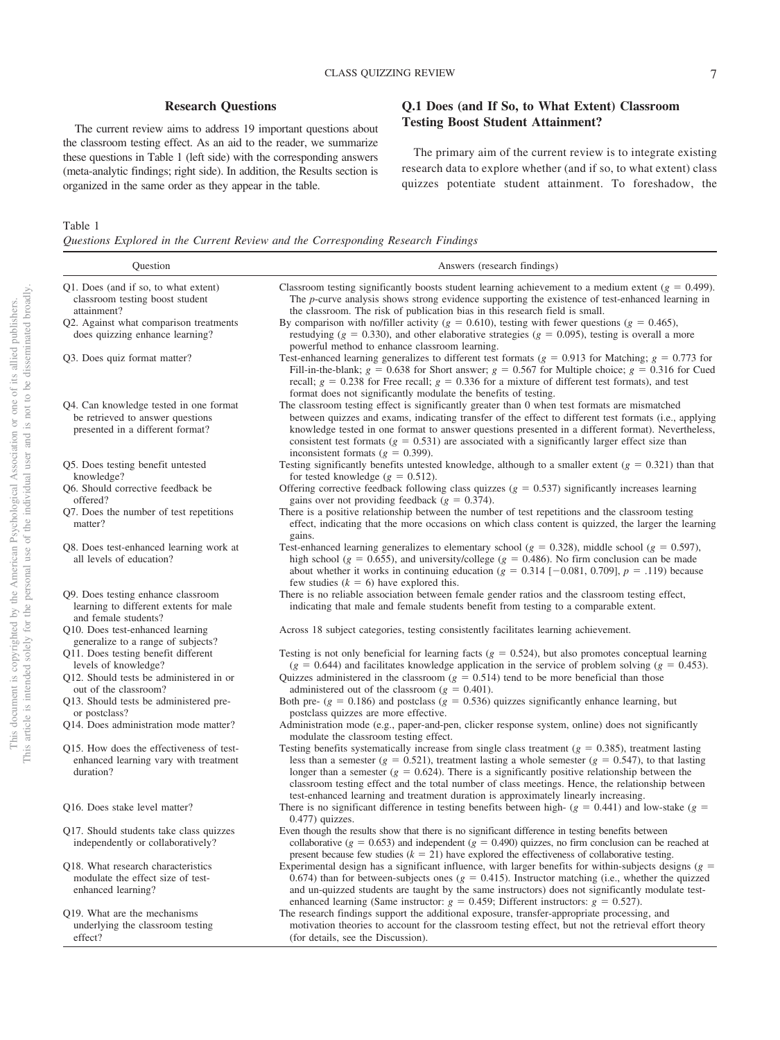# **Research Questions**

The current review aims to address 19 important questions about the classroom testing effect. As an aid to the reader, we summarize these questions in Table 1 (left side) with the corresponding answers (meta-analytic findings; right side). In addition, the Results section is organized in the same order as they appear in the table.

# **Q.1 Does (and If So, to What Extent) Classroom Testing Boost Student Attainment?**

The primary aim of the current review is to integrate existing research data to explore whether (and if so, to what extent) class quizzes potentiate student attainment. To foreshadow, the

#### Table 1

*Questions Explored in the Current Review and the Corresponding Research Findings*

| Question                                                                                                       | Answers (research findings)                                                                                                                                                                                                                                                                                                                                                                                                                                                                                                                                     |
|----------------------------------------------------------------------------------------------------------------|-----------------------------------------------------------------------------------------------------------------------------------------------------------------------------------------------------------------------------------------------------------------------------------------------------------------------------------------------------------------------------------------------------------------------------------------------------------------------------------------------------------------------------------------------------------------|
| Q1. Does (and if so, to what extent)<br>classroom testing boost student<br>attainment?                         | Classroom testing significantly boosts student learning achievement to a medium extent ( $g = 0.499$ ).<br>The <i>p</i> -curve analysis shows strong evidence supporting the existence of test-enhanced learning in<br>the classroom. The risk of publication bias in this research field is small.                                                                                                                                                                                                                                                             |
| Q2. Against what comparison treatments<br>does quizzing enhance learning?                                      | By comparison with no/filler activity ( $g = 0.610$ ), testing with fewer questions ( $g = 0.465$ ),<br>restudying ( $g = 0.330$ ), and other elaborative strategies ( $g = 0.095$ ), testing is overall a more<br>powerful method to enhance classroom learning.                                                                                                                                                                                                                                                                                               |
| Q3. Does quiz format matter?                                                                                   | Test-enhanced learning generalizes to different test formats ( $g = 0.913$ for Matching; $g = 0.773$ for<br>Fill-in-the-blank; $g = 0.638$ for Short answer; $g = 0.567$ for Multiple choice; $g = 0.316$ for Cued<br>recall; $g = 0.238$ for Free recall; $g = 0.336$ for a mixture of different test formats), and test<br>format does not significantly modulate the benefits of testing.                                                                                                                                                                    |
| Q4. Can knowledge tested in one format<br>be retrieved to answer questions<br>presented in a different format? | The classroom testing effect is significantly greater than 0 when test formats are mismatched<br>between quizzes and exams, indicating transfer of the effect to different test formats (i.e., applying<br>knowledge tested in one format to answer questions presented in a different format). Nevertheless,<br>consistent test formats ( $g = 0.531$ ) are associated with a significantly larger effect size than<br>inconsistent formats ( $g = 0.399$ ).                                                                                                   |
| Q5. Does testing benefit untested<br>knowledge?                                                                | Testing significantly benefits untested knowledge, although to a smaller extent ( $g = 0.321$ ) than that<br>for tested knowledge ( $g = 0.512$ ).                                                                                                                                                                                                                                                                                                                                                                                                              |
| Q6. Should corrective feedback be<br>offered?                                                                  | Offering corrective feedback following class quizzes ( $g = 0.537$ ) significantly increases learning<br>gains over not providing feedback ( $g = 0.374$ ).                                                                                                                                                                                                                                                                                                                                                                                                     |
| Q7. Does the number of test repetitions<br>matter?                                                             | There is a positive relationship between the number of test repetitions and the classroom testing<br>effect, indicating that the more occasions on which class content is quizzed, the larger the learning<br>gains.                                                                                                                                                                                                                                                                                                                                            |
| Q8. Does test-enhanced learning work at<br>all levels of education?                                            | Test-enhanced learning generalizes to elementary school ( $g = 0.328$ ), middle school ( $g = 0.597$ ),<br>high school ( $g = 0.655$ ), and university/college ( $g = 0.486$ ). No firm conclusion can be made<br>about whether it works in continuing education ( $g = 0.314$ [-0.081, 0.709], $p = .119$ ) because<br>few studies $(k = 6)$ have explored this.                                                                                                                                                                                               |
| Q9. Does testing enhance classroom<br>learning to different extents for male<br>and female students?           | There is no reliable association between female gender ratios and the classroom testing effect,<br>indicating that male and female students benefit from testing to a comparable extent.                                                                                                                                                                                                                                                                                                                                                                        |
| O10. Does test-enhanced learning<br>generalize to a range of subjects?                                         | Across 18 subject categories, testing consistently facilitates learning achievement.                                                                                                                                                                                                                                                                                                                                                                                                                                                                            |
| Q11. Does testing benefit different<br>levels of knowledge?<br>Q12. Should tests be administered in or         | Testing is not only beneficial for learning facts ( $g = 0.524$ ), but also promotes conceptual learning<br>$(g = 0.644)$ and facilitates knowledge application in the service of problem solving $(g = 0.453)$ .<br>Quizzes administered in the classroom ( $g = 0.514$ ) tend to be more beneficial than those                                                                                                                                                                                                                                                |
| out of the classroom?<br>Q13. Should tests be administered pre-                                                | administered out of the classroom ( $g = 0.401$ ).<br>Both pre- ( $g = 0.186$ ) and postclass ( $g = 0.536$ ) quizzes significantly enhance learning, but                                                                                                                                                                                                                                                                                                                                                                                                       |
| or postclass?<br>Q14. Does administration mode matter?                                                         | postclass quizzes are more effective.<br>Administration mode (e.g., paper-and-pen, clicker response system, online) does not significantly                                                                                                                                                                                                                                                                                                                                                                                                                      |
| Q15. How does the effectiveness of test-<br>enhanced learning vary with treatment<br>duration?                 | modulate the classroom testing effect.<br>Testing benefits systematically increase from single class treatment ( $g = 0.385$ ), treatment lasting<br>less than a semester ( $g = 0.521$ ), treatment lasting a whole semester ( $g = 0.547$ ), to that lasting<br>longer than a semester ( $g = 0.624$ ). There is a significantly positive relationship between the<br>classroom testing effect and the total number of class meetings. Hence, the relationship between<br>test-enhanced learning and treatment duration is approximately linearly increasing. |
| Q16. Does stake level matter?                                                                                  | There is no significant difference in testing benefits between high- ( $g = 0.441$ ) and low-stake ( $g =$<br>$0.477$ ) quizzes.                                                                                                                                                                                                                                                                                                                                                                                                                                |
| Q17. Should students take class quizzes<br>independently or collaboratively?                                   | Even though the results show that there is no significant difference in testing benefits between<br>collaborative ( $g = 0.653$ ) and independent ( $g = 0.490$ ) quizzes, no firm conclusion can be reached at<br>present because few studies $(k = 21)$ have explored the effectiveness of collaborative testing.                                                                                                                                                                                                                                             |
| Q18. What research characteristics<br>modulate the effect size of test-<br>enhanced learning?                  | Experimental design has a significant influence, with larger benefits for within-subjects designs ( $g =$<br>0.674) than for between-subjects ones ( $g = 0.415$ ). Instructor matching (i.e., whether the quizzed<br>and un-quizzed students are taught by the same instructors) does not significantly modulate test-<br>enhanced learning (Same instructor: $g = 0.459$ ; Different instructors: $g = 0.527$ ).                                                                                                                                              |
| Q19. What are the mechanisms<br>underlying the classroom testing<br>effect?                                    | The research findings support the additional exposure, transfer-appropriate processing, and<br>motivation theories to account for the classroom testing effect, but not the retrieval effort theory<br>(for details, see the Discussion).                                                                                                                                                                                                                                                                                                                       |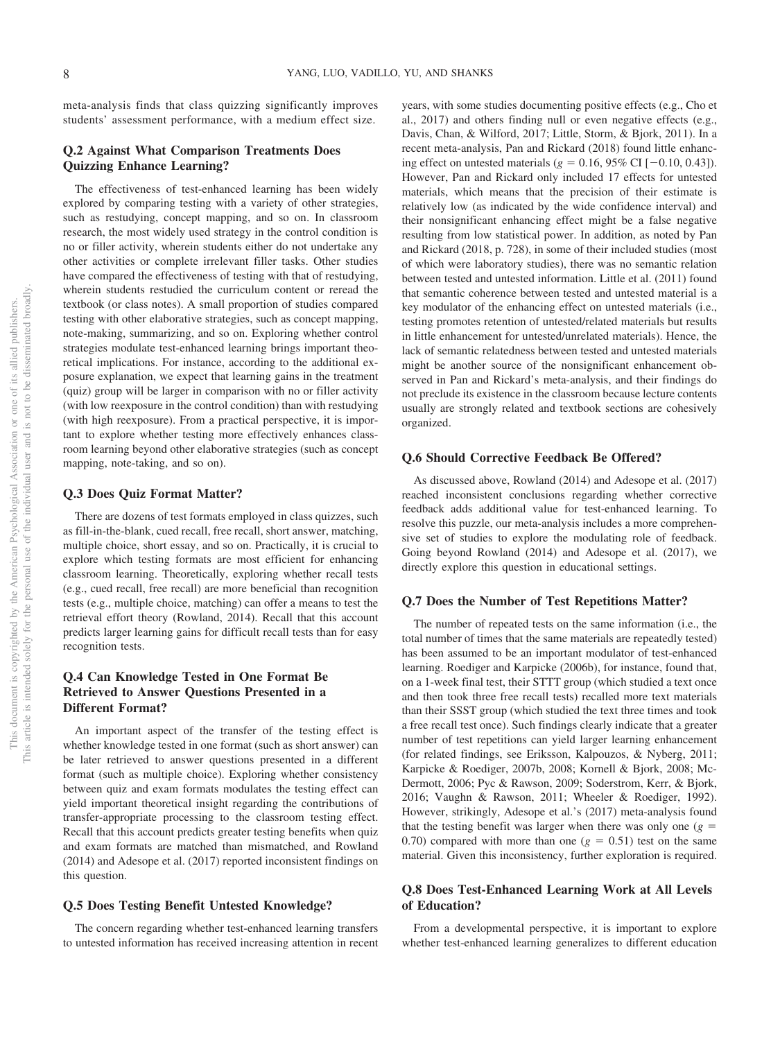meta-analysis finds that class quizzing significantly improves students' assessment performance, with a medium effect size.

# **Q.2 Against What Comparison Treatments Does Quizzing Enhance Learning?**

The effectiveness of test-enhanced learning has been widely explored by comparing testing with a variety of other strategies, such as restudying, concept mapping, and so on. In classroom research, the most widely used strategy in the control condition is no or filler activity, wherein students either do not undertake any other activities or complete irrelevant filler tasks. Other studies have compared the effectiveness of testing with that of restudying, wherein students restudied the curriculum content or reread the textbook (or class notes). A small proportion of studies compared testing with other elaborative strategies, such as concept mapping, note-making, summarizing, and so on. Exploring whether control strategies modulate test-enhanced learning brings important theoretical implications. For instance, according to the additional exposure explanation, we expect that learning gains in the treatment (quiz) group will be larger in comparison with no or filler activity (with low reexposure in the control condition) than with restudying (with high reexposure). From a practical perspective, it is important to explore whether testing more effectively enhances classroom learning beyond other elaborative strategies (such as concept mapping, note-taking, and so on).

#### **Q.3 Does Quiz Format Matter?**

There are dozens of test formats employed in class quizzes, such as fill-in-the-blank, cued recall, free recall, short answer, matching, multiple choice, short essay, and so on. Practically, it is crucial to explore which testing formats are most efficient for enhancing classroom learning. Theoretically, exploring whether recall tests (e.g., cued recall, free recall) are more beneficial than recognition tests (e.g., multiple choice, matching) can offer a means to test the retrieval effort theory (Rowland, 2014). Recall that this account predicts larger learning gains for difficult recall tests than for easy recognition tests.

# **Q.4 Can Knowledge Tested in One Format Be Retrieved to Answer Questions Presented in a Different Format?**

An important aspect of the transfer of the testing effect is whether knowledge tested in one format (such as short answer) can be later retrieved to answer questions presented in a different format (such as multiple choice). Exploring whether consistency between quiz and exam formats modulates the testing effect can yield important theoretical insight regarding the contributions of transfer-appropriate processing to the classroom testing effect. Recall that this account predicts greater testing benefits when quiz and exam formats are matched than mismatched, and Rowland (2014) and Adesope et al. (2017) reported inconsistent findings on this question.

### **Q.5 Does Testing Benefit Untested Knowledge?**

The concern regarding whether test-enhanced learning transfers to untested information has received increasing attention in recent years, with some studies documenting positive effects (e.g., Cho et al., 2017) and others finding null or even negative effects (e.g., Davis, Chan, & Wilford, 2017; Little, Storm, & Bjork, 2011). In a recent meta-analysis, Pan and Rickard (2018) found little enhancing effect on untested materials  $(g = 0.16, 95\% \text{ CI} [-0.10, 0.43]).$ However, Pan and Rickard only included 17 effects for untested materials, which means that the precision of their estimate is relatively low (as indicated by the wide confidence interval) and their nonsignificant enhancing effect might be a false negative resulting from low statistical power. In addition, as noted by Pan and Rickard (2018, p. 728), in some of their included studies (most of which were laboratory studies), there was no semantic relation between tested and untested information. Little et al. (2011) found that semantic coherence between tested and untested material is a key modulator of the enhancing effect on untested materials (i.e., testing promotes retention of untested/related materials but results in little enhancement for untested/unrelated materials). Hence, the lack of semantic relatedness between tested and untested materials might be another source of the nonsignificant enhancement observed in Pan and Rickard's meta-analysis, and their findings do not preclude its existence in the classroom because lecture contents usually are strongly related and textbook sections are cohesively organized.

### **Q.6 Should Corrective Feedback Be Offered?**

As discussed above, Rowland (2014) and Adesope et al. (2017) reached inconsistent conclusions regarding whether corrective feedback adds additional value for test-enhanced learning. To resolve this puzzle, our meta-analysis includes a more comprehensive set of studies to explore the modulating role of feedback. Going beyond Rowland (2014) and Adesope et al. (2017), we directly explore this question in educational settings.

#### **Q.7 Does the Number of Test Repetitions Matter?**

The number of repeated tests on the same information (i.e., the total number of times that the same materials are repeatedly tested) has been assumed to be an important modulator of test-enhanced learning. Roediger and Karpicke (2006b), for instance, found that, on a 1-week final test, their STTT group (which studied a text once and then took three free recall tests) recalled more text materials than their SSST group (which studied the text three times and took a free recall test once). Such findings clearly indicate that a greater number of test repetitions can yield larger learning enhancement (for related findings, see Eriksson, Kalpouzos, & Nyberg, 2011; Karpicke & Roediger, 2007b, 2008; Kornell & Bjork, 2008; Mc-Dermott, 2006; Pyc & Rawson, 2009; Soderstrom, Kerr, & Bjork, 2016; Vaughn & Rawson, 2011; Wheeler & Roediger, 1992). However, strikingly, Adesope et al.'s (2017) meta-analysis found that the testing benefit was larger when there was only one  $(g =$ 0.70) compared with more than one  $(g = 0.51)$  test on the same material. Given this inconsistency, further exploration is required.

# **Q.8 Does Test-Enhanced Learning Work at All Levels of Education?**

From a developmental perspective, it is important to explore whether test-enhanced learning generalizes to different education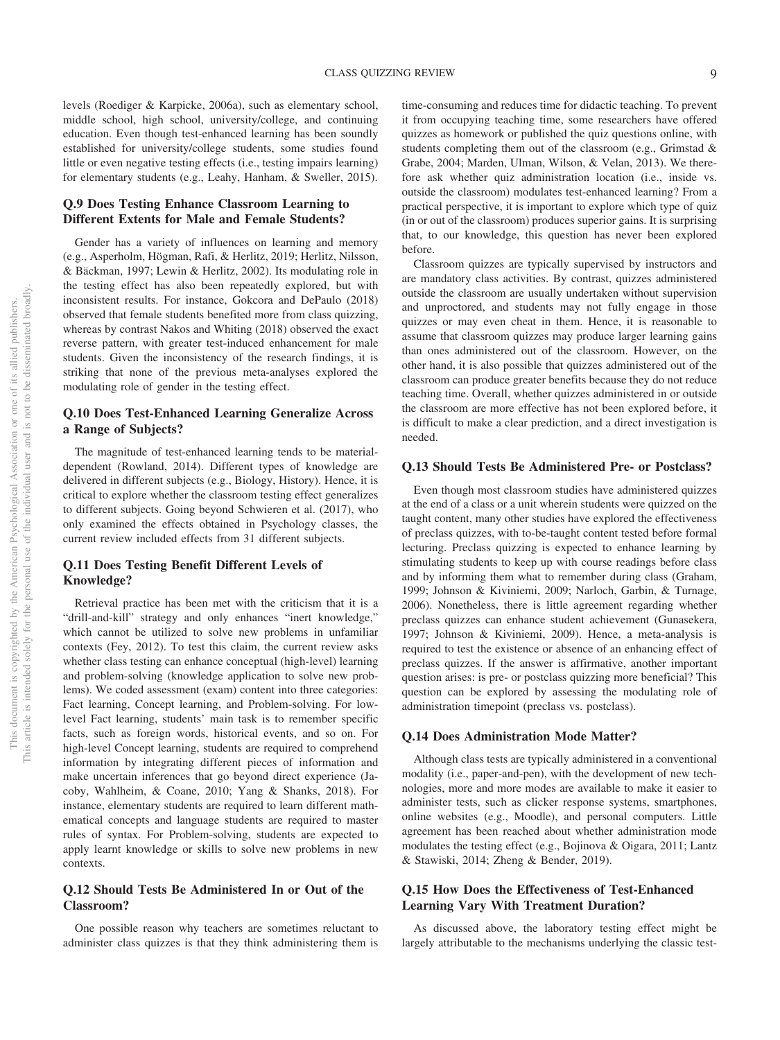levels (Roediger & Karpicke, 2006a), such as elementary school, middle school, high school, university/college, and continuing education. Even though test-enhanced learning has been soundly established for university/college students, some studies found little or even negative testing effects (i.e., testing impairs learning) for elementary students (e.g., Leahy, Hanham, & Sweller, 2015).

# **Q.9 Does Testing Enhance Classroom Learning to Different Extents for Male and Female Students?**

Gender has a variety of influences on learning and memory (e.g., Asperholm, Högman, Rafi, & Herlitz, 2019; Herlitz, Nilsson, & Bäckman, 1997; Lewin & Herlitz, 2002). Its modulating role in the testing effect has also been repeatedly explored, but with inconsistent results. For instance, Gokcora and DePaulo (2018) observed that female students benefited more from class quizzing, whereas by contrast Nakos and Whiting (2018) observed the exact reverse pattern, with greater test-induced enhancement for male students. Given the inconsistency of the research findings, it is striking that none of the previous meta-analyses explored the modulating role of gender in the testing effect.

# **Q.10 Does Test-Enhanced Learning Generalize Across a Range of Subjects?**

The magnitude of test-enhanced learning tends to be materialdependent (Rowland, 2014). Different types of knowledge are delivered in different subjects (e.g., Biology, History). Hence, it is critical to explore whether the classroom testing effect generalizes to different subjects. Going beyond Schwieren et al. (2017), who only examined the effects obtained in Psychology classes, the current review included effects from 31 different subjects.

# **Q.11 Does Testing Benefit Different Levels of Knowledge?**

Retrieval practice has been met with the criticism that it is a "drill-and-kill" strategy and only enhances "inert knowledge," which cannot be utilized to solve new problems in unfamiliar contexts (Fey, 2012). To test this claim, the current review asks whether class testing can enhance conceptual (high-level) learning and problem-solving (knowledge application to solve new problems). We coded assessment (exam) content into three categories: Fact learning, Concept learning, and Problem-solving. For lowlevel Fact learning, students' main task is to remember specific facts, such as foreign words, historical events, and so on. For high-level Concept learning, students are required to comprehend information by integrating different pieces of information and make uncertain inferences that go beyond direct experience (Jacoby, Wahlheim, & Coane, 2010; Yang & Shanks, 2018). For instance, elementary students are required to learn different mathematical concepts and language students are required to master rules of syntax. For Problem-solving, students are expected to apply learnt knowledge or skills to solve new problems in new contexts.

# **Q.12 Should Tests Be Administered In or Out of the Classroom?**

One possible reason why teachers are sometimes reluctant to administer class quizzes is that they think administering them is time-consuming and reduces time for didactic teaching. To prevent it from occupying teaching time, some researchers have offered quizzes as homework or published the quiz questions online, with students completing them out of the classroom (e.g., Grimstad & Grabe, 2004; Marden, Ulman, Wilson, & Velan, 2013). We therefore ask whether quiz administration location (i.e., inside vs. outside the classroom) modulates test-enhanced learning? From a practical perspective, it is important to explore which type of quiz (in or out of the classroom) produces superior gains. It is surprising that, to our knowledge, this question has never been explored before.

Classroom quizzes are typically supervised by instructors and are mandatory class activities. By contrast, quizzes administered outside the classroom are usually undertaken without supervision and unproctored, and students may not fully engage in those quizzes or may even cheat in them. Hence, it is reasonable to assume that classroom quizzes may produce larger learning gains than ones administered out of the classroom. However, on the other hand, it is also possible that quizzes administered out of the classroom can produce greater benefits because they do not reduce teaching time. Overall, whether quizzes administered in or outside the classroom are more effective has not been explored before, it is difficult to make a clear prediction, and a direct investigation is needed.

## **Q.13 Should Tests Be Administered Pre- or Postclass?**

Even though most classroom studies have administered quizzes at the end of a class or a unit wherein students were quizzed on the taught content, many other studies have explored the effectiveness of preclass quizzes, with to-be-taught content tested before formal lecturing. Preclass quizzing is expected to enhance learning by stimulating students to keep up with course readings before class and by informing them what to remember during class (Graham, 1999; Johnson & Kiviniemi, 2009; Narloch, Garbin, & Turnage, 2006). Nonetheless, there is little agreement regarding whether preclass quizzes can enhance student achievement (Gunasekera, 1997; Johnson & Kiviniemi, 2009). Hence, a meta-analysis is required to test the existence or absence of an enhancing effect of preclass quizzes. If the answer is affirmative, another important question arises: is pre- or postclass quizzing more beneficial? This question can be explored by assessing the modulating role of administration timepoint (preclass vs. postclass).

### **Q.14 Does Administration Mode Matter?**

Although class tests are typically administered in a conventional modality (i.e., paper-and-pen), with the development of new technologies, more and more modes are available to make it easier to administer tests, such as clicker response systems, smartphones, online websites (e.g., Moodle), and personal computers. Little agreement has been reached about whether administration mode modulates the testing effect (e.g., Bojinova & Oigara, 2011; Lantz & Stawiski, 2014; Zheng & Bender, 2019).

# **Q.15 How Does the Effectiveness of Test-Enhanced Learning Vary With Treatment Duration?**

As discussed above, the laboratory testing effect might be largely attributable to the mechanisms underlying the classic test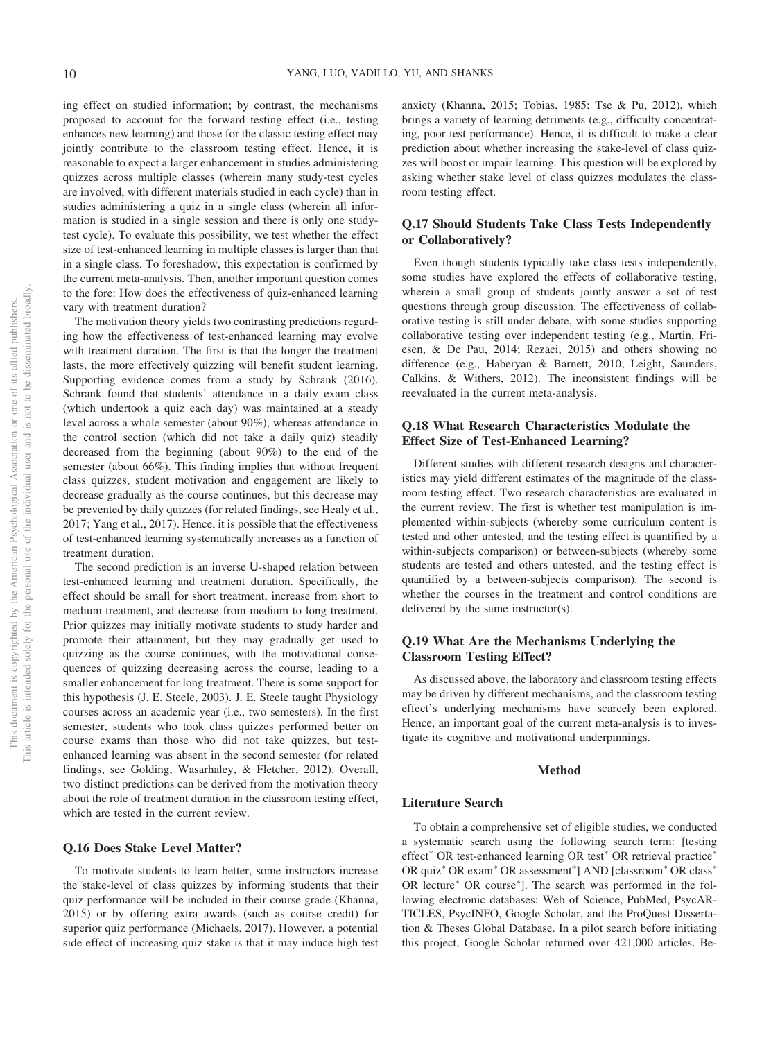ing effect on studied information; by contrast, the mechanisms proposed to account for the forward testing effect (i.e., testing enhances new learning) and those for the classic testing effect may jointly contribute to the classroom testing effect. Hence, it is reasonable to expect a larger enhancement in studies administering quizzes across multiple classes (wherein many study-test cycles are involved, with different materials studied in each cycle) than in studies administering a quiz in a single class (wherein all information is studied in a single session and there is only one studytest cycle). To evaluate this possibility, we test whether the effect size of test-enhanced learning in multiple classes is larger than that in a single class. To foreshadow, this expectation is confirmed by the current meta-analysis. Then, another important question comes to the fore: How does the effectiveness of quiz-enhanced learning vary with treatment duration?

The motivation theory yields two contrasting predictions regarding how the effectiveness of test-enhanced learning may evolve with treatment duration. The first is that the longer the treatment lasts, the more effectively quizzing will benefit student learning. Supporting evidence comes from a study by Schrank (2016). Schrank found that students' attendance in a daily exam class (which undertook a quiz each day) was maintained at a steady level across a whole semester (about 90%), whereas attendance in the control section (which did not take a daily quiz) steadily decreased from the beginning (about 90%) to the end of the semester (about 66%). This finding implies that without frequent class quizzes, student motivation and engagement are likely to decrease gradually as the course continues, but this decrease may be prevented by daily quizzes (for related findings, see Healy et al., 2017; Yang et al., 2017). Hence, it is possible that the effectiveness of test-enhanced learning systematically increases as a function of treatment duration.

The second prediction is an inverse U-shaped relation between test-enhanced learning and treatment duration. Specifically, the effect should be small for short treatment, increase from short to medium treatment, and decrease from medium to long treatment. Prior quizzes may initially motivate students to study harder and promote their attainment, but they may gradually get used to quizzing as the course continues, with the motivational consequences of quizzing decreasing across the course, leading to a smaller enhancement for long treatment. There is some support for this hypothesis (J. E. Steele, 2003). J. E. Steele taught Physiology courses across an academic year (i.e., two semesters). In the first semester, students who took class quizzes performed better on course exams than those who did not take quizzes, but testenhanced learning was absent in the second semester (for related findings, see Golding, Wasarhaley, & Fletcher, 2012). Overall, two distinct predictions can be derived from the motivation theory about the role of treatment duration in the classroom testing effect, which are tested in the current review.

### **Q.16 Does Stake Level Matter?**

To motivate students to learn better, some instructors increase the stake-level of class quizzes by informing students that their quiz performance will be included in their course grade (Khanna, 2015) or by offering extra awards (such as course credit) for superior quiz performance (Michaels, 2017). However, a potential side effect of increasing quiz stake is that it may induce high test anxiety (Khanna, 2015; Tobias, 1985; Tse & Pu, 2012), which brings a variety of learning detriments (e.g., difficulty concentrating, poor test performance). Hence, it is difficult to make a clear prediction about whether increasing the stake-level of class quizzes will boost or impair learning. This question will be explored by asking whether stake level of class quizzes modulates the classroom testing effect.

# **Q.17 Should Students Take Class Tests Independently or Collaboratively?**

Even though students typically take class tests independently, some studies have explored the effects of collaborative testing, wherein a small group of students jointly answer a set of test questions through group discussion. The effectiveness of collaborative testing is still under debate, with some studies supporting collaborative testing over independent testing (e.g., Martin, Friesen, & De Pau, 2014; Rezaei, 2015) and others showing no difference (e.g., Haberyan & Barnett, 2010; Leight, Saunders, Calkins, & Withers, 2012). The inconsistent findings will be reevaluated in the current meta-analysis.

# **Q.18 What Research Characteristics Modulate the Effect Size of Test-Enhanced Learning?**

Different studies with different research designs and characteristics may yield different estimates of the magnitude of the classroom testing effect. Two research characteristics are evaluated in the current review. The first is whether test manipulation is implemented within-subjects (whereby some curriculum content is tested and other untested, and the testing effect is quantified by a within-subjects comparison) or between-subjects (whereby some students are tested and others untested, and the testing effect is quantified by a between-subjects comparison). The second is whether the courses in the treatment and control conditions are delivered by the same instructor(s).

# **Q.19 What Are the Mechanisms Underlying the Classroom Testing Effect?**

As discussed above, the laboratory and classroom testing effects may be driven by different mechanisms, and the classroom testing effect's underlying mechanisms have scarcely been explored. Hence, an important goal of the current meta-analysis is to investigate its cognitive and motivational underpinnings.

### **Method**

#### **Literature Search**

To obtain a comprehensive set of eligible studies, we conducted a systematic search using the following search term: [testing effect\* OR test-enhanced learning OR test\* OR retrieval practice\* OR quiz<sup>\*</sup> OR exam<sup>\*</sup> OR assessment<sup>\*</sup>] AND [classroom<sup>\*</sup> OR class<sup>\*</sup> OR lecture<sup>\*</sup> OR course<sup>\*</sup>]. The search was performed in the following electronic databases: Web of Science, PubMed, PsycAR-TICLES, PsycINFO, Google Scholar, and the ProQuest Dissertation & Theses Global Database. In a pilot search before initiating this project, Google Scholar returned over 421,000 articles. Be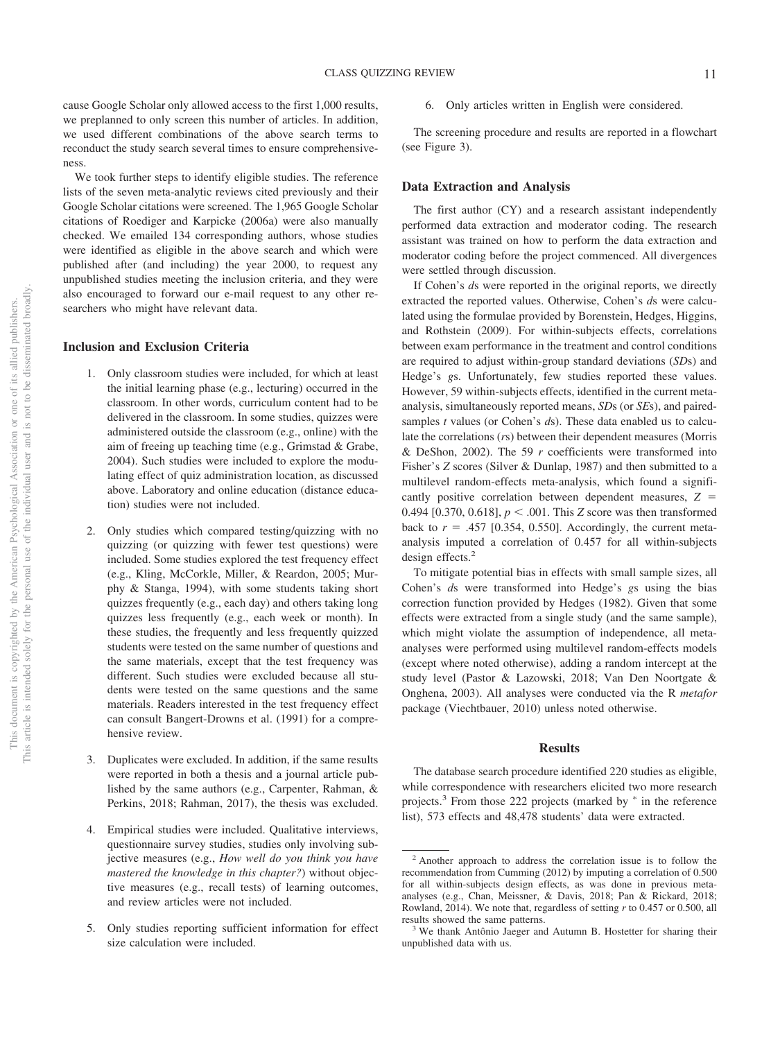cause Google Scholar only allowed access to the first 1,000 results, we preplanned to only screen this number of articles. In addition, we used different combinations of the above search terms to reconduct the study search several times to ensure comprehensiveness.

We took further steps to identify eligible studies. The reference lists of the seven meta-analytic reviews cited previously and their Google Scholar citations were screened. The 1,965 Google Scholar citations of Roediger and Karpicke (2006a) were also manually checked. We emailed 134 corresponding authors, whose studies were identified as eligible in the above search and which were published after (and including) the year 2000, to request any unpublished studies meeting the inclusion criteria, and they were also encouraged to forward our e-mail request to any other researchers who might have relevant data.

# **Inclusion and Exclusion Criteria**

- 1. Only classroom studies were included, for which at least the initial learning phase (e.g., lecturing) occurred in the classroom. In other words, curriculum content had to be delivered in the classroom. In some studies, quizzes were administered outside the classroom (e.g., online) with the aim of freeing up teaching time (e.g., Grimstad & Grabe, 2004). Such studies were included to explore the modulating effect of quiz administration location, as discussed above. Laboratory and online education (distance education) studies were not included.
- 2. Only studies which compared testing/quizzing with no quizzing (or quizzing with fewer test questions) were included. Some studies explored the test frequency effect (e.g., Kling, McCorkle, Miller, & Reardon, 2005; Murphy & Stanga, 1994), with some students taking short quizzes frequently (e.g., each day) and others taking long quizzes less frequently (e.g., each week or month). In these studies, the frequently and less frequently quizzed students were tested on the same number of questions and the same materials, except that the test frequency was different. Such studies were excluded because all students were tested on the same questions and the same materials. Readers interested in the test frequency effect can consult Bangert-Drowns et al. (1991) for a comprehensive review.
- 3. Duplicates were excluded. In addition, if the same results were reported in both a thesis and a journal article published by the same authors (e.g., Carpenter, Rahman, & Perkins, 2018; Rahman, 2017), the thesis was excluded.
- 4. Empirical studies were included. Qualitative interviews, questionnaire survey studies, studies only involving subjective measures (e.g., *How well do you think you have mastered the knowledge in this chapter?*) without objective measures (e.g., recall tests) of learning outcomes, and review articles were not included.
- 5. Only studies reporting sufficient information for effect size calculation were included.

6. Only articles written in English were considered.

The screening procedure and results are reported in a flowchart (see Figure 3).

### **Data Extraction and Analysis**

The first author (CY) and a research assistant independently performed data extraction and moderator coding. The research assistant was trained on how to perform the data extraction and moderator coding before the project commenced. All divergences were settled through discussion.

If Cohen's *d*s were reported in the original reports, we directly extracted the reported values. Otherwise, Cohen's *d*s were calculated using the formulae provided by Borenstein, Hedges, Higgins, and Rothstein (2009). For within-subjects effects, correlations between exam performance in the treatment and control conditions are required to adjust within-group standard deviations (*SD*s) and Hedge's *g*s. Unfortunately, few studies reported these values. However, 59 within-subjects effects, identified in the current metaanalysis, simultaneously reported means, *SD*s (or *SE*s), and pairedsamples *t* values (or Cohen's *d*s). These data enabled us to calculate the correlations (*r*s) between their dependent measures (Morris & DeShon, 2002). The 59 *r* coefficients were transformed into Fisher's *Z* scores (Silver & Dunlap, 1987) and then submitted to a multilevel random-effects meta-analysis, which found a significantly positive correlation between dependent measures,  $Z =$ 0.494 [0.370, 0.618],  $p < .001$ . This *Z* score was then transformed back to  $r = .457$  [0.354, 0.550]. Accordingly, the current metaanalysis imputed a correlation of 0.457 for all within-subjects design effects.<sup>2</sup>

To mitigate potential bias in effects with small sample sizes, all Cohen's *d*s were transformed into Hedge's *g*s using the bias correction function provided by Hedges (1982). Given that some effects were extracted from a single study (and the same sample), which might violate the assumption of independence, all metaanalyses were performed using multilevel random-effects models (except where noted otherwise), adding a random intercept at the study level (Pastor & Lazowski, 2018; Van Den Noortgate & Onghena, 2003). All analyses were conducted via the R *metafor* package (Viechtbauer, 2010) unless noted otherwise.

#### **Results**

The database search procedure identified 220 studies as eligible, while correspondence with researchers elicited two more research projects.<sup>3</sup> From those 222 projects (marked by  $*$  in the reference list), 573 effects and 48,478 students' data were extracted.

<sup>2</sup> Another approach to address the correlation issue is to follow the recommendation from Cumming (2012) by imputing a correlation of 0.500 for all within-subjects design effects, as was done in previous metaanalyses (e.g., Chan, Meissner, & Davis, 2018; Pan & Rickard, 2018; Rowland, 2014). We note that, regardless of setting *r* to 0.457 or 0.500, all results showed the same patterns.

<sup>&</sup>lt;sup>3</sup> We thank Antônio Jaeger and Autumn B. Hostetter for sharing their unpublished data with us.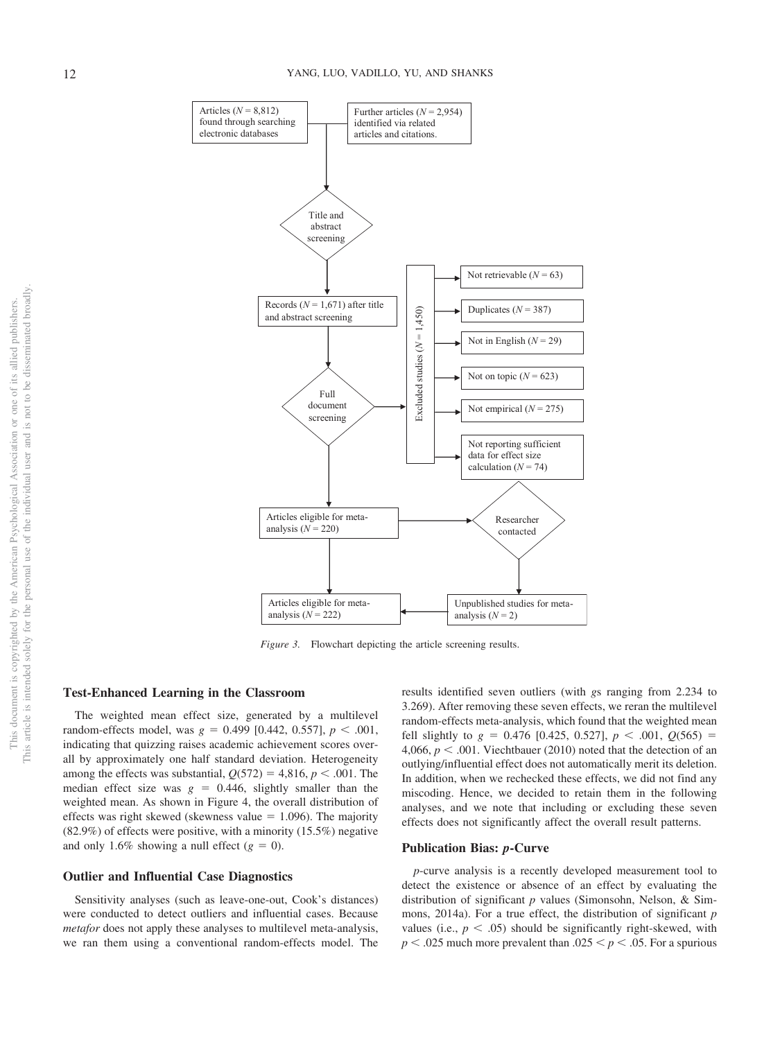

*Figure 3.* Flowchart depicting the article screening results.

### **Test-Enhanced Learning in the Classroom**

The weighted mean effect size, generated by a multilevel  $r$ andom-effects model, was  $g = 0.499$  [0.442, 0.557],  $p < .001$ , indicating that quizzing raises academic achievement scores overall by approximately one half standard deviation. Heterogeneity among the effects was substantial,  $Q(572) = 4,816, p < .001$ . The median effect size was  $g = 0.446$ , slightly smaller than the weighted mean. As shown in Figure 4, the overall distribution of effects was right skewed (skewness value  $= 1.096$ ). The majority (82.9%) of effects were positive, with a minority (15.5%) negative and only 1.6% showing a null effect  $(g = 0)$ .

### **Outlier and Influential Case Diagnostics**

Sensitivity analyses (such as leave-one-out, Cook's distances) were conducted to detect outliers and influential cases. Because *metafor* does not apply these analyses to multilevel meta-analysis, we ran them using a conventional random-effects model. The

results identified seven outliers (with *g*s ranging from 2.234 to 3.269). After removing these seven effects, we reran the multilevel random-effects meta-analysis, which found that the weighted mean fell slightly to  $g = 0.476$  [0.425, 0.527],  $p < .001$ ,  $Q(565) =$ 4,066,  $p < .001$ . Viechtbauer (2010) noted that the detection of an outlying/influential effect does not automatically merit its deletion. In addition, when we rechecked these effects, we did not find any miscoding. Hence, we decided to retain them in the following analyses, and we note that including or excluding these seven effects does not significantly affect the overall result patterns.

#### **Publication Bias:** *p***-Curve**

*p*-curve analysis is a recently developed measurement tool to detect the existence or absence of an effect by evaluating the distribution of significant *p* values (Simonsohn, Nelson, & Simmons, 2014a). For a true effect, the distribution of significant *p* values (i.e.,  $p < .05$ ) should be significantly right-skewed, with  $p < .025$  much more prevalent than  $.025 < p < .05$ . For a spurious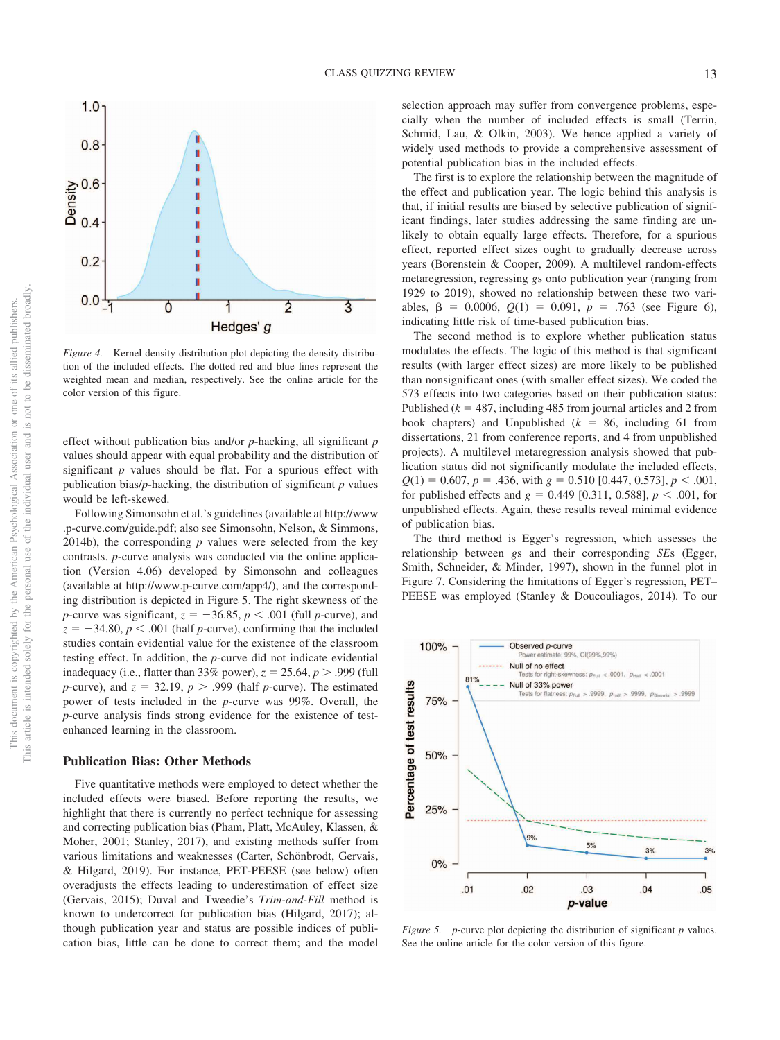

*Figure 4.* Kernel density distribution plot depicting the density distribution of the included effects. The dotted red and blue lines represent the weighted mean and median, respectively. See the online article for the color version of this figure.

effect without publication bias and/or *p*-hacking, all significant *p* values should appear with equal probability and the distribution of significant *p* values should be flat. For a spurious effect with publication bias/*p*-hacking, the distribution of significant *p* values would be left-skewed.

Following Simonsohn et al.'s guidelines (available at http://www .p-curve.com/guide.pdf; also see Simonsohn, Nelson, & Simmons, 2014b), the corresponding  $p$  values were selected from the key contrasts. *p*-curve analysis was conducted via the online application (Version 4.06) developed by Simonsohn and colleagues (available at http://www.p-curve.com/app4/), and the corresponding distribution is depicted in Figure 5. The right skewness of the *p*-curve was significant,  $z = -36.85$ ,  $p < .001$  (full *p*-curve), and  $z = -34.80, p < .001$  (half *p*-curve), confirming that the included studies contain evidential value for the existence of the classroom testing effect. In addition, the *p*-curve did not indicate evidential inadequacy (i.e., flatter than  $33\%$  power),  $z = 25.64$ ,  $p > .999$  (full *p*-curve), and  $z = 32.19$ ,  $p > .999$  (half *p*-curve). The estimated power of tests included in the *p*-curve was 99%. Overall, the *p*-curve analysis finds strong evidence for the existence of testenhanced learning in the classroom.

#### **Publication Bias: Other Methods**

Five quantitative methods were employed to detect whether the included effects were biased. Before reporting the results, we highlight that there is currently no perfect technique for assessing and correcting publication bias (Pham, Platt, McAuley, Klassen, & Moher, 2001; Stanley, 2017), and existing methods suffer from various limitations and weaknesses (Carter, Schönbrodt, Gervais, & Hilgard, 2019). For instance, PET-PEESE (see below) often overadjusts the effects leading to underestimation of effect size (Gervais, 2015); Duval and Tweedie's *Trim-and-Fill* method is known to undercorrect for publication bias (Hilgard, 2017); although publication year and status are possible indices of publication bias, little can be done to correct them; and the model

selection approach may suffer from convergence problems, especially when the number of included effects is small (Terrin, Schmid, Lau, & Olkin, 2003). We hence applied a variety of widely used methods to provide a comprehensive assessment of potential publication bias in the included effects.

The first is to explore the relationship between the magnitude of the effect and publication year. The logic behind this analysis is that, if initial results are biased by selective publication of significant findings, later studies addressing the same finding are unlikely to obtain equally large effects. Therefore, for a spurious effect, reported effect sizes ought to gradually decrease across years (Borenstein & Cooper, 2009). A multilevel random-effects metaregression, regressing *g*s onto publication year (ranging from 1929 to 2019), showed no relationship between these two variables,  $\beta = 0.0006$ ,  $Q(1) = 0.091$ ,  $p = .763$  (see Figure 6), indicating little risk of time-based publication bias.

The second method is to explore whether publication status modulates the effects. The logic of this method is that significant results (with larger effect sizes) are more likely to be published than nonsignificant ones (with smaller effect sizes). We coded the 573 effects into two categories based on their publication status: Published ( $k = 487$ , including 485 from journal articles and 2 from book chapters) and Unpublished  $(k = 86,$  including 61 from dissertations, 21 from conference reports, and 4 from unpublished projects). A multilevel metaregression analysis showed that publication status did not significantly modulate the included effects,  $Q(1) = 0.607, p = .436$ , with  $g = 0.510$  [0.447, 0.573],  $p < .001$ , for published effects and  $g = 0.449$  [0.311, 0.588],  $p < .001$ , for unpublished effects. Again, these results reveal minimal evidence of publication bias.

The third method is Egger's regression, which assesses the relationship between *g*s and their corresponding *SE*s (Egger, Smith, Schneider, & Minder, 1997), shown in the funnel plot in Figure 7. Considering the limitations of Egger's regression, PET– PEESE was employed (Stanley & Doucouliagos, 2014). To our



*Figure 5. p*-curve plot depicting the distribution of significant *p* values. See the online article for the color version of this figure.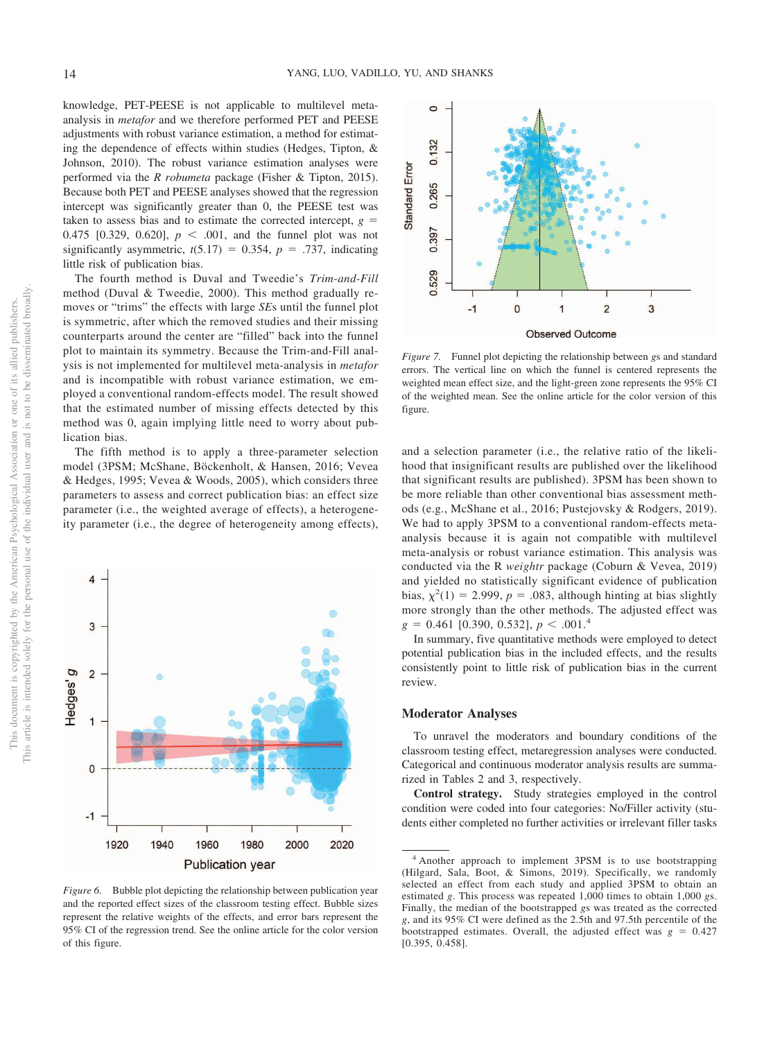knowledge, PET-PEESE is not applicable to multilevel metaanalysis in *metafor* and we therefore performed PET and PEESE adjustments with robust variance estimation, a method for estimating the dependence of effects within studies (Hedges, Tipton, & Johnson, 2010). The robust variance estimation analyses were performed via the *R robumeta* package (Fisher & Tipton, 2015). Because both PET and PEESE analyses showed that the regression intercept was significantly greater than 0, the PEESE test was taken to assess bias and to estimate the corrected intercept,  $g =$ 0.475 [0.329, 0.620],  $p < .001$ , and the funnel plot was not significantly asymmetric,  $t(5.17) = 0.354$ ,  $p = .737$ , indicating little risk of publication bias.

The fourth method is Duval and Tweedie's *Trim-and-Fill* method (Duval & Tweedie, 2000). This method gradually removes or "trims" the effects with large *SE*s until the funnel plot is symmetric, after which the removed studies and their missing counterparts around the center are "filled" back into the funnel plot to maintain its symmetry. Because the Trim-and-Fill analysis is not implemented for multilevel meta-analysis in *metafor* and is incompatible with robust variance estimation, we employed a conventional random-effects model. The result showed that the estimated number of missing effects detected by this method was 0, again implying little need to worry about publication bias.

The fifth method is to apply a three-parameter selection model (3PSM; McShane, Böckenholt, & Hansen, 2016; Vevea & Hedges, 1995; Vevea & Woods, 2005), which considers three parameters to assess and correct publication bias: an effect size parameter (i.e., the weighted average of effects), a heterogeneity parameter (i.e., the degree of heterogeneity among effects),



*Figure 6.* Bubble plot depicting the relationship between publication year and the reported effect sizes of the classroom testing effect. Bubble sizes represent the relative weights of the effects, and error bars represent the 95% CI of the regression trend. See the online article for the color version of this figure.



*Figure 7.* Funnel plot depicting the relationship between *g*s and standard errors. The vertical line on which the funnel is centered represents the weighted mean effect size, and the light-green zone represents the 95% CI of the weighted mean. See the online article for the color version of this figure.

and a selection parameter (i.e., the relative ratio of the likelihood that insignificant results are published over the likelihood that significant results are published). 3PSM has been shown to be more reliable than other conventional bias assessment methods (e.g., McShane et al., 2016; Pustejovsky & Rodgers, 2019). We had to apply 3PSM to a conventional random-effects metaanalysis because it is again not compatible with multilevel meta-analysis or robust variance estimation. This analysis was conducted via the R *weightr* package (Coburn & Vevea, 2019) and yielded no statistically significant evidence of publication bias,  $\chi^2(1) = 2.999$ ,  $p = .083$ , although hinting at bias slightly more strongly than the other methods. The adjusted effect was  $g = 0.461$  [0.390, 0.532],  $p < .001$ <sup>4</sup>

In summary, five quantitative methods were employed to detect potential publication bias in the included effects, and the results consistently point to little risk of publication bias in the current review.

#### **Moderator Analyses**

To unravel the moderators and boundary conditions of the classroom testing effect, metaregression analyses were conducted. Categorical and continuous moderator analysis results are summarized in Tables 2 and 3, respectively.

**Control strategy.** Study strategies employed in the control condition were coded into four categories: No/Filler activity (students either completed no further activities or irrelevant filler tasks

<sup>4</sup> Another approach to implement 3PSM is to use bootstrapping (Hilgard, Sala, Boot, & Simons, 2019). Specifically, we randomly selected an effect from each study and applied 3PSM to obtain an estimated *g*. This process was repeated 1,000 times to obtain 1,000 *g*s. Finally, the median of the bootstrapped *g*s was treated as the corrected *g*, and its 95% CI were defined as the 2.5th and 97.5th percentile of the bootstrapped estimates. Overall, the adjusted effect was  $g = 0.427$ [0.395, 0.458].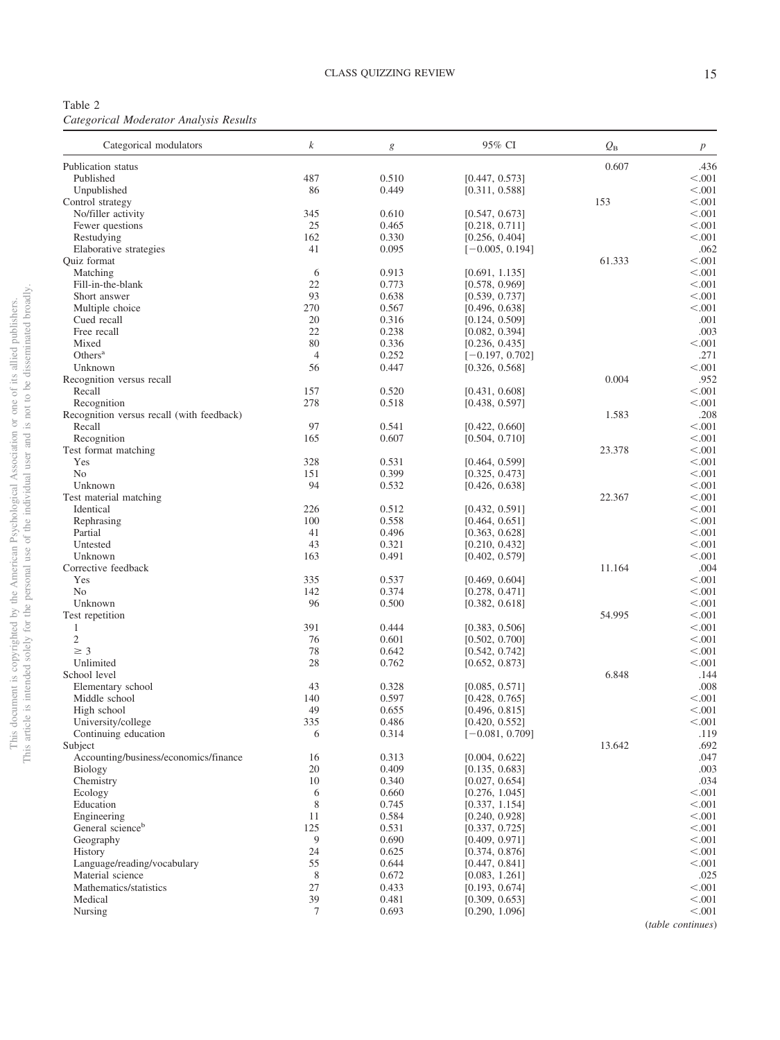Table 2 *Categorical Moderator Analysis Results*

| Categorical modulators                                  | $\boldsymbol{k}$ | $\boldsymbol{g}$ | 95% CI                           | $Q_{\rm B}$ | $\,p$              |
|---------------------------------------------------------|------------------|------------------|----------------------------------|-------------|--------------------|
| Publication status                                      |                  |                  |                                  | 0.607       | .436               |
| Published                                               | 487              | 0.510            | [0.447, 0.573]                   |             | < 0.001            |
| Unpublished                                             | 86               | 0.449            | [0.311, 0.588]                   |             | < .001             |
| Control strategy                                        |                  |                  |                                  | 153         | < 0.001            |
| No/filler activity                                      | 345              | 0.610            | [0.547, 0.673]                   |             | $<.001$            |
| Fewer questions                                         | 25               | 0.465            | [0.218, 0.711]                   |             | < 0.001            |
| Restudying                                              | 162<br>41        | 0.330<br>0.095   | [0.256, 0.404]                   |             | < 0.001<br>.062    |
| Elaborative strategies<br>Quiz format                   |                  |                  | $[-0.005, 0.194]$                | 61.333      | < .001             |
| Matching                                                | 6                | 0.913            | [0.691, 1.135]                   |             | < 0.001            |
| Fill-in-the-blank                                       | 22               | 0.773            | [0.578, 0.969]                   |             | < 0.001            |
| Short answer                                            | 93               | 0.638            | [0.539, 0.737]                   |             | < 0.001            |
| Multiple choice                                         | 270              | 0.567            | [0.496, 0.638]                   |             | < 0.001            |
| Cued recall                                             | 20               | 0.316            | [0.124, 0.509]                   |             | .001               |
| Free recall                                             | 22               | 0.238            | [0.082, 0.394]                   |             | .003               |
| Mixed                                                   | 80               | 0.336            | [0.236, 0.435]                   |             | < 0.001            |
| Others <sup>a</sup>                                     | $\overline{4}$   | 0.252            | $[-0.197, 0.702]$                |             | .271               |
| Unknown                                                 | 56               | 0.447            | [0.326, 0.568]                   |             | < 0.001            |
| Recognition versus recall                               |                  |                  |                                  | 0.004       | .952               |
| Recall                                                  | 157              | 0.520            | [0.431, 0.608]                   |             | < 0.001            |
| Recognition                                             | 278              | 0.518            | [0.438, 0.597]                   |             | < .001             |
| Recognition versus recall (with feedback)<br>Recall     | 97               | 0.541            |                                  | 1.583       | .208<br>< .001     |
| Recognition                                             | 165              | 0.607            | [0.422, 0.660]<br>[0.504, 0.710] |             | < .001             |
| Test format matching                                    |                  |                  |                                  | 23.378      | < .001             |
| Yes                                                     | 328              | 0.531            | [0.464, 0.599]                   |             | < 0.001            |
| No                                                      | 151              | 0.399            | [0.325, 0.473]                   |             | < 0.001            |
| Unknown                                                 | 94               | 0.532            | [0.426, 0.638]                   |             | < 0.001            |
| Test material matching                                  |                  |                  |                                  | 22.367      | < 0.001            |
| Identical                                               | 226              | 0.512            | [0.432, 0.591]                   |             | < 0.001            |
| Rephrasing                                              | 100              | 0.558            | [0.464, 0.651]                   |             | < 0.001            |
| Partial                                                 | 41               | 0.496            | [0.363, 0.628]                   |             | < 0.001            |
| Untested                                                | 43               | 0.321            | [0.210, 0.432]                   |             | < 0.001            |
| Unknown                                                 | 163              | 0.491            | [0.402, 0.579]                   |             | < 0.001            |
| Corrective feedback                                     |                  |                  |                                  | 11.164      | .004               |
| Yes                                                     | 335              | 0.537            | [0.469, 0.604]                   |             | < 0.001            |
| No<br>Unknown                                           | 142<br>96        | 0.374<br>0.500   | [0.278, 0.471]<br>[0.382, 0.618] |             | < 0.001<br>< 0.001 |
| Test repetition                                         |                  |                  |                                  | 54.995      | < 0.001            |
| 1                                                       | 391              | 0.444            | [0.383, 0.506]                   |             | < 0.001            |
| $\mathfrak{2}$                                          | 76               | 0.601            | [0.502, 0.700]                   |             | < 0.001            |
| $\geq 3$                                                | 78               | 0.642            | [0.542, 0.742]                   |             | < 0.001            |
| Unlimited                                               | 28               | 0.762            | [0.652, 0.873]                   |             | < 0.001            |
| School level                                            |                  |                  |                                  | 6.848       | .144               |
| Elementary school                                       | 43               | 0.328            | [0.085, 0.571]                   |             | .008               |
| Middle school                                           | 140              | 0.597            | [0.428, 0.765]                   |             | < 0.001            |
| High school                                             | 49               | 0.655            | [0.496, 0.815]                   |             | < .001             |
| University/college                                      | 335              | 0.486            | [0.420, 0.552]                   |             | < .001             |
| Continuing education                                    | 6                | 0.314            | $[-0.081, 0.709]$                |             | .119               |
| Subject                                                 |                  |                  |                                  | 13.642      | .692<br>.047       |
| Accounting/business/economics/finance<br><b>Biology</b> | 16<br>20         | 0.313<br>0.409   | [0.004, 0.622]<br>[0.135, 0.683] |             | .003               |
| Chemistry                                               | 10               | 0.340            | [0.027, 0.654]                   |             | .034               |
| Ecology                                                 | 6                | 0.660            | [0.276, 1.045]                   |             | < .001             |
| Education                                               | 8                | 0.745            | [0.337, 1.154]                   |             | < .001             |
| Engineering                                             | 11               | 0.584            | [0.240, 0.928]                   |             | < 0.001            |
| General science <sup>b</sup>                            | 125              | 0.531            | [0.337, 0.725]                   |             | < 0.001            |
| Geography                                               | 9                | 0.690            | [0.409, 0.971]                   |             | < 0.001            |
| History                                                 | 24               | 0.625            | [0.374, 0.876]                   |             | < 0.001            |
| Language/reading/vocabulary                             | 55               | 0.644            | [0.447, 0.841]                   |             | < 0.001            |
| Material science                                        | 8                | 0.672            | [0.083, 1.261]                   |             | .025               |
| Mathematics/statistics                                  | 27               | 0.433            | [0.193, 0.674]                   |             | < 0.001            |
| Medical                                                 | 39               | 0.481            | [0.309, 0.653]                   |             | < .001             |
| Nursing                                                 | 7                | 0.693            | [0.290, 1.096]                   |             | < 0.001            |

(*table continues*)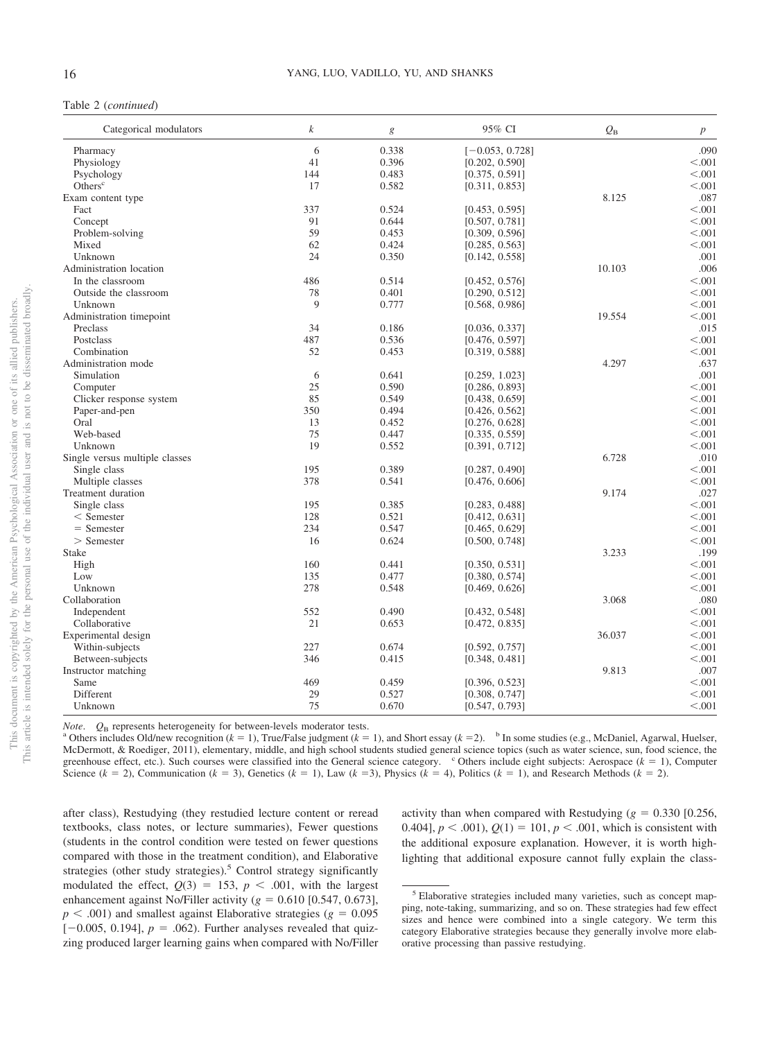### Table 2 (*continued*)

| Categorical modulators                 | k          | $\boldsymbol{g}$ | 95% CI            | $Q_{\rm B}$ | $\boldsymbol{p}$  |
|----------------------------------------|------------|------------------|-------------------|-------------|-------------------|
| Pharmacy                               | 6          | 0.338            | $[-0.053, 0.728]$ |             | .090              |
| Physiology                             | 41         | 0.396            | [0.202, 0.590]    |             | < 0.001           |
| Psychology                             | 144        | 0.483            | [0.375, 0.591]    |             | < .001            |
| Others <sup>c</sup>                    | 17         | 0.582            | [0.311, 0.853]    |             | < 0.001           |
| Exam content type                      |            |                  |                   | 8.125       | .087              |
| Fact                                   | 337        | 0.524            | [0.453, 0.595]    |             | < 0.001           |
| Concept                                | 91         | 0.644            | [0.507, 0.781]    |             | < 0.001           |
| Problem-solving                        | 59         | 0.453            | [0.309, 0.596]    |             | < 0.001           |
| Mixed                                  | 62         | 0.424            | [0.285, 0.563]    |             | < 0.001           |
| Unknown                                | 24         | 0.350            | [0.142, 0.558]    |             | .001              |
| Administration location                |            |                  |                   | 10.103      | .006              |
| In the classroom                       | 486        | 0.514            | [0.452, 0.576]    |             | < 0.001           |
| Outside the classroom                  | 78         | 0.401            | [0.290, 0.512]    |             | < 0.001           |
| Unknown                                | 9          | 0.777            | [0.568, 0.986]    |             | < 0.001           |
| Administration timepoint               |            |                  |                   | 19.554      | < 0.001           |
| Preclass                               | 34         | 0.186            | [0.036, 0.337]    |             | .015              |
| Postclass                              | 487        | 0.536            | [0.476, 0.597]    |             | < 0.001           |
| Combination                            | 52         | 0.453            | [0.319, 0.588]    |             | < 0.001           |
| Administration mode                    |            |                  |                   | 4.297       | .637              |
| Simulation                             | 6          | 0.641            | [0.259, 1.023]    |             | .001              |
| Computer                               | 25         | 0.590            | [0.286, 0.893]    |             | < 0.001           |
| Clicker response system                | 85         | 0.549            | [0.438, 0.659]    |             | < 0.001           |
| Paper-and-pen                          | 350        | 0.494            | [0.426, 0.562]    |             | < 0.001           |
| Oral                                   | 13         | 0.452            | [0.276, 0.628]    |             | < 0.001           |
| Web-based                              | 75         | 0.447            |                   |             | < 0.001           |
| Unknown                                | 19         | 0.552            | [0.335, 0.559]    |             | < 0.001           |
|                                        |            |                  | [0.391, 0.712]    | 6.728       | .010              |
| Single versus multiple classes         |            |                  |                   |             |                   |
| Single class                           | 195<br>378 | 0.389<br>0.541   | [0.287, 0.490]    |             | < 0.001<br>< .001 |
| Multiple classes<br>Treatment duration |            |                  | [0.476, 0.606]    |             |                   |
|                                        |            |                  |                   | 9.174       | .027              |
| Single class                           | 195        | 0.385            | [0.283, 0.488]    |             | < 0.001           |
| $<$ Semester                           | 128        | 0.521            | [0.412, 0.631]    |             | < 0.001           |
| $=$ Semester                           | 234        | 0.547            | [0.465, 0.629]    |             | < 0.001           |
| $>$ Semester                           | 16         | 0.624            | [0.500, 0.748]    |             | < 0.001           |
| <b>Stake</b>                           |            |                  |                   | 3.233       | .199              |
| High                                   | 160        | 0.441            | [0.350, 0.531]    |             | < .001            |
| Low                                    | 135        | 0.477            | [0.380, 0.574]    |             | < 0.001           |
| Unknown                                | 278        | 0.548            | [0.469, 0.626]    |             | < 0.001           |
| Collaboration                          |            |                  |                   | 3.068       | .080              |
| Independent                            | 552        | 0.490            | [0.432, 0.548]    |             | < 0.001           |
| Collaborative                          | 21         | 0.653            | [0.472, 0.835]    |             | < 0.001           |
| Experimental design                    |            |                  |                   | 36.037      | < 0.001           |
| Within-subjects                        | 227        | 0.674            | [0.592, 0.757]    |             | < 0.001           |
| Between-subjects                       | 346        | 0.415            | [0.348, 0.481]    |             | < 0.001           |
| Instructor matching                    |            |                  |                   | 9.813       | .007              |
| Same                                   | 469        | 0.459            | [0.396, 0.523]    |             | < 0.001           |
| Different                              | 29         | 0.527            | [0.308, 0.747]    |             | < 0.001           |
| Unknown                                | 75         | 0.670            | [0.547, 0.793]    |             | < 0.001           |

*Note.*  $Q_B$  represents heterogeneity for between-levels moderator tests.

<sup>a</sup> Others includes Old/new recognition  $(k = 1)$ , True/False judgment  $(k = 1)$ , and Short essay  $(k = 2)$ . <sup>b</sup> In some studies (e.g., McDaniel, Agarwal, Huelser, McDermott, & Roediger, 2011), elementary, middle, and high school students studied general science topics (such as water science, sun, food science, the greenhouse effect, etc.). Such courses were classified into the General science category. <sup>c</sup> Others include eight subjects: Aerospace ( $k = 1$ ), Computer Science  $(k = 2)$ , Communication  $(k = 3)$ , Genetics  $(k = 1)$ , Law  $(k = 3)$ , Physics  $(k = 4)$ , Politics  $(k = 1)$ , and Research Methods  $(k = 2)$ .

after class), Restudying (they restudied lecture content or reread textbooks, class notes, or lecture summaries), Fewer questions (students in the control condition were tested on fewer questions compared with those in the treatment condition), and Elaborative strategies (other study strategies).<sup>5</sup> Control strategy significantly modulated the effect,  $Q(3) = 153$ ,  $p < .001$ , with the largest enhancement against No/Filler activity  $(g = 0.610 \; [0.547, 0.673]$ ,  $p < .001$ ) and smallest against Elaborative strategies ( $g = 0.095$  $[-0.005, 0.194]$ ,  $p = .062$ ). Further analyses revealed that quizzing produced larger learning gains when compared with No/Filler

activity than when compared with Restudying  $(g = 0.330 \, [0.256,$ 0.404],  $p < .001$ ,  $Q(1) = 101$ ,  $p < .001$ , which is consistent with the additional exposure explanation. However, it is worth highlighting that additional exposure cannot fully explain the class-

<sup>5</sup> Elaborative strategies included many varieties, such as concept mapping, note-taking, summarizing, and so on. These strategies had few effect sizes and hence were combined into a single category. We term this category Elaborative strategies because they generally involve more elaborative processing than passive restudying.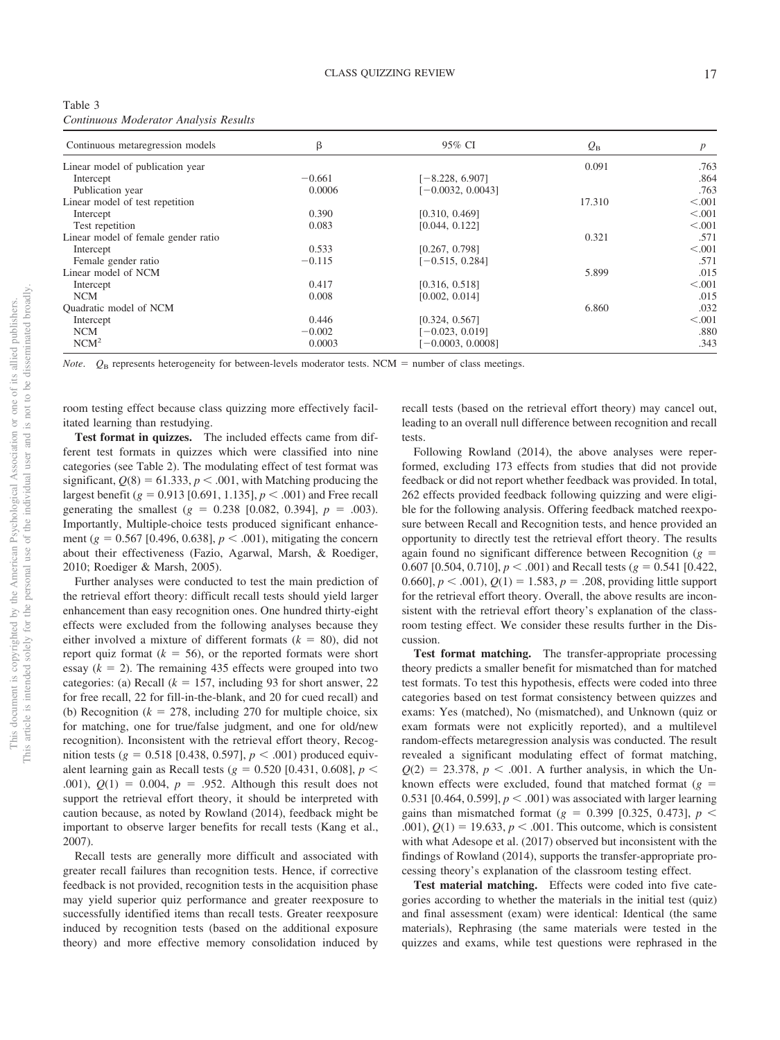| Table 3                               |  |  |
|---------------------------------------|--|--|
| Continuous Moderator Analysis Results |  |  |

| Continuous metaregression models    | β        | 95% CI              | $Q_{\rm B}$ | p       |
|-------------------------------------|----------|---------------------|-------------|---------|
| Linear model of publication year    |          |                     | 0.091       | .763    |
| Intercept                           | $-0.661$ | $[-8.228, 6.907]$   |             | .864    |
| Publication year                    | 0.0006   | $[-0.0032, 0.0043]$ |             | .763    |
| Linear model of test repetition     |          |                     | 17.310      | < .001  |
| Intercept                           | 0.390    | [0.310, 0.469]      |             | < 0.001 |
| Test repetition                     | 0.083    | [0.044, 0.122]      |             | < .001  |
| Linear model of female gender ratio |          |                     | 0.321       | .571    |
| Intercept                           | 0.533    | [0.267, 0.798]      |             | < 0.001 |
| Female gender ratio                 | $-0.115$ | $[-0.515, 0.284]$   |             | .571    |
| Linear model of NCM                 |          |                     | 5.899       | .015    |
| Intercept                           | 0.417    | [0.316, 0.518]      |             | < 0.001 |
| <b>NCM</b>                          | 0.008    | [0.002, 0.014]      |             | .015    |
| Quadratic model of NCM              |          |                     | 6.860       | .032    |
| Intercept                           | 0.446    | [0.324, 0.567]      |             | < 0.001 |
| <b>NCM</b>                          | $-0.002$ | $[-0.023, 0.019]$   |             | .880    |
| NCM <sup>2</sup>                    | 0.0003   | $[-0.0003, 0.0008]$ |             | .343    |

*Note.*  $Q_B$  represents heterogeneity for between-levels moderator tests. NCM = number of class meetings.

room testing effect because class quizzing more effectively facilitated learning than restudying.

**Test format in quizzes.** The included effects came from different test formats in quizzes which were classified into nine categories (see Table 2). The modulating effect of test format was significant,  $Q(8) = 61.333$ ,  $p < .001$ , with Matching producing the largest benefit ( $g = 0.913$  [0.691, 1.135],  $p < .001$ ) and Free recall generating the smallest  $(g = 0.238 \, [0.082, 0.394], p = .003)$ . Importantly, Multiple-choice tests produced significant enhancement ( $g = 0.567$  [0.496, 0.638],  $p < .001$ ), mitigating the concern about their effectiveness (Fazio, Agarwal, Marsh, & Roediger, 2010; Roediger & Marsh, 2005).

Further analyses were conducted to test the main prediction of the retrieval effort theory: difficult recall tests should yield larger enhancement than easy recognition ones. One hundred thirty-eight effects were excluded from the following analyses because they either involved a mixture of different formats  $(k = 80)$ , did not report quiz format  $(k = 56)$ , or the reported formats were short essay  $(k = 2)$ . The remaining 435 effects were grouped into two categories: (a) Recall  $(k = 157$ , including 93 for short answer, 22 for free recall, 22 for fill-in-the-blank, and 20 for cued recall) and (b) Recognition ( $k = 278$ , including 270 for multiple choice, six for matching, one for true/false judgment, and one for old/new recognition). Inconsistent with the retrieval effort theory, Recogmition tests ( $g = 0.518$  [0.438, 0.597],  $p < .001$ ) produced equivalent learning gain as Recall tests ( $g = 0.520$  [0.431, 0.608],  $p <$ .001),  $Q(1) = 0.004$ ,  $p = .952$ . Although this result does not support the retrieval effort theory, it should be interpreted with caution because, as noted by Rowland (2014), feedback might be important to observe larger benefits for recall tests (Kang et al., 2007).

Recall tests are generally more difficult and associated with greater recall failures than recognition tests. Hence, if corrective feedback is not provided, recognition tests in the acquisition phase may yield superior quiz performance and greater reexposure to successfully identified items than recall tests. Greater reexposure induced by recognition tests (based on the additional exposure theory) and more effective memory consolidation induced by recall tests (based on the retrieval effort theory) may cancel out, leading to an overall null difference between recognition and recall tests.

Following Rowland (2014), the above analyses were reperformed, excluding 173 effects from studies that did not provide feedback or did not report whether feedback was provided. In total, 262 effects provided feedback following quizzing and were eligible for the following analysis. Offering feedback matched reexposure between Recall and Recognition tests, and hence provided an opportunity to directly test the retrieval effort theory. The results again found no significant difference between Recognition  $(g =$ 0.607 [0.504, 0.710],  $p < .001$ ) and Recall tests ( $g = 0.541$  [0.422, 0.660],  $p < .001$ ,  $Q(1) = 1.583$ ,  $p = .208$ , providing little support for the retrieval effort theory. Overall, the above results are inconsistent with the retrieval effort theory's explanation of the classroom testing effect. We consider these results further in the Discussion.

**Test format matching.** The transfer-appropriate processing theory predicts a smaller benefit for mismatched than for matched test formats. To test this hypothesis, effects were coded into three categories based on test format consistency between quizzes and exams: Yes (matched), No (mismatched), and Unknown (quiz or exam formats were not explicitly reported), and a multilevel random-effects metaregression analysis was conducted. The result revealed a significant modulating effect of format matching,  $Q(2) = 23.378$ ,  $p < .001$ . A further analysis, in which the Unknown effects were excluded, found that matched format  $(g =$ 0.531 [0.464, 0.599],  $p < .001$ ) was associated with larger learning gains than mismatched format ( $g = 0.399$  [0.325, 0.473],  $p <$ .001),  $Q(1) = 19.633, p < .001$ . This outcome, which is consistent with what Adesope et al. (2017) observed but inconsistent with the findings of Rowland (2014), supports the transfer-appropriate processing theory's explanation of the classroom testing effect.

**Test material matching.** Effects were coded into five categories according to whether the materials in the initial test (quiz) and final assessment (exam) were identical: Identical (the same materials), Rephrasing (the same materials were tested in the quizzes and exams, while test questions were rephrased in the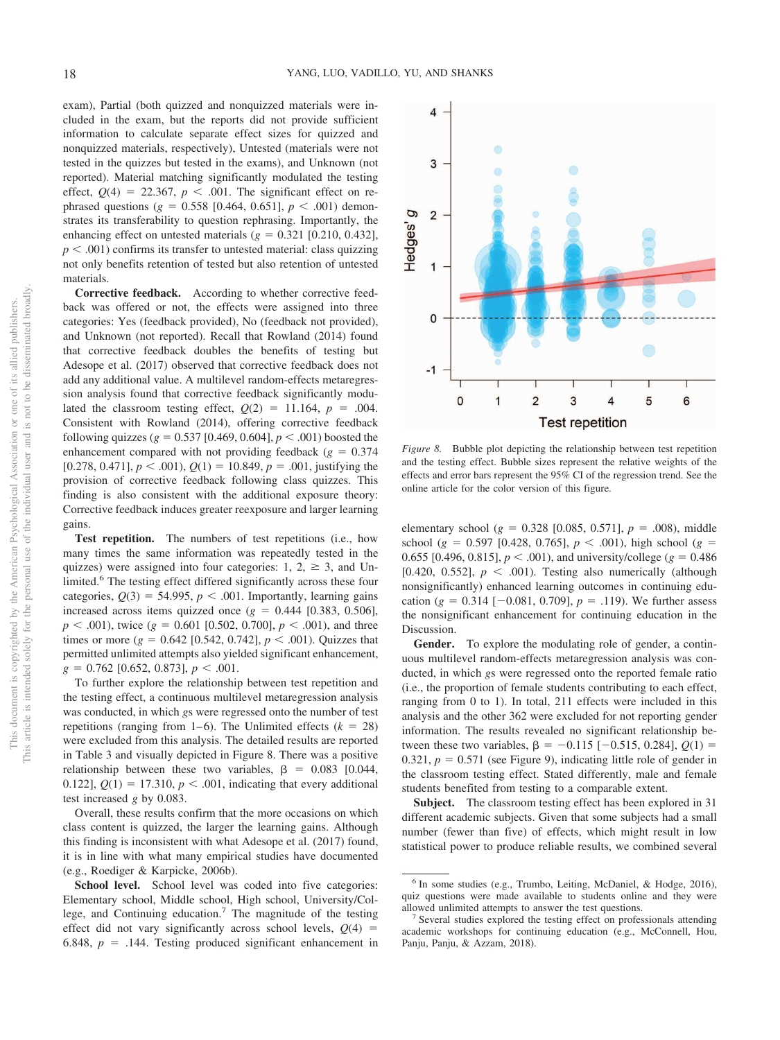exam), Partial (both quizzed and nonquizzed materials were included in the exam, but the reports did not provide sufficient information to calculate separate effect sizes for quizzed and nonquizzed materials, respectively), Untested (materials were not tested in the quizzes but tested in the exams), and Unknown (not reported). Material matching significantly modulated the testing effect,  $Q(4) = 22.367$ ,  $p < .001$ . The significant effect on rephrased questions ( $g = 0.558$  [0.464, 0.651],  $p < .001$ ) demonstrates its transferability to question rephrasing. Importantly, the enhancing effect on untested materials  $(g = 0.321 [0.210, 0.432],$  $p < .001$ ) confirms its transfer to untested material: class quizzing not only benefits retention of tested but also retention of untested materials.

**Corrective feedback.** According to whether corrective feedback was offered or not, the effects were assigned into three categories: Yes (feedback provided), No (feedback not provided), and Unknown (not reported). Recall that Rowland (2014) found that corrective feedback doubles the benefits of testing but Adesope et al. (2017) observed that corrective feedback does not add any additional value. A multilevel random-effects metaregression analysis found that corrective feedback significantly modulated the classroom testing effect,  $Q(2) = 11.164$ ,  $p = .004$ . Consistent with Rowland (2014), offering corrective feedback following quizzes ( $g = 0.537$  [0.469, 0.604],  $p < .001$ ) boosted the enhancement compared with not providing feedback  $(g = 0.374)$  $[0.278, 0.471], p < .001$ ,  $Q(1) = 10.849, p = .001$ , justifying the provision of corrective feedback following class quizzes. This finding is also consistent with the additional exposure theory: Corrective feedback induces greater reexposure and larger learning gains.

**Test repetition.** The numbers of test repetitions (i.e., how many times the same information was repeatedly tested in the quizzes) were assigned into four categories: 1, 2,  $\geq$  3, and Unlimited.<sup>6</sup> The testing effect differed significantly across these four categories,  $Q(3) = 54.995$ ,  $p < .001$ . Importantly, learning gains increased across items quizzed once  $(g = 0.444 \, [0.383, 0.506],$  $p < .001$ ), twice ( $g = 0.601$  [0.502, 0.700],  $p < .001$ ), and three times or more  $(g = 0.642 \; [0.542, 0.742], p < .001)$ . Quizzes that permitted unlimited attempts also yielded significant enhancement,  $g = 0.762$  [0.652, 0.873],  $p < .001$ .

To further explore the relationship between test repetition and the testing effect, a continuous multilevel metaregression analysis was conducted, in which *g*s were regressed onto the number of test repetitions (ranging from 1–6). The Unlimited effects  $(k = 28)$ were excluded from this analysis. The detailed results are reported in Table 3 and visually depicted in Figure 8. There was a positive relationship between these two variables,  $\beta = 0.083$  [0.044, 0.122],  $Q(1) = 17.310$ ,  $p < .001$ , indicating that every additional test increased *g* by 0.083.

Overall, these results confirm that the more occasions on which class content is quizzed, the larger the learning gains. Although this finding is inconsistent with what Adesope et al. (2017) found, it is in line with what many empirical studies have documented (e.g., Roediger & Karpicke, 2006b).

School level. School level was coded into five categories: Elementary school, Middle school, High school, University/College, and Continuing education.<sup>7</sup> The magnitude of the testing effect did not vary significantly across school levels,  $Q(4)$  = 6.848,  $p = .144$ . Testing produced significant enhancement in



*Figure 8.* Bubble plot depicting the relationship between test repetition and the testing effect. Bubble sizes represent the relative weights of the effects and error bars represent the 95% CI of the regression trend. See the online article for the color version of this figure.

elementary school ( $g = 0.328$  [0.085, 0.571],  $p = .008$ ), middle school ( $g = 0.597$  [0.428, 0.765],  $p < .001$ ), high school ( $g =$ 0.655 [0.496, 0.815],  $p < .001$ ), and university/college ( $g = 0.486$ ) [0.420, 0.552],  $p < .001$ ). Testing also numerically (although nonsignificantly) enhanced learning outcomes in continuing education  $(g = 0.314 [-0.081, 0.709], p = .119)$ . We further assess the nonsignificant enhancement for continuing education in the Discussion.

**Gender.** To explore the modulating role of gender, a continuous multilevel random-effects metaregression analysis was conducted, in which *g*s were regressed onto the reported female ratio (i.e., the proportion of female students contributing to each effect, ranging from 0 to 1). In total, 211 effects were included in this analysis and the other 362 were excluded for not reporting gender information. The results revealed no significant relationship between these two variables,  $\beta = -0.115$  [ $-0.515$ , 0.284],  $Q(1)$  =  $0.321, p = 0.571$  (see Figure 9), indicating little role of gender in the classroom testing effect. Stated differently, male and female students benefited from testing to a comparable extent.

**Subject.** The classroom testing effect has been explored in 31 different academic subjects. Given that some subjects had a small number (fewer than five) of effects, which might result in low statistical power to produce reliable results, we combined several

<sup>&</sup>lt;sup>6</sup> In some studies (e.g., Trumbo, Leiting, McDaniel, & Hodge, 2016), quiz questions were made available to students online and they were allowed unlimited attempts to answer the test questions.

<sup>&</sup>lt;sup>7</sup> Several studies explored the testing effect on professionals attending academic workshops for continuing education (e.g., McConnell, Hou, Panju, Panju, & Azzam, 2018).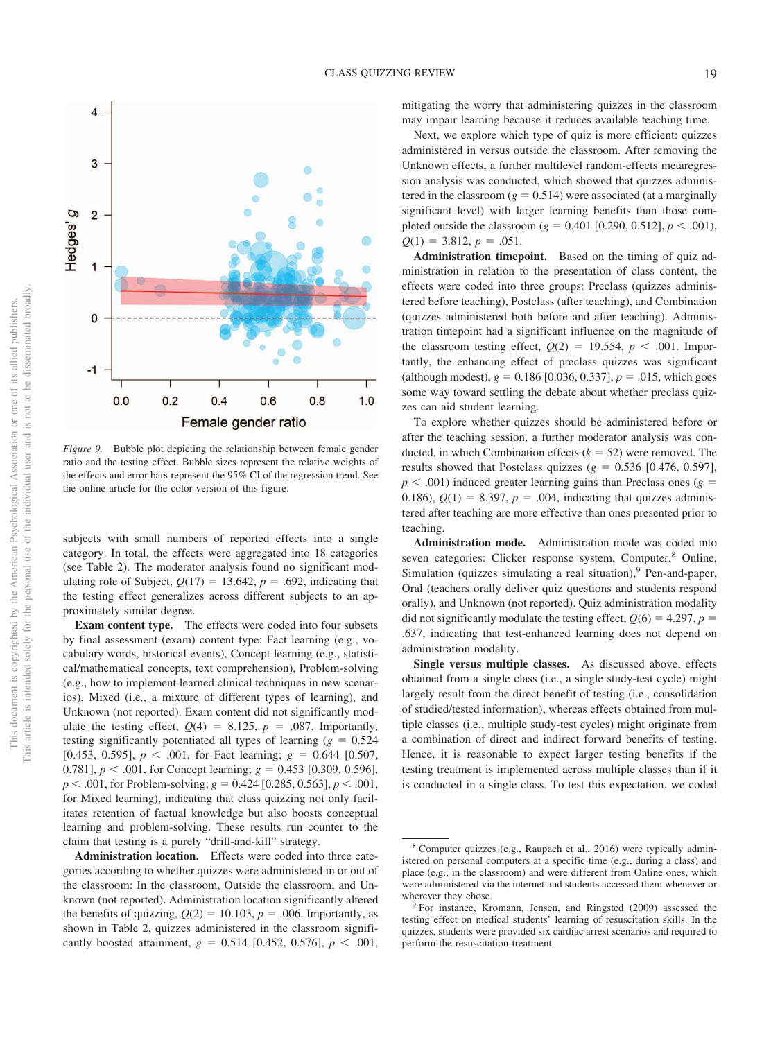

*Figure 9.* Bubble plot depicting the relationship between female gender ratio and the testing effect. Bubble sizes represent the relative weights of the effects and error bars represent the 95% CI of the regression trend. See the online article for the color version of this figure.

subjects with small numbers of reported effects into a single category. In total, the effects were aggregated into 18 categories (see Table 2). The moderator analysis found no significant modulating role of Subject,  $Q(17) = 13.642$ ,  $p = .692$ , indicating that the testing effect generalizes across different subjects to an approximately similar degree.

**Exam content type.** The effects were coded into four subsets by final assessment (exam) content type: Fact learning (e.g., vocabulary words, historical events), Concept learning (e.g., statistical/mathematical concepts, text comprehension), Problem-solving (e.g., how to implement learned clinical techniques in new scenarios), Mixed (i.e., a mixture of different types of learning), and Unknown (not reported). Exam content did not significantly modulate the testing effect,  $Q(4) = 8.125$ ,  $p = .087$ . Importantly, testing significantly potentiated all types of learning  $(g = 0.524)$ [0.453, 0.595],  $p < .001$ , for Fact learning;  $g = 0.644$  [0.507, 0.781],  $p < .001$ , for Concept learning;  $g = 0.453$  [0.309, 0.596],  $p < .001$ , for Problem-solving;  $g = 0.424$  [0.285, 0.563],  $p < .001$ , for Mixed learning), indicating that class quizzing not only facilitates retention of factual knowledge but also boosts conceptual learning and problem-solving. These results run counter to the claim that testing is a purely "drill-and-kill" strategy.

**Administration location.** Effects were coded into three categories according to whether quizzes were administered in or out of the classroom: In the classroom, Outside the classroom, and Unknown (not reported). Administration location significantly altered the benefits of quizzing,  $Q(2) = 10.103$ ,  $p = .006$ . Importantly, as shown in Table 2, quizzes administered in the classroom significantly boosted attainment,  $g = 0.514$  [0.452, 0.576],  $p < .001$ , mitigating the worry that administering quizzes in the classroom may impair learning because it reduces available teaching time.

Next, we explore which type of quiz is more efficient: quizzes administered in versus outside the classroom. After removing the Unknown effects, a further multilevel random-effects metaregression analysis was conducted, which showed that quizzes administered in the classroom  $(g = 0.514)$  were associated (at a marginally significant level) with larger learning benefits than those completed outside the classroom ( $g = 0.401$  [0.290, 0.512],  $p < .001$ ),  $Q(1) = 3.812, p = .051.$ 

**Administration timepoint.** Based on the timing of quiz administration in relation to the presentation of class content, the effects were coded into three groups: Preclass (quizzes administered before teaching), Postclass (after teaching), and Combination (quizzes administered both before and after teaching). Administration timepoint had a significant influence on the magnitude of the classroom testing effect,  $Q(2) = 19.554$ ,  $p < .001$ . Importantly, the enhancing effect of preclass quizzes was significant  $\alpha$  (although modest),  $g = 0.186$  [0.036, 0.337],  $p = .015$ , which goes some way toward settling the debate about whether preclass quizzes can aid student learning.

To explore whether quizzes should be administered before or after the teaching session, a further moderator analysis was conducted, in which Combination effects  $(k = 52)$  were removed. The results showed that Postclass quizzes  $(g = 0.536 [0.476, 0.597],$  $p < .001$ ) induced greater learning gains than Preclass ones ( $g =$ 0.186),  $Q(1) = 8.397$ ,  $p = .004$ , indicating that quizzes administered after teaching are more effective than ones presented prior to teaching.

**Administration mode.** Administration mode was coded into seven categories: Clicker response system, Computer,<sup>8</sup> Online, Simulation (quizzes simulating a real situation),<sup>9</sup> Pen-and-paper, Oral (teachers orally deliver quiz questions and students respond orally), and Unknown (not reported). Quiz administration modality did not significantly modulate the testing effect,  $Q(6) = 4.297$ ,  $p =$ .637, indicating that test-enhanced learning does not depend on administration modality.

**Single versus multiple classes.** As discussed above, effects obtained from a single class (i.e., a single study-test cycle) might largely result from the direct benefit of testing (i.e., consolidation of studied/tested information), whereas effects obtained from multiple classes (i.e., multiple study-test cycles) might originate from a combination of direct and indirect forward benefits of testing. Hence, it is reasonable to expect larger testing benefits if the testing treatment is implemented across multiple classes than if it is conducted in a single class. To test this expectation, we coded

<sup>&</sup>lt;sup>8</sup> Computer quizzes (e.g., Raupach et al., 2016) were typically administered on personal computers at a specific time (e.g., during a class) and place (e.g., in the classroom) and were different from Online ones, which were administered via the internet and students accessed them whenever or wherever they chose.

<sup>9</sup> For instance, Kromann, Jensen, and Ringsted (2009) assessed the testing effect on medical students' learning of resuscitation skills. In the quizzes, students were provided six cardiac arrest scenarios and required to perform the resuscitation treatment.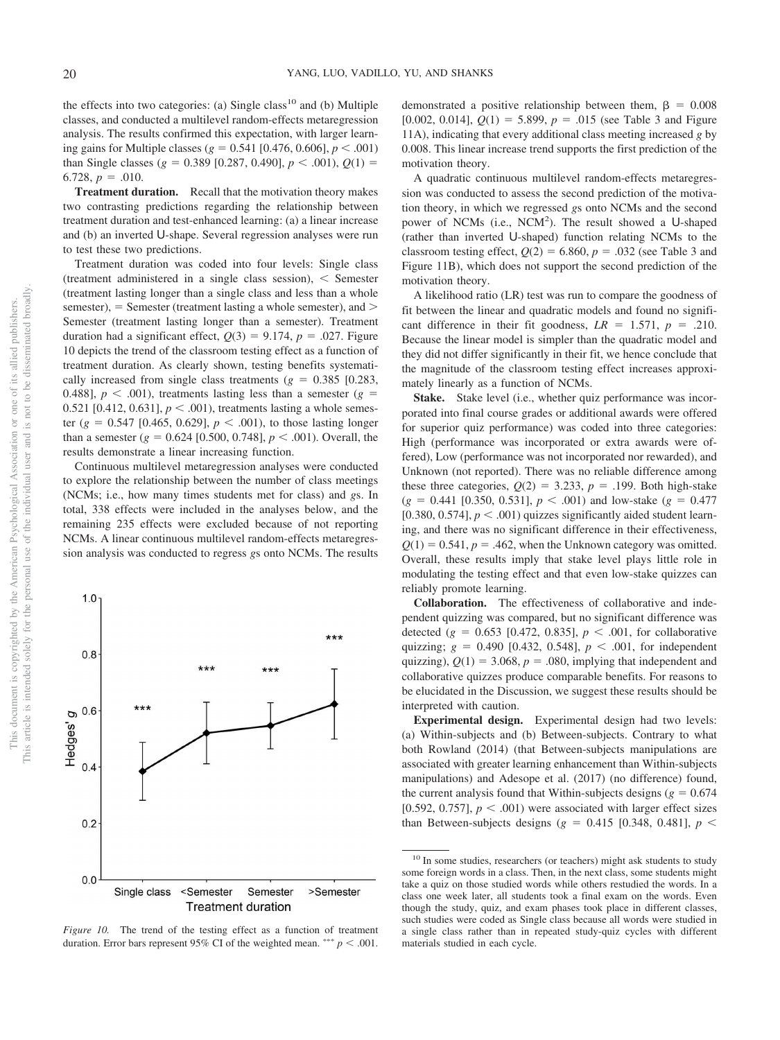This document is copyrighted by the American Psychological Association or one of its allied publishers. This article is intended solely for the personal use of the individual user and is not to be disseminated broadly.

This document is copyrighted by the American Psychological Association This article is intended solely for the personal use of the individual user and

 $\rm \overline{o}$ .g

not to be disseminated broadly one of its allied publishers.

the effects into two categories: (a) Single class<sup>10</sup> and (b) Multiple classes, and conducted a multilevel random-effects metaregression analysis. The results confirmed this expectation, with larger learning gains for Multiple classes ( $g = 0.541$  [0.476, 0.606],  $p < .001$ ) than Single classes ( $g = 0.389$  [0.287, 0.490],  $p < .001$ ),  $Q(1) =$  $6.728, p = .010.$ 

**Treatment duration.** Recall that the motivation theory makes two contrasting predictions regarding the relationship between treatment duration and test-enhanced learning: (a) a linear increase and (b) an inverted U-shape. Several regression analyses were run to test these two predictions.

Treatment duration was coded into four levels: Single class (treatment administered in a single class session),  $\leq$  Semester (treatment lasting longer than a single class and less than a whole  $s$ emester), = Semester (treatment lasting a whole semester), and  $>$ Semester (treatment lasting longer than a semester). Treatment duration had a significant effect,  $Q(3) = 9.174$ ,  $p = .027$ . Figure 10 depicts the trend of the classroom testing effect as a function of treatment duration. As clearly shown, testing benefits systematically increased from single class treatments  $(g = 0.385 \, [0.283,$ 0.488],  $p < .001$ ), treatments lasting less than a semester ( $g =$ 0.521 [0.412, 0.631],  $p < .001$ ), treatments lasting a whole semester  $(g = 0.547 \; [0.465, 0.629], p < .001)$ , to those lasting longer than a semester  $(g = 0.624 [0.500, 0.748], p < .001)$ . Overall, the results demonstrate a linear increasing function.

Continuous multilevel metaregression analyses were conducted to explore the relationship between the number of class meetings (NCMs; i.e., how many times students met for class) and *g*s. In total, 338 effects were included in the analyses below, and the remaining 235 effects were excluded because of not reporting NCMs. A linear continuous multilevel random-effects metaregression analysis was conducted to regress *g*s onto NCMs. The results



demonstrated a positive relationship between them,  $\beta = 0.008$ [0.002, 0.014],  $Q(1) = 5.899$ ,  $p = .015$  (see Table 3 and Figure 11A), indicating that every additional class meeting increased *g* by 0.008. This linear increase trend supports the first prediction of the motivation theory.

A quadratic continuous multilevel random-effects metaregression was conducted to assess the second prediction of the motivation theory, in which we regressed *g*s onto NCMs and the second power of NCMs (i.e., NCM<sup>2</sup>). The result showed a U-shaped (rather than inverted U-shaped) function relating NCMs to the classroom testing effect,  $Q(2) = 6.860$ ,  $p = .032$  (see Table 3 and Figure 11B), which does not support the second prediction of the motivation theory.

A likelihood ratio (LR) test was run to compare the goodness of fit between the linear and quadratic models and found no significant difference in their fit goodness,  $LR = 1.571$ ,  $p = .210$ . Because the linear model is simpler than the quadratic model and they did not differ significantly in their fit, we hence conclude that the magnitude of the classroom testing effect increases approximately linearly as a function of NCMs.

**Stake.** Stake level (i.e., whether quiz performance was incorporated into final course grades or additional awards were offered for superior quiz performance) was coded into three categories: High (performance was incorporated or extra awards were offered), Low (performance was not incorporated nor rewarded), and Unknown (not reported). There was no reliable difference among these three categories,  $Q(2) = 3.233$ ,  $p = .199$ . Both high-stake  $(g = 0.441 [0.350, 0.531], p < .001)$  and low-stake  $(g = 0.477)$ [0.380, 0.574],  $p < .001$ ) quizzes significantly aided student learning, and there was no significant difference in their effectiveness,  $Q(1) = 0.541$ ,  $p = 0.462$ , when the Unknown category was omitted. Overall, these results imply that stake level plays little role in modulating the testing effect and that even low-stake quizzes can reliably promote learning.

**Collaboration.** The effectiveness of collaborative and independent quizzing was compared, but no significant difference was detected  $(g = 0.653 [0.472, 0.835], p < .001$ , for collaborative quizzing;  $g = 0.490$  [0.432, 0.548],  $p < .001$ , for independent quizzing),  $Q(1) = 3.068$ ,  $p = .080$ , implying that independent and collaborative quizzes produce comparable benefits. For reasons to be elucidated in the Discussion, we suggest these results should be interpreted with caution.

**Experimental design.** Experimental design had two levels: (a) Within-subjects and (b) Between-subjects. Contrary to what both Rowland (2014) (that Between-subjects manipulations are associated with greater learning enhancement than Within-subjects manipulations) and Adesope et al. (2017) (no difference) found, the current analysis found that Within-subjects designs  $(g = 0.674)$ [0.592, 0.757],  $p < .001$ ) were associated with larger effect sizes than Between-subjects designs  $(g = 0.415 [0.348, 0.481], p <$ 

<sup>&</sup>lt;sup>10</sup> In some studies, researchers (or teachers) might ask students to study some foreign words in a class. Then, in the next class, some students might take a quiz on those studied words while others restudied the words. In a class one week later, all students took a final exam on the words. Even though the study, quiz, and exam phases took place in different classes, such studies were coded as Single class because all words were studied in a single class rather than in repeated study-quiz cycles with different materials studied in each cycle.

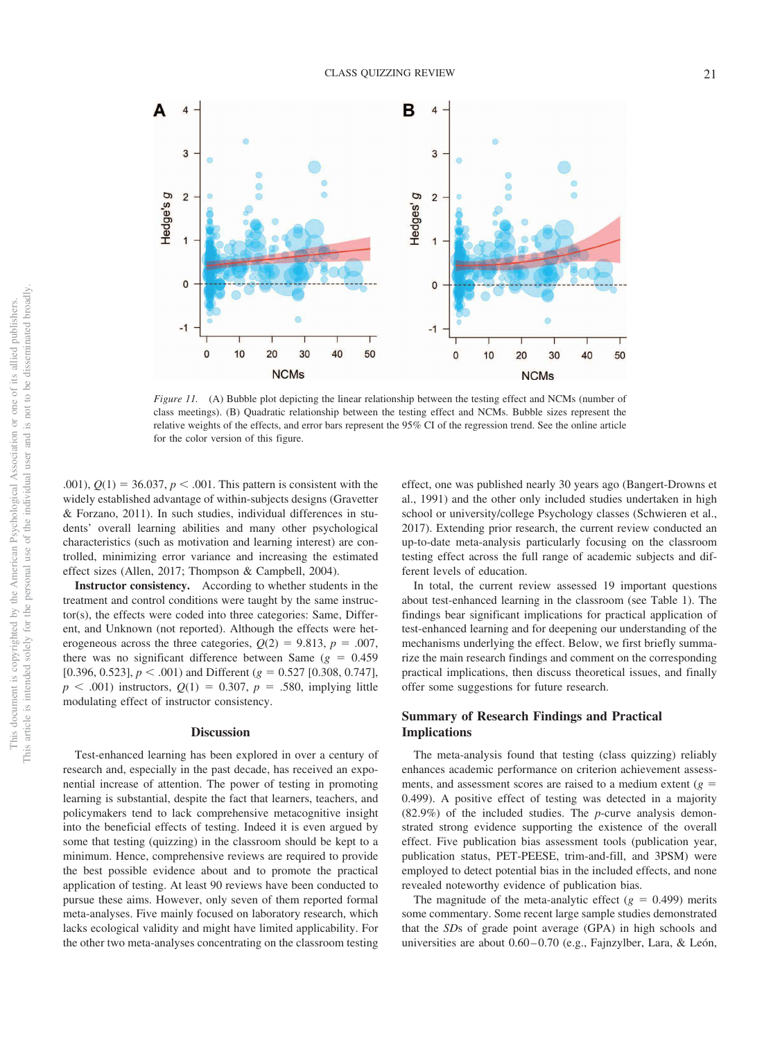

*Figure 11.* (A) Bubble plot depicting the linear relationship between the testing effect and NCMs (number of class meetings). (B) Quadratic relationship between the testing effect and NCMs. Bubble sizes represent the relative weights of the effects, and error bars represent the 95% CI of the regression trend. See the online article for the color version of this figure.

.001),  $Q(1) = 36.037, p < .001$ . This pattern is consistent with the widely established advantage of within-subjects designs (Gravetter & Forzano, 2011). In such studies, individual differences in students' overall learning abilities and many other psychological characteristics (such as motivation and learning interest) are controlled, minimizing error variance and increasing the estimated effect sizes (Allen, 2017; Thompson & Campbell, 2004).

**Instructor consistency.** According to whether students in the treatment and control conditions were taught by the same instructor(s), the effects were coded into three categories: Same, Different, and Unknown (not reported). Although the effects were heterogeneous across the three categories,  $Q(2) = 9.813$ ,  $p = .007$ , there was no significant difference between Same  $(g = 0.459)$ [0.396, 0.523],  $p < .001$ ) and Different ( $g = 0.527$  [0.308, 0.747],  $p < .001$ ) instructors,  $Q(1) = 0.307$ ,  $p = .580$ , implying little modulating effect of instructor consistency.

#### **Discussion**

Test-enhanced learning has been explored in over a century of research and, especially in the past decade, has received an exponential increase of attention. The power of testing in promoting learning is substantial, despite the fact that learners, teachers, and policymakers tend to lack comprehensive metacognitive insight into the beneficial effects of testing. Indeed it is even argued by some that testing (quizzing) in the classroom should be kept to a minimum. Hence, comprehensive reviews are required to provide the best possible evidence about and to promote the practical application of testing. At least 90 reviews have been conducted to pursue these aims. However, only seven of them reported formal meta-analyses. Five mainly focused on laboratory research, which lacks ecological validity and might have limited applicability. For the other two meta-analyses concentrating on the classroom testing

effect, one was published nearly 30 years ago (Bangert-Drowns et al., 1991) and the other only included studies undertaken in high school or university/college Psychology classes (Schwieren et al., 2017). Extending prior research, the current review conducted an up-to-date meta-analysis particularly focusing on the classroom testing effect across the full range of academic subjects and different levels of education.

In total, the current review assessed 19 important questions about test-enhanced learning in the classroom (see Table 1). The findings bear significant implications for practical application of test-enhanced learning and for deepening our understanding of the mechanisms underlying the effect. Below, we first briefly summarize the main research findings and comment on the corresponding practical implications, then discuss theoretical issues, and finally offer some suggestions for future research.

## **Summary of Research Findings and Practical Implications**

The meta-analysis found that testing (class quizzing) reliably enhances academic performance on criterion achievement assessments, and assessment scores are raised to a medium extent  $(g =$ 0.499). A positive effect of testing was detected in a majority (82.9%) of the included studies. The *p*-curve analysis demonstrated strong evidence supporting the existence of the overall effect. Five publication bias assessment tools (publication year, publication status, PET-PEESE, trim-and-fill, and 3PSM) were employed to detect potential bias in the included effects, and none revealed noteworthy evidence of publication bias.

The magnitude of the meta-analytic effect  $(g = 0.499)$  merits some commentary. Some recent large sample studies demonstrated that the *SD*s of grade point average (GPA) in high schools and universities are about 0.60 – 0.70 (e.g., Fajnzylber, Lara, & León,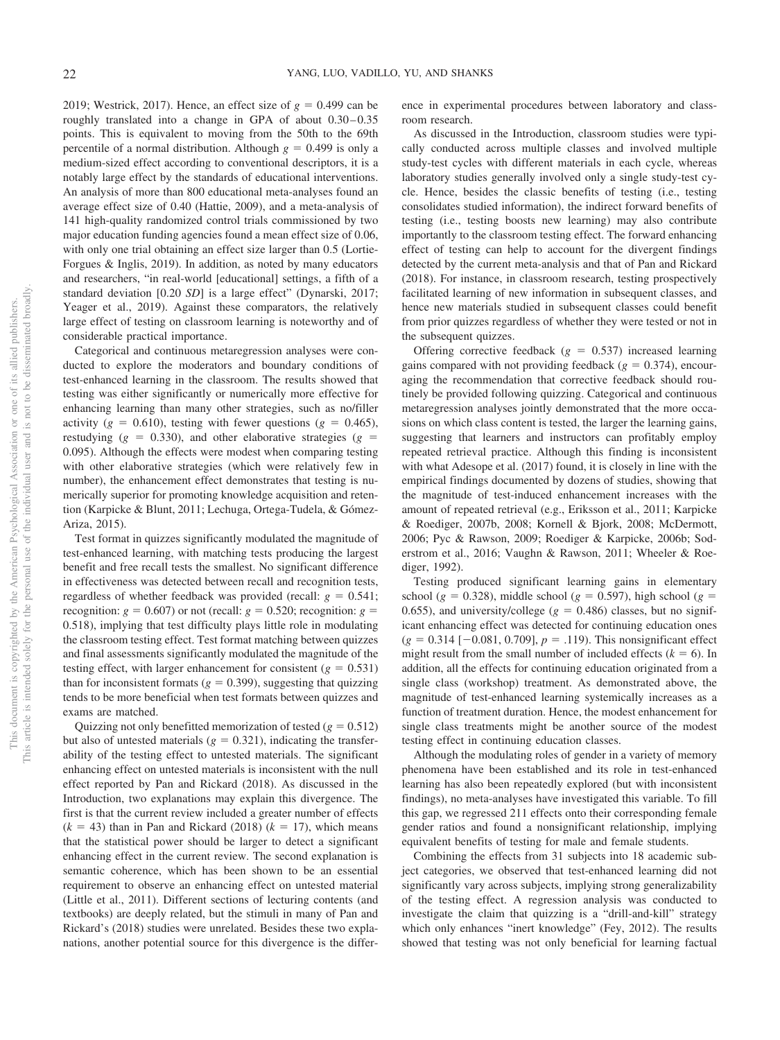2019; Westrick, 2017). Hence, an effect size of  $g = 0.499$  can be roughly translated into a change in GPA of about  $0.30 - 0.35$ points. This is equivalent to moving from the 50th to the 69th percentile of a normal distribution. Although  $g = 0.499$  is only a medium-sized effect according to conventional descriptors, it is a notably large effect by the standards of educational interventions. An analysis of more than 800 educational meta-analyses found an average effect size of 0.40 (Hattie, 2009), and a meta-analysis of 141 high-quality randomized control trials commissioned by two major education funding agencies found a mean effect size of 0.06, with only one trial obtaining an effect size larger than 0.5 (Lortie-Forgues & Inglis, 2019). In addition, as noted by many educators and researchers, "in real-world [educational] settings, a fifth of a standard deviation [0.20 *SD*] is a large effect" (Dynarski, 2017; Yeager et al., 2019). Against these comparators, the relatively large effect of testing on classroom learning is noteworthy and of considerable practical importance.

Categorical and continuous metaregression analyses were conducted to explore the moderators and boundary conditions of test-enhanced learning in the classroom. The results showed that testing was either significantly or numerically more effective for enhancing learning than many other strategies, such as no/filler activity ( $g = 0.610$ ), testing with fewer questions ( $g = 0.465$ ), restudying  $(g = 0.330)$ , and other elaborative strategies  $(g =$ 0.095). Although the effects were modest when comparing testing with other elaborative strategies (which were relatively few in number), the enhancement effect demonstrates that testing is numerically superior for promoting knowledge acquisition and retention (Karpicke & Blunt, 2011; Lechuga, Ortega-Tudela, & Gómez-Ariza, 2015).

Test format in quizzes significantly modulated the magnitude of test-enhanced learning, with matching tests producing the largest benefit and free recall tests the smallest. No significant difference in effectiveness was detected between recall and recognition tests, regardless of whether feedback was provided (recall:  $g = 0.541$ ; recognition:  $g = 0.607$ ) or not (recall:  $g = 0.520$ ; recognition:  $g =$ 0.518), implying that test difficulty plays little role in modulating the classroom testing effect. Test format matching between quizzes and final assessments significantly modulated the magnitude of the testing effect, with larger enhancement for consistent  $(g = 0.531)$ than for inconsistent formats  $(g = 0.399)$ , suggesting that quizzing tends to be more beneficial when test formats between quizzes and exams are matched.

Quizzing not only benefitted memorization of tested  $(g = 0.512)$ but also of untested materials  $(g = 0.321)$ , indicating the transferability of the testing effect to untested materials. The significant enhancing effect on untested materials is inconsistent with the null effect reported by Pan and Rickard (2018). As discussed in the Introduction, two explanations may explain this divergence. The first is that the current review included a greater number of effects  $(k = 43)$  than in Pan and Rickard (2018)  $(k = 17)$ , which means that the statistical power should be larger to detect a significant enhancing effect in the current review. The second explanation is semantic coherence, which has been shown to be an essential requirement to observe an enhancing effect on untested material (Little et al., 2011). Different sections of lecturing contents (and textbooks) are deeply related, but the stimuli in many of Pan and Rickard's (2018) studies were unrelated. Besides these two explanations, another potential source for this divergence is the difference in experimental procedures between laboratory and classroom research.

As discussed in the Introduction, classroom studies were typically conducted across multiple classes and involved multiple study-test cycles with different materials in each cycle, whereas laboratory studies generally involved only a single study-test cycle. Hence, besides the classic benefits of testing (i.e., testing consolidates studied information), the indirect forward benefits of testing (i.e., testing boosts new learning) may also contribute importantly to the classroom testing effect. The forward enhancing effect of testing can help to account for the divergent findings detected by the current meta-analysis and that of Pan and Rickard (2018). For instance, in classroom research, testing prospectively facilitated learning of new information in subsequent classes, and hence new materials studied in subsequent classes could benefit from prior quizzes regardless of whether they were tested or not in the subsequent quizzes.

Offering corrective feedback  $(g = 0.537)$  increased learning gains compared with not providing feedback  $(g = 0.374)$ , encouraging the recommendation that corrective feedback should routinely be provided following quizzing. Categorical and continuous metaregression analyses jointly demonstrated that the more occasions on which class content is tested, the larger the learning gains, suggesting that learners and instructors can profitably employ repeated retrieval practice. Although this finding is inconsistent with what Adesope et al. (2017) found, it is closely in line with the empirical findings documented by dozens of studies, showing that the magnitude of test-induced enhancement increases with the amount of repeated retrieval (e.g., Eriksson et al., 2011; Karpicke & Roediger, 2007b, 2008; Kornell & Bjork, 2008; McDermott, 2006; Pyc & Rawson, 2009; Roediger & Karpicke, 2006b; Soderstrom et al., 2016; Vaughn & Rawson, 2011; Wheeler & Roediger, 1992).

Testing produced significant learning gains in elementary school ( $g = 0.328$ ), middle school ( $g = 0.597$ ), high school ( $g =$ 0.655), and university/college  $(g = 0.486)$  classes, but no significant enhancing effect was detected for continuing education ones  $(g = 0.314 [-0.081, 0.709], p = .119)$ . This nonsignificant effect might result from the small number of included effects  $(k = 6)$ . In addition, all the effects for continuing education originated from a single class (workshop) treatment. As demonstrated above, the magnitude of test-enhanced learning systemically increases as a function of treatment duration. Hence, the modest enhancement for single class treatments might be another source of the modest testing effect in continuing education classes.

Although the modulating roles of gender in a variety of memory phenomena have been established and its role in test-enhanced learning has also been repeatedly explored (but with inconsistent findings), no meta-analyses have investigated this variable. To fill this gap, we regressed 211 effects onto their corresponding female gender ratios and found a nonsignificant relationship, implying equivalent benefits of testing for male and female students.

Combining the effects from 31 subjects into 18 academic subject categories, we observed that test-enhanced learning did not significantly vary across subjects, implying strong generalizability of the testing effect. A regression analysis was conducted to investigate the claim that quizzing is a "drill-and-kill" strategy which only enhances "inert knowledge" (Fey, 2012). The results showed that testing was not only beneficial for learning factual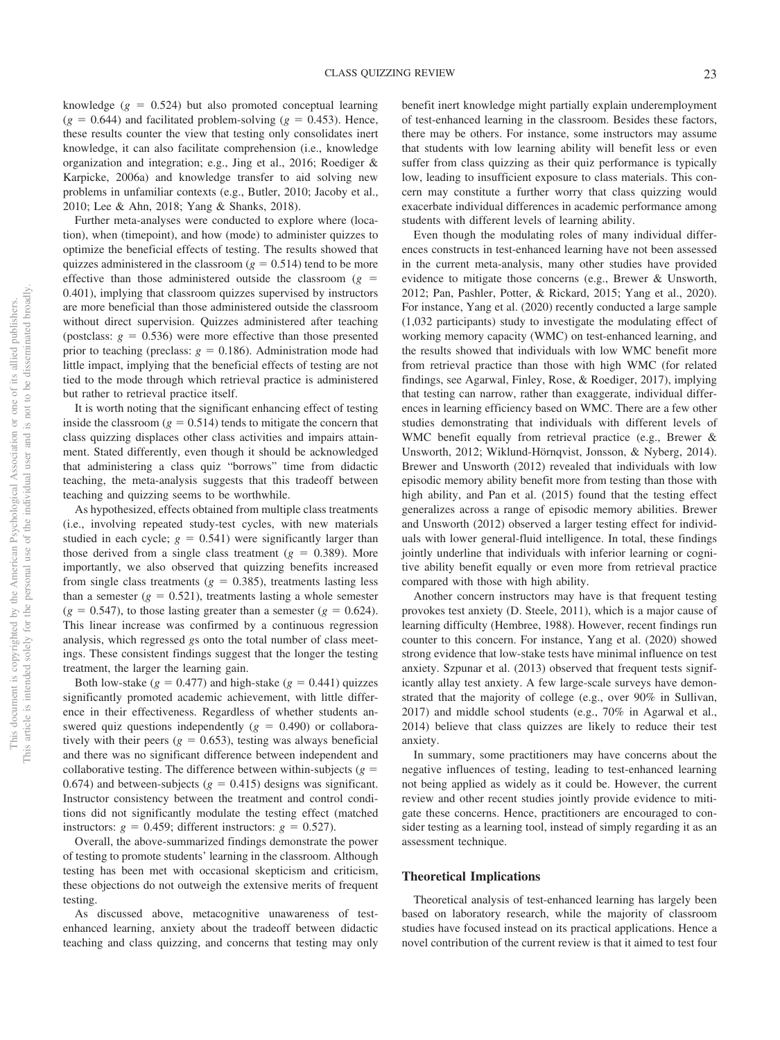knowledge  $(g = 0.524)$  but also promoted conceptual learning  $(g = 0.644)$  and facilitated problem-solving  $(g = 0.453)$ . Hence, these results counter the view that testing only consolidates inert knowledge, it can also facilitate comprehension (i.e., knowledge organization and integration; e.g., Jing et al., 2016; Roediger & Karpicke, 2006a) and knowledge transfer to aid solving new problems in unfamiliar contexts (e.g., Butler, 2010; Jacoby et al., 2010; Lee & Ahn, 2018; Yang & Shanks, 2018).

Further meta-analyses were conducted to explore where (location), when (timepoint), and how (mode) to administer quizzes to optimize the beneficial effects of testing. The results showed that quizzes administered in the classroom  $(g = 0.514)$  tend to be more effective than those administered outside the classroom  $(g =$ 0.401), implying that classroom quizzes supervised by instructors are more beneficial than those administered outside the classroom without direct supervision. Quizzes administered after teaching (postclass:  $g = 0.536$ ) were more effective than those presented prior to teaching (preclass:  $g = 0.186$ ). Administration mode had little impact, implying that the beneficial effects of testing are not tied to the mode through which retrieval practice is administered but rather to retrieval practice itself.

It is worth noting that the significant enhancing effect of testing inside the classroom  $(g = 0.514)$  tends to mitigate the concern that class quizzing displaces other class activities and impairs attainment. Stated differently, even though it should be acknowledged that administering a class quiz "borrows" time from didactic teaching, the meta-analysis suggests that this tradeoff between teaching and quizzing seems to be worthwhile.

As hypothesized, effects obtained from multiple class treatments (i.e., involving repeated study-test cycles, with new materials studied in each cycle;  $g = 0.541$ ) were significantly larger than those derived from a single class treatment  $(g = 0.389)$ . More importantly, we also observed that quizzing benefits increased from single class treatments ( $g = 0.385$ ), treatments lasting less than a semester  $(g = 0.521)$ , treatments lasting a whole semester  $(g = 0.547)$ , to those lasting greater than a semester  $(g = 0.624)$ . This linear increase was confirmed by a continuous regression analysis, which regressed *g*s onto the total number of class meetings. These consistent findings suggest that the longer the testing treatment, the larger the learning gain.

Both low-stake  $(g = 0.477)$  and high-stake  $(g = 0.441)$  quizzes significantly promoted academic achievement, with little difference in their effectiveness. Regardless of whether students answered quiz questions independently  $(g = 0.490)$  or collaboratively with their peers  $(g = 0.653)$ , testing was always beneficial and there was no significant difference between independent and collaborative testing. The difference between within-subjects ( $g =$ 0.674) and between-subjects  $(g = 0.415)$  designs was significant. Instructor consistency between the treatment and control conditions did not significantly modulate the testing effect (matched instructors:  $g = 0.459$ ; different instructors:  $g = 0.527$ ).

Overall, the above-summarized findings demonstrate the power of testing to promote students' learning in the classroom. Although testing has been met with occasional skepticism and criticism, these objections do not outweigh the extensive merits of frequent testing.

As discussed above, metacognitive unawareness of testenhanced learning, anxiety about the tradeoff between didactic teaching and class quizzing, and concerns that testing may only benefit inert knowledge might partially explain underemployment of test-enhanced learning in the classroom. Besides these factors, there may be others. For instance, some instructors may assume that students with low learning ability will benefit less or even suffer from class quizzing as their quiz performance is typically low, leading to insufficient exposure to class materials. This concern may constitute a further worry that class quizzing would exacerbate individual differences in academic performance among students with different levels of learning ability.

Even though the modulating roles of many individual differences constructs in test-enhanced learning have not been assessed in the current meta-analysis, many other studies have provided evidence to mitigate those concerns (e.g., Brewer & Unsworth, 2012; Pan, Pashler, Potter, & Rickard, 2015; Yang et al., 2020). For instance, Yang et al. (2020) recently conducted a large sample (1,032 participants) study to investigate the modulating effect of working memory capacity (WMC) on test-enhanced learning, and the results showed that individuals with low WMC benefit more from retrieval practice than those with high WMC (for related findings, see Agarwal, Finley, Rose, & Roediger, 2017), implying that testing can narrow, rather than exaggerate, individual differences in learning efficiency based on WMC. There are a few other studies demonstrating that individuals with different levels of WMC benefit equally from retrieval practice (e.g., Brewer & Unsworth, 2012; Wiklund-Hörnqvist, Jonsson, & Nyberg, 2014). Brewer and Unsworth (2012) revealed that individuals with low episodic memory ability benefit more from testing than those with high ability, and Pan et al. (2015) found that the testing effect generalizes across a range of episodic memory abilities. Brewer and Unsworth (2012) observed a larger testing effect for individuals with lower general-fluid intelligence. In total, these findings jointly underline that individuals with inferior learning or cognitive ability benefit equally or even more from retrieval practice compared with those with high ability.

Another concern instructors may have is that frequent testing provokes test anxiety (D. Steele, 2011), which is a major cause of learning difficulty (Hembree, 1988). However, recent findings run counter to this concern. For instance, Yang et al. (2020) showed strong evidence that low-stake tests have minimal influence on test anxiety. Szpunar et al. (2013) observed that frequent tests significantly allay test anxiety. A few large-scale surveys have demonstrated that the majority of college (e.g., over 90% in Sullivan, 2017) and middle school students (e.g., 70% in Agarwal et al., 2014) believe that class quizzes are likely to reduce their test anxiety.

In summary, some practitioners may have concerns about the negative influences of testing, leading to test-enhanced learning not being applied as widely as it could be. However, the current review and other recent studies jointly provide evidence to mitigate these concerns. Hence, practitioners are encouraged to consider testing as a learning tool, instead of simply regarding it as an assessment technique.

### **Theoretical Implications**

Theoretical analysis of test-enhanced learning has largely been based on laboratory research, while the majority of classroom studies have focused instead on its practical applications. Hence a novel contribution of the current review is that it aimed to test four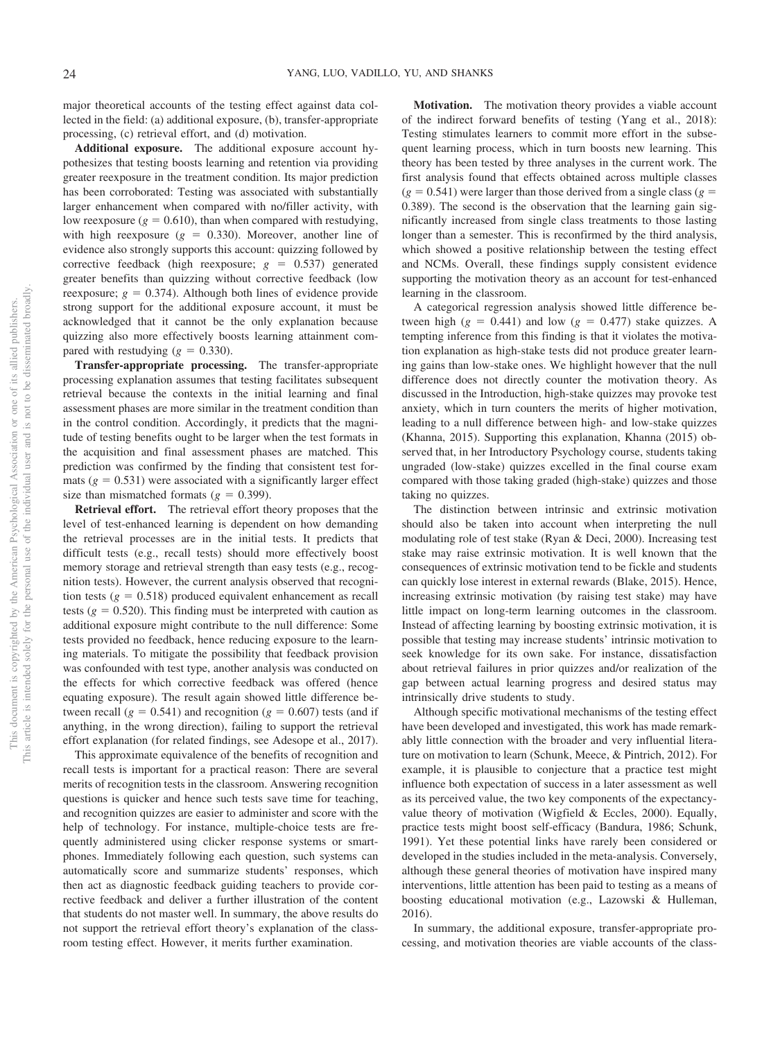major theoretical accounts of the testing effect against data collected in the field: (a) additional exposure, (b), transfer-appropriate processing, (c) retrieval effort, and (d) motivation.

**Additional exposure.** The additional exposure account hypothesizes that testing boosts learning and retention via providing greater reexposure in the treatment condition. Its major prediction has been corroborated: Testing was associated with substantially larger enhancement when compared with no/filler activity, with low reexposure  $(g = 0.610)$ , than when compared with restudying, with high reexposure  $(g = 0.330)$ . Moreover, another line of evidence also strongly supports this account: quizzing followed by corrective feedback (high reexposure;  $g = 0.537$ ) generated greater benefits than quizzing without corrective feedback (low reexposure;  $g = 0.374$ ). Although both lines of evidence provide strong support for the additional exposure account, it must be acknowledged that it cannot be the only explanation because quizzing also more effectively boosts learning attainment compared with restudying  $(g = 0.330)$ .

**Transfer-appropriate processing.** The transfer-appropriate processing explanation assumes that testing facilitates subsequent retrieval because the contexts in the initial learning and final assessment phases are more similar in the treatment condition than in the control condition. Accordingly, it predicts that the magnitude of testing benefits ought to be larger when the test formats in the acquisition and final assessment phases are matched. This prediction was confirmed by the finding that consistent test formats  $(g = 0.531)$  were associated with a significantly larger effect size than mismatched formats  $(g = 0.399)$ .

**Retrieval effort.** The retrieval effort theory proposes that the level of test-enhanced learning is dependent on how demanding the retrieval processes are in the initial tests. It predicts that difficult tests (e.g., recall tests) should more effectively boost memory storage and retrieval strength than easy tests (e.g., recognition tests). However, the current analysis observed that recognition tests  $(g = 0.518)$  produced equivalent enhancement as recall tests  $(g = 0.520)$ . This finding must be interpreted with caution as additional exposure might contribute to the null difference: Some tests provided no feedback, hence reducing exposure to the learning materials. To mitigate the possibility that feedback provision was confounded with test type, another analysis was conducted on the effects for which corrective feedback was offered (hence equating exposure). The result again showed little difference between recall  $(g = 0.541)$  and recognition  $(g = 0.607)$  tests (and if anything, in the wrong direction), failing to support the retrieval effort explanation (for related findings, see Adesope et al., 2017).

This approximate equivalence of the benefits of recognition and recall tests is important for a practical reason: There are several merits of recognition tests in the classroom. Answering recognition questions is quicker and hence such tests save time for teaching, and recognition quizzes are easier to administer and score with the help of technology. For instance, multiple-choice tests are frequently administered using clicker response systems or smartphones. Immediately following each question, such systems can automatically score and summarize students' responses, which then act as diagnostic feedback guiding teachers to provide corrective feedback and deliver a further illustration of the content that students do not master well. In summary, the above results do not support the retrieval effort theory's explanation of the classroom testing effect. However, it merits further examination.

**Motivation.** The motivation theory provides a viable account of the indirect forward benefits of testing (Yang et al., 2018): Testing stimulates learners to commit more effort in the subsequent learning process, which in turn boosts new learning. This theory has been tested by three analyses in the current work. The first analysis found that effects obtained across multiple classes  $(g = 0.541)$  were larger than those derived from a single class  $(g = 0.541)$ 0.389). The second is the observation that the learning gain significantly increased from single class treatments to those lasting longer than a semester. This is reconfirmed by the third analysis, which showed a positive relationship between the testing effect and NCMs. Overall, these findings supply consistent evidence supporting the motivation theory as an account for test-enhanced learning in the classroom.

A categorical regression analysis showed little difference between high  $(g = 0.441)$  and low  $(g = 0.477)$  stake quizzes. A tempting inference from this finding is that it violates the motivation explanation as high-stake tests did not produce greater learning gains than low-stake ones. We highlight however that the null difference does not directly counter the motivation theory. As discussed in the Introduction, high-stake quizzes may provoke test anxiety, which in turn counters the merits of higher motivation, leading to a null difference between high- and low-stake quizzes (Khanna, 2015). Supporting this explanation, Khanna (2015) observed that, in her Introductory Psychology course, students taking ungraded (low-stake) quizzes excelled in the final course exam compared with those taking graded (high-stake) quizzes and those taking no quizzes.

The distinction between intrinsic and extrinsic motivation should also be taken into account when interpreting the null modulating role of test stake (Ryan & Deci, 2000). Increasing test stake may raise extrinsic motivation. It is well known that the consequences of extrinsic motivation tend to be fickle and students can quickly lose interest in external rewards (Blake, 2015). Hence, increasing extrinsic motivation (by raising test stake) may have little impact on long-term learning outcomes in the classroom. Instead of affecting learning by boosting extrinsic motivation, it is possible that testing may increase students' intrinsic motivation to seek knowledge for its own sake. For instance, dissatisfaction about retrieval failures in prior quizzes and/or realization of the gap between actual learning progress and desired status may intrinsically drive students to study.

Although specific motivational mechanisms of the testing effect have been developed and investigated, this work has made remarkably little connection with the broader and very influential literature on motivation to learn (Schunk, Meece, & Pintrich, 2012). For example, it is plausible to conjecture that a practice test might influence both expectation of success in a later assessment as well as its perceived value, the two key components of the expectancyvalue theory of motivation (Wigfield & Eccles, 2000). Equally, practice tests might boost self-efficacy (Bandura, 1986; Schunk, 1991). Yet these potential links have rarely been considered or developed in the studies included in the meta-analysis. Conversely, although these general theories of motivation have inspired many interventions, little attention has been paid to testing as a means of boosting educational motivation (e.g., Lazowski & Hulleman, 2016).

In summary, the additional exposure, transfer-appropriate processing, and motivation theories are viable accounts of the class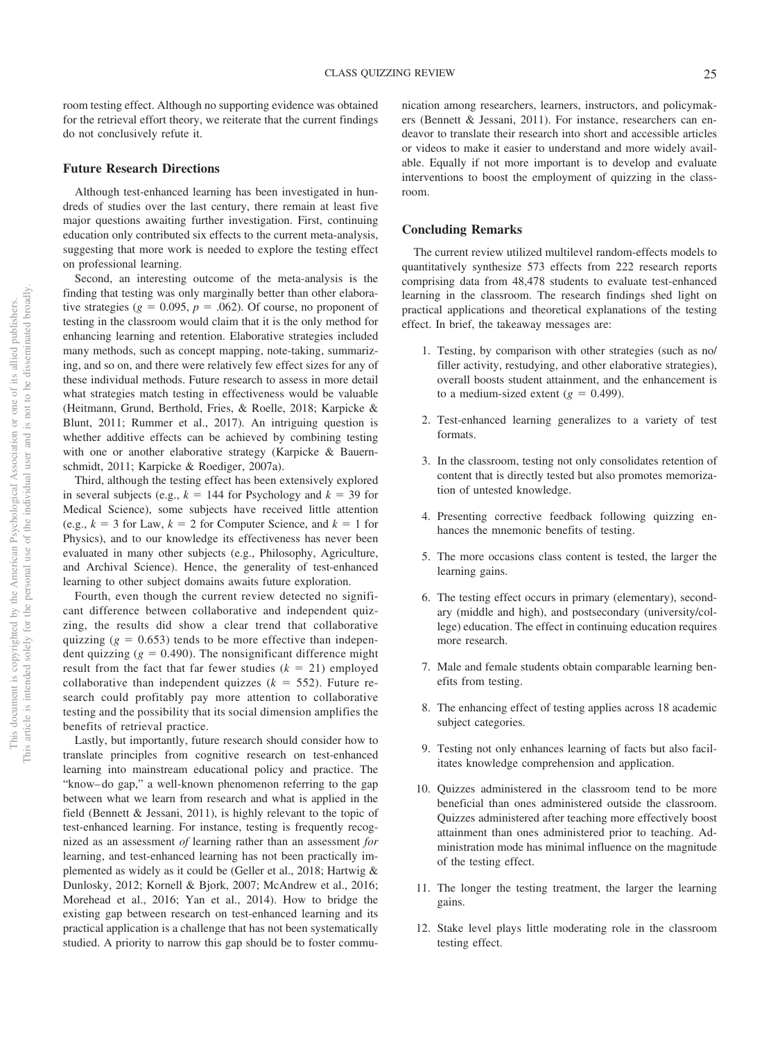room testing effect. Although no supporting evidence was obtained for the retrieval effort theory, we reiterate that the current findings do not conclusively refute it.

#### **Future Research Directions**

Although test-enhanced learning has been investigated in hundreds of studies over the last century, there remain at least five major questions awaiting further investigation. First, continuing education only contributed six effects to the current meta-analysis, suggesting that more work is needed to explore the testing effect on professional learning.

Second, an interesting outcome of the meta-analysis is the finding that testing was only marginally better than other elaborative strategies ( $g = 0.095$ ,  $p = 0.062$ ). Of course, no proponent of testing in the classroom would claim that it is the only method for enhancing learning and retention. Elaborative strategies included many methods, such as concept mapping, note-taking, summarizing, and so on, and there were relatively few effect sizes for any of these individual methods. Future research to assess in more detail what strategies match testing in effectiveness would be valuable (Heitmann, Grund, Berthold, Fries, & Roelle, 2018; Karpicke & Blunt, 2011; Rummer et al., 2017). An intriguing question is whether additive effects can be achieved by combining testing with one or another elaborative strategy (Karpicke & Bauernschmidt, 2011; Karpicke & Roediger, 2007a).

Third, although the testing effect has been extensively explored in several subjects (e.g.,  $k = 144$  for Psychology and  $k = 39$  for Medical Science), some subjects have received little attention (e.g.,  $k = 3$  for Law,  $k = 2$  for Computer Science, and  $k = 1$  for Physics), and to our knowledge its effectiveness has never been evaluated in many other subjects (e.g., Philosophy, Agriculture, and Archival Science). Hence, the generality of test-enhanced learning to other subject domains awaits future exploration.

Fourth, even though the current review detected no significant difference between collaborative and independent quizzing, the results did show a clear trend that collaborative quizzing  $(g = 0.653)$  tends to be more effective than independent quizzing  $(g = 0.490)$ . The nonsignificant difference might result from the fact that far fewer studies  $(k = 21)$  employed collaborative than independent quizzes  $(k = 552)$ . Future research could profitably pay more attention to collaborative testing and the possibility that its social dimension amplifies the benefits of retrieval practice.

Lastly, but importantly, future research should consider how to translate principles from cognitive research on test-enhanced learning into mainstream educational policy and practice. The "know– do gap," a well-known phenomenon referring to the gap between what we learn from research and what is applied in the field (Bennett & Jessani, 2011), is highly relevant to the topic of test-enhanced learning. For instance, testing is frequently recognized as an assessment *of* learning rather than an assessment *for* learning, and test-enhanced learning has not been practically implemented as widely as it could be (Geller et al., 2018; Hartwig & Dunlosky, 2012; Kornell & Bjork, 2007; McAndrew et al., 2016; Morehead et al., 2016; Yan et al., 2014). How to bridge the existing gap between research on test-enhanced learning and its practical application is a challenge that has not been systematically studied. A priority to narrow this gap should be to foster communication among researchers, learners, instructors, and policymakers (Bennett & Jessani, 2011). For instance, researchers can endeavor to translate their research into short and accessible articles or videos to make it easier to understand and more widely available. Equally if not more important is to develop and evaluate interventions to boost the employment of quizzing in the classroom.

### **Concluding Remarks**

The current review utilized multilevel random-effects models to quantitatively synthesize 573 effects from 222 research reports comprising data from 48,478 students to evaluate test-enhanced learning in the classroom. The research findings shed light on practical applications and theoretical explanations of the testing effect. In brief, the takeaway messages are:

- 1. Testing, by comparison with other strategies (such as no/ filler activity, restudying, and other elaborative strategies), overall boosts student attainment, and the enhancement is to a medium-sized extent  $(g = 0.499)$ .
- 2. Test-enhanced learning generalizes to a variety of test formats.
- 3. In the classroom, testing not only consolidates retention of content that is directly tested but also promotes memorization of untested knowledge.
- 4. Presenting corrective feedback following quizzing enhances the mnemonic benefits of testing.
- 5. The more occasions class content is tested, the larger the learning gains.
- 6. The testing effect occurs in primary (elementary), secondary (middle and high), and postsecondary (university/college) education. The effect in continuing education requires more research.
- 7. Male and female students obtain comparable learning benefits from testing.
- 8. The enhancing effect of testing applies across 18 academic subject categories.
- 9. Testing not only enhances learning of facts but also facilitates knowledge comprehension and application.
- 10. Quizzes administered in the classroom tend to be more beneficial than ones administered outside the classroom. Quizzes administered after teaching more effectively boost attainment than ones administered prior to teaching. Administration mode has minimal influence on the magnitude of the testing effect.
- 11. The longer the testing treatment, the larger the learning gains.
- 12. Stake level plays little moderating role in the classroom testing effect.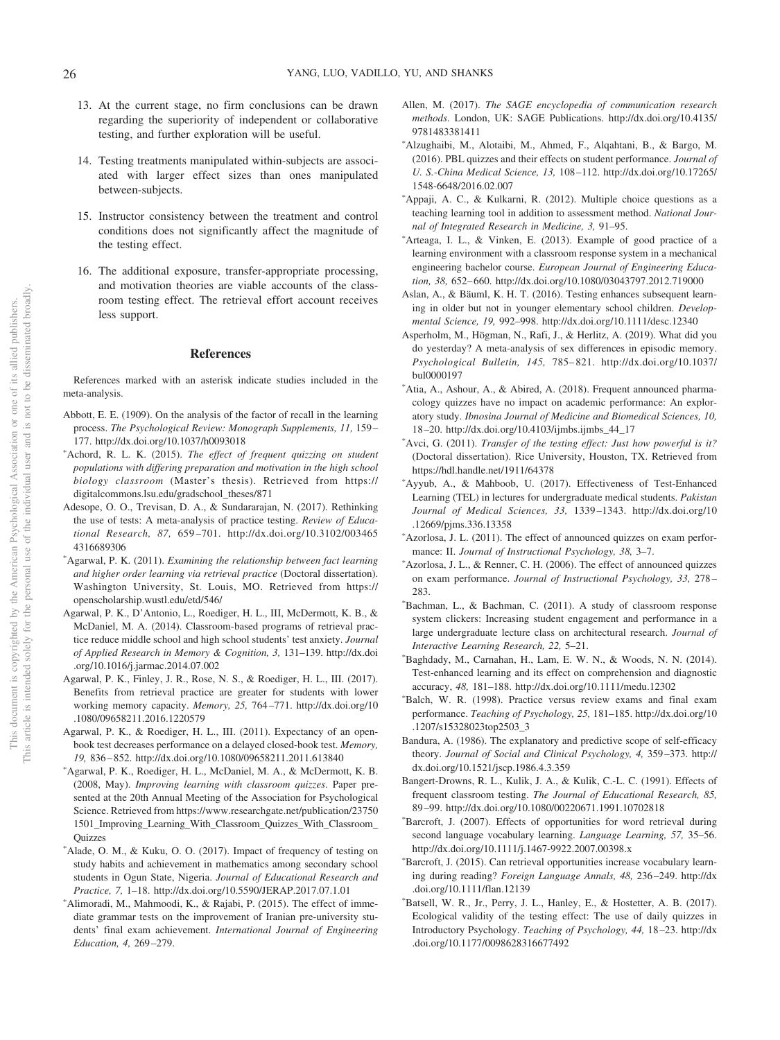- 13. At the current stage, no firm conclusions can be drawn regarding the superiority of independent or collaborative testing, and further exploration will be useful.
- 14. Testing treatments manipulated within-subjects are associated with larger effect sizes than ones manipulated between-subjects.
- 15. Instructor consistency between the treatment and control conditions does not significantly affect the magnitude of the testing effect.
- 16. The additional exposure, transfer-appropriate processing, and motivation theories are viable accounts of the classroom testing effect. The retrieval effort account receives less support.

### **References**

References marked with an asterisk indicate studies included in the meta-analysis.

- Abbott, E. E. (1909). On the analysis of the factor of recall in the learning process. *The Psychological Review: Monograph Supplements, 11,* 159 – 177. http://dx.doi.org/10.1037/h0093018
- -Achord, R. L. K. (2015). *The effect of frequent quizzing on student populations with differing preparation and motivation in the high school biology classroom* (Master's thesis). Retrieved from https:// digitalcommons.lsu.edu/gradschool\_theses/871
- Adesope, O. O., Trevisan, D. A., & Sundararajan, N. (2017). Rethinking the use of tests: A meta-analysis of practice testing. *Review of Educational Research, 87,* 659 –701. http://dx.doi.org/10.3102/003465 4316689306
- -Agarwal, P. K. (2011). *Examining the relationship between fact learning and higher order learning via retrieval practice* (Doctoral dissertation). Washington University, St. Louis, MO. Retrieved from https:// openscholarship.wustl.edu/etd/546/
- Agarwal, P. K., D'Antonio, L., Roediger, H. L., III, McDermott, K. B., & McDaniel, M. A. (2014). Classroom-based programs of retrieval practice reduce middle school and high school students' test anxiety. *Journal of Applied Research in Memory & Cognition, 3,* 131–139. http://dx.doi .org/10.1016/j.jarmac.2014.07.002
- Agarwal, P. K., Finley, J. R., Rose, N. S., & Roediger, H. L., III. (2017). Benefits from retrieval practice are greater for students with lower working memory capacity. *Memory, 25,* 764 –771. http://dx.doi.org/10 .1080/09658211.2016.1220579
- Agarwal, P. K., & Roediger, H. L., III. (2011). Expectancy of an openbook test decreases performance on a delayed closed-book test. *Memory, 19,* 836 – 852. http://dx.doi.org/10.1080/09658211.2011.613840
- -Agarwal, P. K., Roediger, H. L., McDaniel, M. A., & McDermott, K. B. (2008, May). *Improving learning with classroom quizzes*. Paper presented at the 20th Annual Meeting of the Association for Psychological Science. Retrieved from https://www.researchgate.net/publication/23750 1501\_Improving\_Learning\_With\_Classroom\_Quizzes\_With\_Classroom\_ Quizzes
- -Alade, O. M., & Kuku, O. O. (2017). Impact of frequency of testing on study habits and achievement in mathematics among secondary school students in Ogun State, Nigeria. *Journal of Educational Research and Practice, 7,* 1–18. http://dx.doi.org/10.5590/JERAP.2017.07.1.01
- \*Alimoradi, M., Mahmoodi, K., & Rajabi, P. (2015). The effect of immediate grammar tests on the improvement of Iranian pre-university students' final exam achievement. *International Journal of Engineering Education, 4,* 269 –279.
- Allen, M. (2017). *The SAGE encyclopedia of communication research methods*. London, UK: SAGE Publications. http://dx.doi.org/10.4135/ 9781483381411
- -Alzughaibi, M., Alotaibi, M., Ahmed, F., Alqahtani, B., & Bargo, M. (2016). PBL quizzes and their effects on student performance. *Journal of U. S.-China Medical Science, 13,* 108 –112. http://dx.doi.org/10.17265/ 1548-6648/2016.02.007
- -Appaji, A. C., & Kulkarni, R. (2012). Multiple choice questions as a teaching learning tool in addition to assessment method. *National Journal of Integrated Research in Medicine, 3,* 91–95.
- \*Arteaga, I. L., & Vinken, E. (2013). Example of good practice of a learning environment with a classroom response system in a mechanical engineering bachelor course. *European Journal of Engineering Education, 38,* 652– 660. http://dx.doi.org/10.1080/03043797.2012.719000
- Aslan, A., & Bäuml, K. H. T. (2016). Testing enhances subsequent learning in older but not in younger elementary school children. *Developmental Science, 19,* 992–998. http://dx.doi.org/10.1111/desc.12340
- Asperholm, M., Högman, N., Rafi, J., & Herlitz, A. (2019). What did you do yesterday? A meta-analysis of sex differences in episodic memory. *Psychological Bulletin, 145,* 785– 821. http://dx.doi.org/10.1037/ bul0000197
- \*Atia, A., Ashour, A., & Abired, A. (2018). Frequent announced pharmacology quizzes have no impact on academic performance: An exploratory study. *Ibnosina Journal of Medicine and Biomedical Sciences, 10,* 18 –20. http://dx.doi.org/10.4103/ijmbs.ijmbs\_44\_17
- \*Avci, G. (2011). *Transfer of the testing effect: Just how powerful is it?* (Doctoral dissertation). Rice University, Houston, TX. Retrieved from https://hdl.handle.net/1911/64378
- -Ayyub, A., & Mahboob, U. (2017). Effectiveness of Test-Enhanced Learning (TEL) in lectures for undergraduate medical students. *Pakistan Journal of Medical Sciences, 33,* 1339 –1343. http://dx.doi.org/10 .12669/pjms.336.13358
- -Azorlosa, J. L. (2011). The effect of announced quizzes on exam performance: II. *Journal of Instructional Psychology, 38,* 3–7.
- -Azorlosa, J. L., & Renner, C. H. (2006). The effect of announced quizzes on exam performance. *Journal of Instructional Psychology, 33,* 278 – 283.
- -Bachman, L., & Bachman, C. (2011). A study of classroom response system clickers: Increasing student engagement and performance in a large undergraduate lecture class on architectural research. *Journal of Interactive Learning Research, 22,* 5–21.
- -Baghdady, M., Carnahan, H., Lam, E. W. N., & Woods, N. N. (2014). Test-enhanced learning and its effect on comprehension and diagnostic accuracy, *48,* 181–188. http://dx.doi.org/10.1111/medu.12302
- -Balch, W. R. (1998). Practice versus review exams and final exam performance. *Teaching of Psychology, 25,* 181–185. http://dx.doi.org/10 .1207/s15328023top2503\_3
- Bandura, A. (1986). The explanatory and predictive scope of self-efficacy theory. *Journal of Social and Clinical Psychology, 4,* 359 –373. http:// dx.doi.org/10.1521/jscp.1986.4.3.359
- Bangert-Drowns, R. L., Kulik, J. A., & Kulik, C.-L. C. (1991). Effects of frequent classroom testing. *The Journal of Educational Research, 85,* 89 –99. http://dx.doi.org/10.1080/00220671.1991.10702818
- -Barcroft, J. (2007). Effects of opportunities for word retrieval during second language vocabulary learning. *Language Learning, 57,* 35–56. http://dx.doi.org/10.1111/j.1467-9922.2007.00398.x
- -Barcroft, J. (2015). Can retrieval opportunities increase vocabulary learning during reading? *Foreign Language Annals, 48,* 236 –249. http://dx .doi.org/10.1111/flan.12139
- -Batsell, W. R., Jr., Perry, J. L., Hanley, E., & Hostetter, A. B. (2017). Ecological validity of the testing effect: The use of daily quizzes in Introductory Psychology. *Teaching of Psychology, 44,* 18 –23. http://dx .doi.org/10.1177/0098628316677492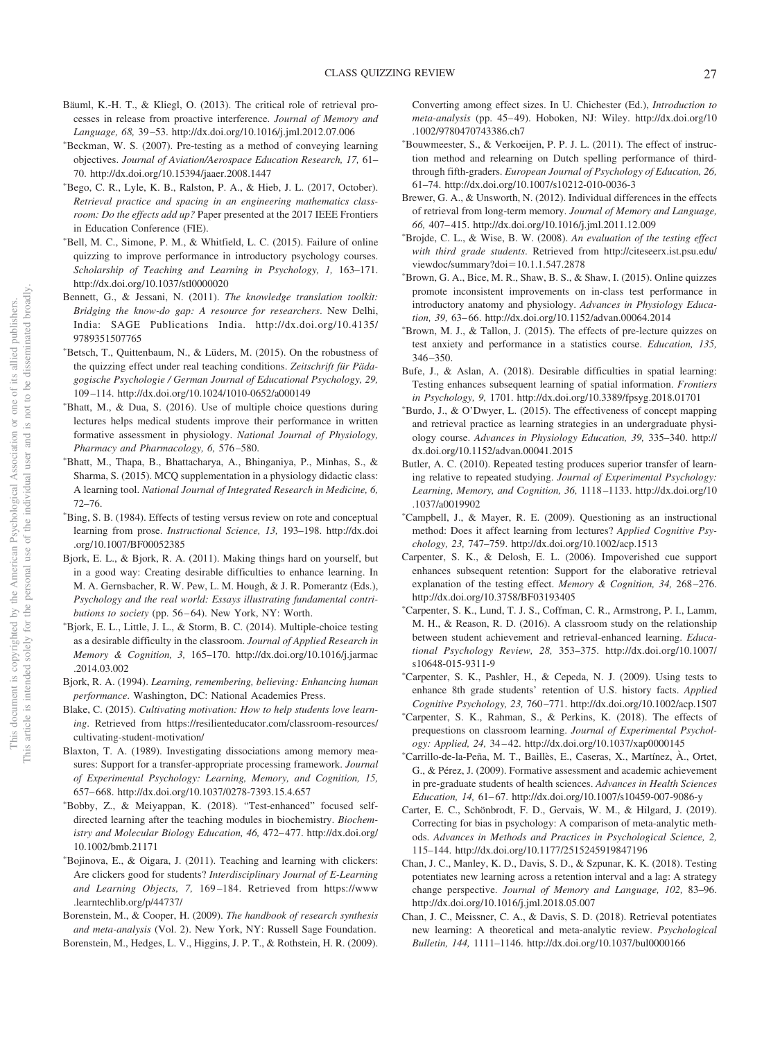- Bäuml, K.-H. T., & Kliegl, O. (2013). The critical role of retrieval processes in release from proactive interference. *Journal of Memory and Language, 68,* 39 –53. http://dx.doi.org/10.1016/j.jml.2012.07.006
- -Beckman, W. S. (2007). Pre-testing as a method of conveying learning objectives. *Journal of Aviation/Aerospace Education Research, 17,* 61– 70. http://dx.doi.org/10.15394/jaaer.2008.1447
- -Bego, C. R., Lyle, K. B., Ralston, P. A., & Hieb, J. L. (2017, October). *Retrieval practice and spacing in an engineering mathematics classroom: Do the effects add up?* Paper presented at the 2017 IEEE Frontiers in Education Conference (FIE).
- -Bell, M. C., Simone, P. M., & Whitfield, L. C. (2015). Failure of online quizzing to improve performance in introductory psychology courses. *Scholarship of Teaching and Learning in Psychology, 1,* 163–171. http://dx.doi.org/10.1037/stl0000020
- Bennett, G., & Jessani, N. (2011). *The knowledge translation toolkit: Bridging the know-do gap: A resource for researchers*. New Delhi, India: SAGE Publications India. http://dx.doi.org/10.4135/ 9789351507765
- -Betsch, T., Quittenbaum, N., & Lüders, M. (2015). On the robustness of the quizzing effect under real teaching conditions. *Zeitschrift für Pädagogische Psychologie / German Journal of Educational Psychology, 29,* 109 –114. http://dx.doi.org/10.1024/1010-0652/a000149
- -Bhatt, M., & Dua, S. (2016). Use of multiple choice questions during lectures helps medical students improve their performance in written formative assessment in physiology. *National Journal of Physiology, Pharmacy and Pharmacology, 6,* 576 –580.
- -Bhatt, M., Thapa, B., Bhattacharya, A., Bhinganiya, P., Minhas, S., & Sharma, S. (2015). MCQ supplementation in a physiology didactic class: A learning tool. *National Journal of Integrated Research in Medicine, 6,* 72–76.
- -Bing, S. B. (1984). Effects of testing versus review on rote and conceptual learning from prose. *Instructional Science, 13,* 193–198. http://dx.doi .org/10.1007/BF00052385
- Bjork, E. L., & Bjork, R. A. (2011). Making things hard on yourself, but in a good way: Creating desirable difficulties to enhance learning. In M. A. Gernsbacher, R. W. Pew, L. M. Hough, & J. R. Pomerantz (Eds.), *Psychology and the real world: Essays illustrating fundamental contributions to society* (pp. 56-64). New York, NY: Worth.
- -Bjork, E. L., Little, J. L., & Storm, B. C. (2014). Multiple-choice testing as a desirable difficulty in the classroom. *Journal of Applied Research in Memory & Cognition, 3,* 165–170. http://dx.doi.org/10.1016/j.jarmac .2014.03.002
- Bjork, R. A. (1994). *Learning, remembering, believing: Enhancing human performance*. Washington, DC: National Academies Press.
- Blake, C. (2015). *Cultivating motivation: How to help students love learning*. Retrieved from https://resilienteducator.com/classroom-resources/ cultivating-student-motivation/
- Blaxton, T. A. (1989). Investigating dissociations among memory measures: Support for a transfer-appropriate processing framework. *Journal of Experimental Psychology: Learning, Memory, and Cognition, 15,* 657– 668. http://dx.doi.org/10.1037/0278-7393.15.4.657
- -Bobby, Z., & Meiyappan, K. (2018). "Test-enhanced" focused selfdirected learning after the teaching modules in biochemistry. *Biochemistry and Molecular Biology Education, 46,* 472– 477. http://dx.doi.org/ 10.1002/bmb.21171
- -Bojinova, E., & Oigara, J. (2011). Teaching and learning with clickers: Are clickers good for students? *Interdisciplinary Journal of E-Learning and Learning Objects, 7,* 169 –184. Retrieved from https://www .learntechlib.org/p/44737/
- Borenstein, M., & Cooper, H. (2009). *The handbook of research synthesis and meta-analysis* (Vol. 2). New York, NY: Russell Sage Foundation.
- Borenstein, M., Hedges, L. V., Higgins, J. P. T., & Rothstein, H. R. (2009).

Converting among effect sizes. In U. Chichester (Ed.), *Introduction to meta-analysis* (pp. 45– 49). Hoboken, NJ: Wiley. http://dx.doi.org/10 .1002/9780470743386.ch7

- -Bouwmeester, S., & Verkoeijen, P. P. J. L. (2011). The effect of instruction method and relearning on Dutch spelling performance of thirdthrough fifth-graders. *European Journal of Psychology of Education, 26,* 61–74. http://dx.doi.org/10.1007/s10212-010-0036-3
- Brewer, G. A., & Unsworth, N. (2012). Individual differences in the effects of retrieval from long-term memory. *Journal of Memory and Language, 66,* 407– 415. http://dx.doi.org/10.1016/j.jml.2011.12.009
- -Brojde, C. L., & Wise, B. W. (2008). *An evaluation of the testing effect with third grade students*. Retrieved from http://citeseerx.ist.psu.edu/ viewdoc/summary?doi=10.1.1.547.2878
- -Brown, G. A., Bice, M. R., Shaw, B. S., & Shaw, I. (2015). Online quizzes promote inconsistent improvements on in-class test performance in introductory anatomy and physiology. *Advances in Physiology Education, 39,* 63– 66. http://dx.doi.org/10.1152/advan.00064.2014
- -Brown, M. J., & Tallon, J. (2015). The effects of pre-lecture quizzes on test anxiety and performance in a statistics course. *Education, 135,*  $346 - 350$
- Bufe, J., & Aslan, A. (2018). Desirable difficulties in spatial learning: Testing enhances subsequent learning of spatial information. *Frontiers in Psychology, 9,* 1701. http://dx.doi.org/10.3389/fpsyg.2018.01701
- -Burdo, J., & O'Dwyer, L. (2015). The effectiveness of concept mapping and retrieval practice as learning strategies in an undergraduate physiology course. *Advances in Physiology Education, 39,* 335–340. http:// dx.doi.org/10.1152/advan.00041.2015
- Butler, A. C. (2010). Repeated testing produces superior transfer of learning relative to repeated studying. *Journal of Experimental Psychology: Learning, Memory, and Cognition, 36,* 1118 –1133. http://dx.doi.org/10 .1037/a0019902
- -Campbell, J., & Mayer, R. E. (2009). Questioning as an instructional method: Does it affect learning from lectures? *Applied Cognitive Psychology, 23,* 747–759. http://dx.doi.org/10.1002/acp.1513
- Carpenter, S. K., & Delosh, E. L. (2006). Impoverished cue support enhances subsequent retention: Support for the elaborative retrieval explanation of the testing effect. *Memory & Cognition, 34,* 268 –276. http://dx.doi.org/10.3758/BF03193405
- -Carpenter, S. K., Lund, T. J. S., Coffman, C. R., Armstrong, P. I., Lamm, M. H., & Reason, R. D. (2016). A classroom study on the relationship between student achievement and retrieval-enhanced learning. *Educational Psychology Review, 28,* 353–375. http://dx.doi.org/10.1007/ s10648-015-9311-9
- -Carpenter, S. K., Pashler, H., & Cepeda, N. J. (2009). Using tests to enhance 8th grade students' retention of U.S. history facts. *Applied Cognitive Psychology, 23,* 760 –771. http://dx.doi.org/10.1002/acp.1507
- -Carpenter, S. K., Rahman, S., & Perkins, K. (2018). The effects of prequestions on classroom learning. *Journal of Experimental Psychology: Applied, 24,* 34 – 42. http://dx.doi.org/10.1037/xap0000145
- -Carrillo-de-la-Peña, M. T., Baillès, E., Caseras, X., Martínez, À., Ortet, G., & Pérez, J. (2009). Formative assessment and academic achievement in pre-graduate students of health sciences. *Advances in Health Sciences Education, 14,* 61– 67. http://dx.doi.org/10.1007/s10459-007-9086-y
- Carter, E. C., Schönbrodt, F. D., Gervais, W. M., & Hilgard, J. (2019). Correcting for bias in psychology: A comparison of meta-analytic methods. *Advances in Methods and Practices in Psychological Science, 2,* 115–144. http://dx.doi.org/10.1177/2515245919847196
- Chan, J. C., Manley, K. D., Davis, S. D., & Szpunar, K. K. (2018). Testing potentiates new learning across a retention interval and a lag: A strategy change perspective. *Journal of Memory and Language, 102,* 83–96. http://dx.doi.org/10.1016/j.jml.2018.05.007
- Chan, J. C., Meissner, C. A., & Davis, S. D. (2018). Retrieval potentiates new learning: A theoretical and meta-analytic review. *Psychological Bulletin, 144,* 1111–1146. http://dx.doi.org/10.1037/bul0000166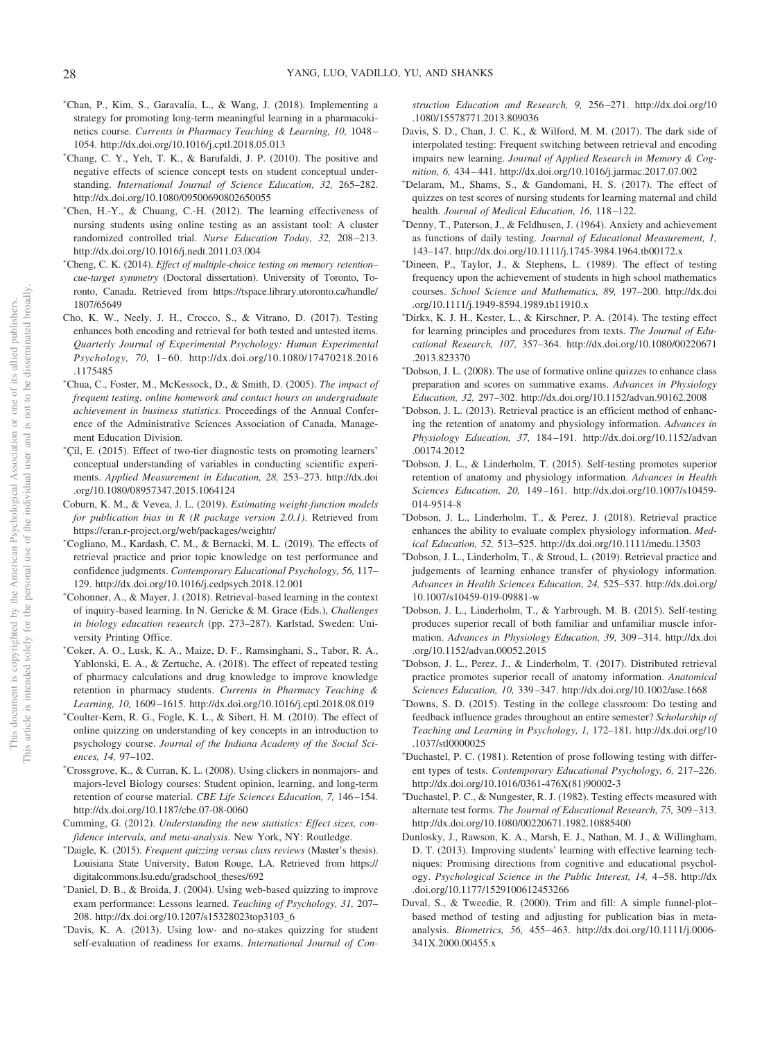- -Chan, P., Kim, S., Garavalia, L., & Wang, J. (2018). Implementing a strategy for promoting long-term meaningful learning in a pharmacokinetics course. *Currents in Pharmacy Teaching & Learning, 10,* 1048 – 1054. http://dx.doi.org/10.1016/j.cptl.2018.05.013
- -Chang, C. Y., Yeh, T. K., & Barufaldi, J. P. (2010). The positive and negative effects of science concept tests on student conceptual understanding. *International Journal of Science Education, 32,* 265–282. http://dx.doi.org/10.1080/09500690802650055
- -Chen, H.-Y., & Chuang, C.-H. (2012). The learning effectiveness of nursing students using online testing as an assistant tool: A cluster randomized controlled trial. *Nurse Education Today, 32,* 208 –213. http://dx.doi.org/10.1016/j.nedt.2011.03.004
- -Cheng, C. K. (2014). *Effect of multiple-choice testing on memory retention– cue-target symmetry* (Doctoral dissertation). University of Toronto, Toronto, Canada. Retrieved from https://tspace.library.utoronto.ca/handle/ 1807/65649
- Cho, K. W., Neely, J. H., Crocco, S., & Vitrano, D. (2017). Testing enhances both encoding and retrieval for both tested and untested items. *Quarterly Journal of Experimental Psychology: Human Experimental Psychology, 70,* 1– 60. http://dx.doi.org/10.1080/17470218.2016 .1175485
- -Chua, C., Foster, M., McKessock, D., & Smith, D. (2005). *The impact of frequent testing, online homework and contact hours on undergraduate achievement in business statistics*. Proceedings of the Annual Conference of the Administrative Sciences Association of Canada, Management Education Division.
- -Çil, E. (2015). Effect of two-tier diagnostic tests on promoting learners' conceptual understanding of variables in conducting scientific experiments. *Applied Measurement in Education, 28,* 253–273. http://dx.doi .org/10.1080/08957347.2015.1064124
- Coburn, K. M., & Vevea, J. L. (2019). *Estimating weight-function models for publication bias in R (R package version 2.0.1)*. Retrieved from https://cran.r-project.org/web/packages/weightr/
- -Cogliano, M., Kardash, C. M., & Bernacki, M. L. (2019). The effects of retrieval practice and prior topic knowledge on test performance and confidence judgments. *Contemporary Educational Psychology, 56,* 117– 129. http://dx.doi.org/10.1016/j.cedpsych.2018.12.001
- -Cohonner, A., & Mayer, J. (2018). Retrieval-based learning in the context of inquiry-based learning. In N. Gericke & M. Grace (Eds.), *Challenges in biology education research* (pp. 273–287). Karlstad, Sweden: University Printing Office.
- -Coker, A. O., Lusk, K. A., Maize, D. F., Ramsinghani, S., Tabor, R. A., Yablonski, E. A., & Zertuche, A. (2018). The effect of repeated testing of pharmacy calculations and drug knowledge to improve knowledge retention in pharmacy students. *Currents in Pharmacy Teaching & Learning, 10,* 1609 –1615. http://dx.doi.org/10.1016/j.cptl.2018.08.019
- -Coulter-Kern, R. G., Fogle, K. L., & Sibert, H. M. (2010). The effect of online quizzing on understanding of key concepts in an introduction to psychology course. *Journal of the Indiana Academy of the Social Sciences, 14,* 97–102.
- -Crossgrove, K., & Curran, K. L. (2008). Using clickers in nonmajors- and majors-level Biology courses: Student opinion, learning, and long-term retention of course material. *CBE Life Sciences Education, 7,* 146 –154. http://dx.doi.org/10.1187/cbe.07-08-0060
- Cumming, G. (2012). *Understanding the new statistics: Effect sizes, confidence intervals, and meta-analysis*. New York, NY: Routledge.
- -Daigle, K. (2015). *Frequent quizzing versus class reviews* (Master's thesis). Louisiana State University, Baton Rouge, LA. Retrieved from https:// digitalcommons.lsu.edu/gradschool\_theses/692
- -Daniel, D. B., & Broida, J. (2004). Using web-based quizzing to improve exam performance: Lessons learned. *Teaching of Psychology, 31,* 207– 208. http://dx.doi.org/10.1207/s15328023top3103\_6
- -Davis, K. A. (2013). Using low- and no-stakes quizzing for student self-evaluation of readiness for exams. *International Journal of Con-*

*struction Education and Research, 9,* 256 –271. http://dx.doi.org/10 .1080/15578771.2013.809036

- Davis, S. D., Chan, J. C. K., & Wilford, M. M. (2017). The dark side of interpolated testing: Frequent switching between retrieval and encoding impairs new learning. *Journal of Applied Research in Memory & Cognition, 6,* 434 – 441. http://dx.doi.org/10.1016/j.jarmac.2017.07.002
- -Delaram, M., Shams, S., & Gandomani, H. S. (2017). The effect of quizzes on test scores of nursing students for learning maternal and child health. *Journal of Medical Education, 16, 118-122*.
- -Denny, T., Paterson, J., & Feldhusen, J. (1964). Anxiety and achievement as functions of daily testing. *Journal of Educational Measurement, 1,* 143–147. http://dx.doi.org/10.1111/j.1745-3984.1964.tb00172.x
- -Dineen, P., Taylor, J., & Stephens, L. (1989). The effect of testing frequency upon the achievement of students in high school mathematics courses. *School Science and Mathematics, 89,* 197–200. http://dx.doi .org/10.1111/j.1949-8594.1989.tb11910.x
- -Dirkx, K. J. H., Kester, L., & Kirschner, P. A. (2014). The testing effect for learning principles and procedures from texts. *The Journal of Educational Research, 107,* 357–364. http://dx.doi.org/10.1080/00220671 .2013.823370
- -Dobson, J. L. (2008). The use of formative online quizzes to enhance class preparation and scores on summative exams. *Advances in Physiology Education, 32,* 297–302. http://dx.doi.org/10.1152/advan.90162.2008
- -Dobson, J. L. (2013). Retrieval practice is an efficient method of enhancing the retention of anatomy and physiology information. *Advances in Physiology Education, 37,* 184 –191. http://dx.doi.org/10.1152/advan .00174.2012
- -Dobson, J. L., & Linderholm, T. (2015). Self-testing promotes superior retention of anatomy and physiology information. *Advances in Health Sciences Education, 20,* 149 –161. http://dx.doi.org/10.1007/s10459- 014-9514-8
- -Dobson, J. L., Linderholm, T., & Perez, J. (2018). Retrieval practice enhances the ability to evaluate complex physiology information. *Medical Education, 52,* 513–525. http://dx.doi.org/10.1111/medu.13503
- -Dobson, J. L., Linderholm, T., & Stroud, L. (2019). Retrieval practice and judgements of learning enhance transfer of physiology information. *Advances in Health Sciences Education, 24,* 525–537. http://dx.doi.org/ 10.1007/s10459-019-09881-w
- -Dobson, J. L., Linderholm, T., & Yarbrough, M. B. (2015). Self-testing produces superior recall of both familiar and unfamiliar muscle information. *Advances in Physiology Education, 39,* 309 –314. http://dx.doi .org/10.1152/advan.00052.2015
- -Dobson, J. L., Perez, J., & Linderholm, T. (2017). Distributed retrieval practice promotes superior recall of anatomy information. *Anatomical Sciences Education, 10,* 339 –347. http://dx.doi.org/10.1002/ase.1668
- -Downs, S. D. (2015). Testing in the college classroom: Do testing and feedback influence grades throughout an entire semester? *Scholarship of Teaching and Learning in Psychology, 1,* 172–181. http://dx.doi.org/10 .1037/stl0000025
- -Duchastel, P. C. (1981). Retention of prose following testing with different types of tests. *Contemporary Educational Psychology, 6,* 217–226. http://dx.doi.org/10.1016/0361-476X(81)90002-3
- -Duchastel, P. C., & Nungester, R. J. (1982). Testing effects measured with alternate test forms. *The Journal of Educational Research, 75,* 309 –313. http://dx.doi.org/10.1080/00220671.1982.10885400
- Dunlosky, J., Rawson, K. A., Marsh, E. J., Nathan, M. J., & Willingham, D. T. (2013). Improving students' learning with effective learning techniques: Promising directions from cognitive and educational psychology. *Psychological Science in the Public Interest, 14,* 4 –58. http://dx .doi.org/10.1177/1529100612453266
- Duval, S., & Tweedie, R. (2000). Trim and fill: A simple funnel-plot– based method of testing and adjusting for publication bias in metaanalysis. *Biometrics, 56,* 455– 463. http://dx.doi.org/10.1111/j.0006- 341X.2000.00455.x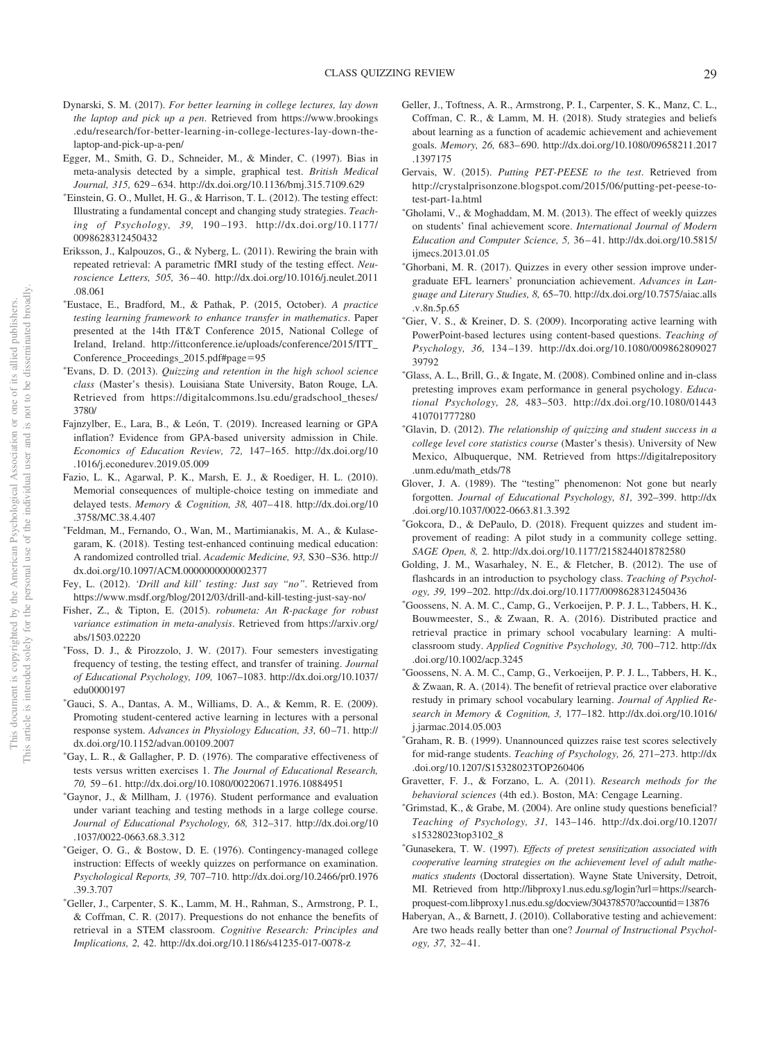- Dynarski, S. M. (2017). *For better learning in college lectures, lay down the laptop and pick up a pen*. Retrieved from https://www.brookings .edu/research/for-better-learning-in-college-lectures-lay-down-thelaptop-and-pick-up-a-pen/
- Egger, M., Smith, G. D., Schneider, M., & Minder, C. (1997). Bias in meta-analysis detected by a simple, graphical test. *British Medical Journal, 315,* 629 – 634. http://dx.doi.org/10.1136/bmj.315.7109.629
- -Einstein, G. O., Mullet, H. G., & Harrison, T. L. (2012). The testing effect: Illustrating a fundamental concept and changing study strategies. *Teaching of Psychology, 39,* 190 –193. http://dx.doi.org/10.1177/ 0098628312450432
- Eriksson, J., Kalpouzos, G., & Nyberg, L. (2011). Rewiring the brain with repeated retrieval: A parametric fMRI study of the testing effect. *Neuroscience Letters, 505,* 36 – 40. http://dx.doi.org/10.1016/j.neulet.2011 .08.061
- -Eustace, E., Bradford, M., & Pathak, P. (2015, October). *A practice testing learning framework to enhance transfer in mathematics*. Paper presented at the 14th IT&T Conference 2015, National College of Ireland, Ireland. http://ittconference.ie/uploads/conference/2015/ITT\_ Conference\_Proceedings\_2015.pdf#page-95
- -Evans, D. D. (2013). *Quizzing and retention in the high school science class* (Master's thesis). Louisiana State University, Baton Rouge, LA. Retrieved from https://digitalcommons.lsu.edu/gradschool\_theses/ 3780/
- Fajnzylber, E., Lara, B., & León, T. (2019). Increased learning or GPA inflation? Evidence from GPA-based university admission in Chile. *Economics of Education Review, 72,* 147–165. http://dx.doi.org/10 .1016/j.econedurev.2019.05.009
- Fazio, L. K., Agarwal, P. K., Marsh, E. J., & Roediger, H. L. (2010). Memorial consequences of multiple-choice testing on immediate and delayed tests. *Memory & Cognition, 38,* 407– 418. http://dx.doi.org/10 .3758/MC.38.4.407
- Feldman, M., Fernando, O., Wan, M., Martimianakis, M. A., & Kulasegaram, K. (2018). Testing test-enhanced continuing medical education: A randomized controlled trial. *Academic Medicine, 93,* S30 –S36. http:// dx.doi.org/10.1097/ACM.0000000000002377
- Fey, L. (2012). *'Drill and kill' testing: Just say "no"*. Retrieved from https://www.msdf.org/blog/2012/03/drill-and-kill-testing-just-say-no/
- Fisher, Z., & Tipton, E. (2015). *robumeta: An R-package for robust variance estimation in meta-analysis*. Retrieved from https://arxiv.org/ abs/1503.02220
- Foss, D. J., & Pirozzolo, J. W. (2017). Four semesters investigating frequency of testing, the testing effect, and transfer of training. *Journal of Educational Psychology, 109,* 1067–1083. http://dx.doi.org/10.1037/ edu0000197
- -Gauci, S. A., Dantas, A. M., Williams, D. A., & Kemm, R. E. (2009). Promoting student-centered active learning in lectures with a personal response system. *Advances in Physiology Education, 33,* 60 –71. http:// dx.doi.org/10.1152/advan.00109.2007
- -Gay, L. R., & Gallagher, P. D. (1976). The comparative effectiveness of tests versus written exercises 1. *The Journal of Educational Research, 70,* 59 – 61. http://dx.doi.org/10.1080/00220671.1976.10884951
- -Gaynor, J., & Millham, J. (1976). Student performance and evaluation under variant teaching and testing methods in a large college course. *Journal of Educational Psychology, 68,* 312–317. http://dx.doi.org/10 .1037/0022-0663.68.3.312
- -Geiger, O. G., & Bostow, D. E. (1976). Contingency-managed college instruction: Effects of weekly quizzes on performance on examination. *Psychological Reports, 39,* 707–710. http://dx.doi.org/10.2466/pr0.1976 .39.3.707
- -Geller, J., Carpenter, S. K., Lamm, M. H., Rahman, S., Armstrong, P. I., & Coffman, C. R. (2017). Prequestions do not enhance the benefits of retrieval in a STEM classroom. *Cognitive Research: Principles and Implications, 2,* 42. http://dx.doi.org/10.1186/s41235-017-0078-z
- Geller, J., Toftness, A. R., Armstrong, P. I., Carpenter, S. K., Manz, C. L., Coffman, C. R., & Lamm, M. H. (2018). Study strategies and beliefs about learning as a function of academic achievement and achievement goals. *Memory, 26,* 683– 690. http://dx.doi.org/10.1080/09658211.2017 .1397175
- Gervais, W. (2015). *Putting PET-PEESE to the test*. Retrieved from http://crystalprisonzone.blogspot.com/2015/06/putting-pet-peese-totest-part-1a.html
- -Gholami, V., & Moghaddam, M. M. (2013). The effect of weekly quizzes on students' final achievement score. *International Journal of Modern Education and Computer Science, 5,* 36 – 41. http://dx.doi.org/10.5815/ ijmecs.2013.01.05
- -Ghorbani, M. R. (2017). Quizzes in every other session improve undergraduate EFL learners' pronunciation achievement. *Advances in Language and Literary Studies, 8,* 65–70. http://dx.doi.org/10.7575/aiac.alls .v.8n.5p.65
- -Gier, V. S., & Kreiner, D. S. (2009). Incorporating active learning with PowerPoint-based lectures using content-based questions. *Teaching of Psychology, 36,* 134 –139. http://dx.doi.org/10.1080/009862809027 39792
- -Glass, A. L., Brill, G., & Ingate, M. (2008). Combined online and in-class pretesting improves exam performance in general psychology. *Educational Psychology, 28,* 483–503. http://dx.doi.org/10.1080/01443 410701777280
- -Glavin, D. (2012). *The relationship of quizzing and student success in a college level core statistics course* (Master's thesis). University of New Mexico, Albuquerque, NM. Retrieved from https://digitalrepository .unm.edu/math\_etds/78
- Glover, J. A. (1989). The "testing" phenomenon: Not gone but nearly forgotten. *Journal of Educational Psychology, 81,* 392–399. http://dx .doi.org/10.1037/0022-0663.81.3.392
- -Gokcora, D., & DePaulo, D. (2018). Frequent quizzes and student improvement of reading: A pilot study in a community college setting. *SAGE Open, 8,* 2. http://dx.doi.org/10.1177/2158244018782580
- Golding, J. M., Wasarhaley, N. E., & Fletcher, B. (2012). The use of flashcards in an introduction to psychology class. *Teaching of Psychology, 39,* 199 –202. http://dx.doi.org/10.1177/0098628312450436
- -Goossens, N. A. M. C., Camp, G., Verkoeijen, P. P. J. L., Tabbers, H. K., Bouwmeester, S., & Zwaan, R. A. (2016). Distributed practice and retrieval practice in primary school vocabulary learning: A multiclassroom study. *Applied Cognitive Psychology, 30,* 700 –712. http://dx .doi.org/10.1002/acp.3245
- -Goossens, N. A. M. C., Camp, G., Verkoeijen, P. P. J. L., Tabbers, H. K., & Zwaan, R. A. (2014). The benefit of retrieval practice over elaborative restudy in primary school vocabulary learning. *Journal of Applied Research in Memory & Cognition, 3,* 177–182. http://dx.doi.org/10.1016/ j.jarmac.2014.05.003
- -Graham, R. B. (1999). Unannounced quizzes raise test scores selectively for mid-range students. *Teaching of Psychology, 26,* 271–273. http://dx .doi.org/10.1207/S15328023TOP260406
- Gravetter, F. J., & Forzano, L. A. (2011). *Research methods for the behavioral sciences* (4th ed.). Boston, MA: Cengage Learning.
- -Grimstad, K., & Grabe, M. (2004). Are online study questions beneficial? *Teaching of Psychology, 31,* 143–146. http://dx.doi.org/10.1207/ s15328023top3102\_8
- -Gunasekera, T. W. (1997). *Effects of pretest sensitization associated with cooperative learning strategies on the achievement level of adult mathematics students* (Doctoral dissertation). Wayne State University, Detroit, MI. Retrieved from http://libproxy1.nus.edu.sg/login?url=https://searchproquest-com.libproxy1.nus.edu.sg/docview/304378570?accountid-13876
- Haberyan, A., & Barnett, J. (2010). Collaborative testing and achievement: Are two heads really better than one? *Journal of Instructional Psychology, 37,* 32– 41.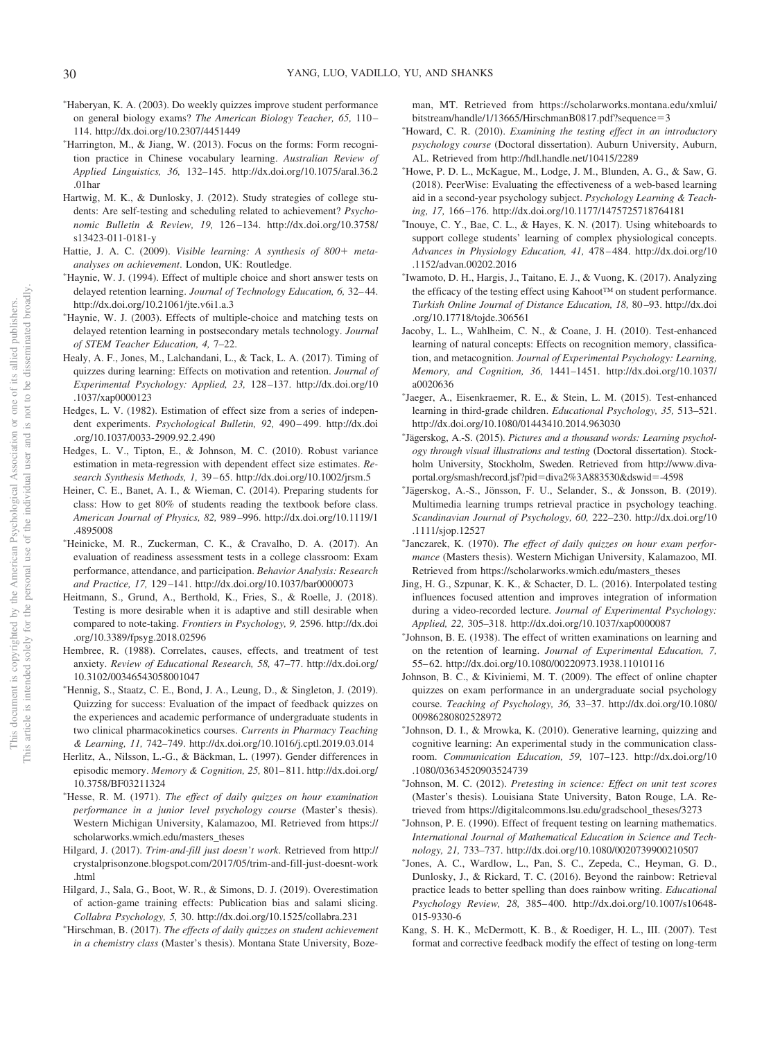- -Haberyan, K. A. (2003). Do weekly quizzes improve student performance on general biology exams? *The American Biology Teacher, 65,* 110 – 114. http://dx.doi.org/10.2307/4451449
- -Harrington, M., & Jiang, W. (2013). Focus on the forms: Form recognition practice in Chinese vocabulary learning. *Australian Review of Applied Linguistics, 36,* 132–145. http://dx.doi.org/10.1075/aral.36.2 .01har
- Hartwig, M. K., & Dunlosky, J. (2012). Study strategies of college students: Are self-testing and scheduling related to achievement? *Psychonomic Bulletin & Review, 19,* 126 –134. http://dx.doi.org/10.3758/ s13423-011-0181-y
- Hattie, J. A. C. (2009). *Visible learning: A synthesis of 800+ metaanalyses on achievement*. London, UK: Routledge.
- -Haynie, W. J. (1994). Effect of multiple choice and short answer tests on delayed retention learning. *Journal of Technology Education, 6,* 32– 44. http://dx.doi.org/10.21061/jte.v6i1.a.3
- -Haynie, W. J. (2003). Effects of multiple-choice and matching tests on delayed retention learning in postsecondary metals technology. *Journal of STEM Teacher Education, 4,* 7–22.
- Healy, A. F., Jones, M., Lalchandani, L., & Tack, L. A. (2017). Timing of quizzes during learning: Effects on motivation and retention. *Journal of Experimental Psychology: Applied, 23,* 128 –137. http://dx.doi.org/10 .1037/xap0000123
- Hedges, L. V. (1982). Estimation of effect size from a series of independent experiments. *Psychological Bulletin, 92,* 490 – 499. http://dx.doi .org/10.1037/0033-2909.92.2.490
- Hedges, L. V., Tipton, E., & Johnson, M. C. (2010). Robust variance estimation in meta-regression with dependent effect size estimates. *Research Synthesis Methods, 1,* 39 – 65. http://dx.doi.org/10.1002/jrsm.5
- Heiner, C. E., Banet, A. I., & Wieman, C. (2014). Preparing students for class: How to get 80% of students reading the textbook before class. *American Journal of Physics, 82,* 989 –996. http://dx.doi.org/10.1119/1 .4895008
- -Heinicke, M. R., Zuckerman, C. K., & Cravalho, D. A. (2017). An evaluation of readiness assessment tests in a college classroom: Exam performance, attendance, and participation. *Behavior Analysis: Research and Practice, 17,* 129 –141. http://dx.doi.org/10.1037/bar0000073
- Heitmann, S., Grund, A., Berthold, K., Fries, S., & Roelle, J. (2018). Testing is more desirable when it is adaptive and still desirable when compared to note-taking. *Frontiers in Psychology, 9,* 2596. http://dx.doi .org/10.3389/fpsyg.2018.02596
- Hembree, R. (1988). Correlates, causes, effects, and treatment of test anxiety. *Review of Educational Research, 58,* 47–77. http://dx.doi.org/ 10.3102/00346543058001047
- -Hennig, S., Staatz, C. E., Bond, J. A., Leung, D., & Singleton, J. (2019). Quizzing for success: Evaluation of the impact of feedback quizzes on the experiences and academic performance of undergraduate students in two clinical pharmacokinetics courses. *Currents in Pharmacy Teaching & Learning, 11,* 742–749. http://dx.doi.org/10.1016/j.cptl.2019.03.014
- Herlitz, A., Nilsson, L.-G., & Bäckman, L. (1997). Gender differences in episodic memory. *Memory & Cognition, 25,* 801– 811. http://dx.doi.org/ 10.3758/BF03211324
- -Hesse, R. M. (1971). *The effect of daily quizzes on hour examination performance in a junior level psychology course* (Master's thesis). Western Michigan University, Kalamazoo, MI. Retrieved from https:// scholarworks.wmich.edu/masters\_theses
- Hilgard, J. (2017). *Trim-and-fill just doesn't work*. Retrieved from http:// crystalprisonzone.blogspot.com/2017/05/trim-and-fill-just-doesnt-work .html
- Hilgard, J., Sala, G., Boot, W. R., & Simons, D. J. (2019). Overestimation of action-game training effects: Publication bias and salami slicing. *Collabra Psychology, 5,* 30. http://dx.doi.org/10.1525/collabra.231
- -Hirschman, B. (2017). *The effects of daily quizzes on student achievement in a chemistry class* (Master's thesis). Montana State University, Boze-

man, MT. Retrieved from https://scholarworks.montana.edu/xmlui/ bitstream/handle/1/13665/HirschmanB0817.pdf?sequence-3

- -Howard, C. R. (2010). *Examining the testing effect in an introductory psychology course* (Doctoral dissertation). Auburn University, Auburn, AL. Retrieved from http://hdl.handle.net/10415/2289
- -Howe, P. D. L., McKague, M., Lodge, J. M., Blunden, A. G., & Saw, G. (2018). PeerWise: Evaluating the effectiveness of a web-based learning aid in a second-year psychology subject. *Psychology Learning & Teaching, 17,* 166 –176. http://dx.doi.org/10.1177/1475725718764181
- Inouye, C. Y., Bae, C. L., & Hayes, K. N. (2017). Using whiteboards to support college students' learning of complex physiological concepts. *Advances in Physiology Education, 41,* 478 – 484. http://dx.doi.org/10 .1152/advan.00202.2016
- Iwamoto, D. H., Hargis, J., Taitano, E. J., & Vuong, K. (2017). Analyzing the efficacy of the testing effect using Kahoot™ on student performance. *Turkish Online Journal of Distance Education, 18,* 80 –93. http://dx.doi .org/10.17718/tojde.306561
- Jacoby, L. L., Wahlheim, C. N., & Coane, J. H. (2010). Test-enhanced learning of natural concepts: Effects on recognition memory, classification, and metacognition. *Journal of Experimental Psychology: Learning, Memory, and Cognition, 36,* 1441–1451. http://dx.doi.org/10.1037/ a0020636
- Jaeger, A., Eisenkraemer, R. E., & Stein, L. M. (2015). Test-enhanced learning in third-grade children. *Educational Psychology, 35,* 513–521. http://dx.doi.org/10.1080/01443410.2014.963030
- Jägerskog, A.-S. (2015). *Pictures and a thousand words: Learning psychology through visual illustrations and testing* (Doctoral dissertation). Stockholm University, Stockholm, Sweden. Retrieved from http://www.divaportal.org/smash/record.jsf?pid-diva2%3A883530&dswid--4598
- Jägerskog, A.-S., Jönsson, F. U., Selander, S., & Jonsson, B. (2019). Multimedia learning trumps retrieval practice in psychology teaching. *Scandinavian Journal of Psychology, 60,* 222–230. http://dx.doi.org/10 .1111/sjop.12527
- Janczarek, K. (1970). *The effect of daily quizzes on hour exam performance* (Masters thesis). Western Michigan University, Kalamazoo, MI. Retrieved from https://scholarworks.wmich.edu/masters\_theses
- Jing, H. G., Szpunar, K. K., & Schacter, D. L. (2016). Interpolated testing influences focused attention and improves integration of information during a video-recorded lecture. *Journal of Experimental Psychology: Applied, 22,* 305–318. http://dx.doi.org/10.1037/xap0000087
- Johnson, B. E. (1938). The effect of written examinations on learning and on the retention of learning. *Journal of Experimental Education, 7,* 55– 62. http://dx.doi.org/10.1080/00220973.1938.11010116
- Johnson, B. C., & Kiviniemi, M. T. (2009). The effect of online chapter quizzes on exam performance in an undergraduate social psychology course. *Teaching of Psychology, 36,* 33–37. http://dx.doi.org/10.1080/ 00986280802528972
- Johnson, D. I., & Mrowka, K. (2010). Generative learning, quizzing and cognitive learning: An experimental study in the communication classroom. *Communication Education, 59,* 107–123. http://dx.doi.org/10 .1080/03634520903524739
- Johnson, M. C. (2012). *Pretesting in science: Effect on unit test scores* (Master's thesis). Louisiana State University, Baton Rouge, LA. Retrieved from https://digitalcommons.lsu.edu/gradschool\_theses/3273
- $*$ Johnson, P. E. (1990). Effect of frequent testing on learning mathematics. *International Journal of Mathematical Education in Science and Technology, 21,* 733–737. http://dx.doi.org/10.1080/0020739900210507
- Jones, A. C., Wardlow, L., Pan, S. C., Zepeda, C., Heyman, G. D., Dunlosky, J., & Rickard, T. C. (2016). Beyond the rainbow: Retrieval practice leads to better spelling than does rainbow writing. *Educational Psychology Review, 28,* 385– 400. http://dx.doi.org/10.1007/s10648- 015-9330-6
- Kang, S. H. K., McDermott, K. B., & Roediger, H. L., III. (2007). Test format and corrective feedback modify the effect of testing on long-term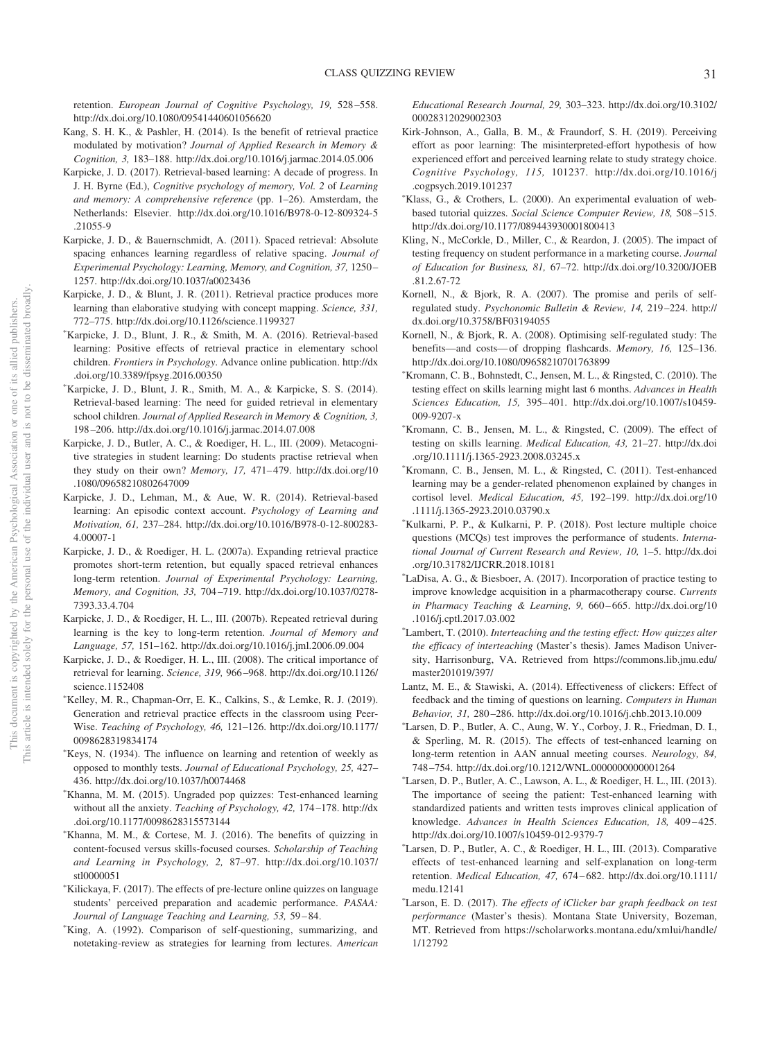retention. *European Journal of Cognitive Psychology, 19,* 528 –558. http://dx.doi.org/10.1080/09541440601056620

- Kang, S. H. K., & Pashler, H. (2014). Is the benefit of retrieval practice modulated by motivation? *Journal of Applied Research in Memory & Cognition, 3,* 183–188. http://dx.doi.org/10.1016/j.jarmac.2014.05.006
- Karpicke, J. D. (2017). Retrieval-based learning: A decade of progress. In J. H. Byrne (Ed.), *Cognitive psychology of memory, Vol. 2* of *Learning and memory: A comprehensive reference* (pp. 1–26). Amsterdam, the Netherlands: Elsevier. http://dx.doi.org/10.1016/B978-0-12-809324-5 .21055-9
- Karpicke, J. D., & Bauernschmidt, A. (2011). Spaced retrieval: Absolute spacing enhances learning regardless of relative spacing. *Journal of Experimental Psychology: Learning, Memory, and Cognition, 37,* 1250 – 1257. http://dx.doi.org/10.1037/a0023436
- Karpicke, J. D., & Blunt, J. R. (2011). Retrieval practice produces more learning than elaborative studying with concept mapping. *Science, 331,* 772–775. http://dx.doi.org/10.1126/science.1199327
- -Karpicke, J. D., Blunt, J. R., & Smith, M. A. (2016). Retrieval-based learning: Positive effects of retrieval practice in elementary school children. *Frontiers in Psychology*. Advance online publication. http://dx .doi.org/10.3389/fpsyg.2016.00350
- -Karpicke, J. D., Blunt, J. R., Smith, M. A., & Karpicke, S. S. (2014). Retrieval-based learning: The need for guided retrieval in elementary school children. *Journal of Applied Research in Memory & Cognition, 3,* 198 –206. http://dx.doi.org/10.1016/j.jarmac.2014.07.008
- Karpicke, J. D., Butler, A. C., & Roediger, H. L., III. (2009). Metacognitive strategies in student learning: Do students practise retrieval when they study on their own? *Memory, 17, 471-479*. http://dx.doi.org/10 .1080/09658210802647009
- Karpicke, J. D., Lehman, M., & Aue, W. R. (2014). Retrieval-based learning: An episodic context account. *Psychology of Learning and Motivation, 61,* 237–284. http://dx.doi.org/10.1016/B978-0-12-800283- 4.00007-1
- Karpicke, J. D., & Roediger, H. L. (2007a). Expanding retrieval practice promotes short-term retention, but equally spaced retrieval enhances long-term retention. *Journal of Experimental Psychology: Learning, Memory, and Cognition, 33,* 704 –719. http://dx.doi.org/10.1037/0278- 7393.33.4.704
- Karpicke, J. D., & Roediger, H. L., III. (2007b). Repeated retrieval during learning is the key to long-term retention. *Journal of Memory and Language, 57,* 151–162. http://dx.doi.org/10.1016/j.jml.2006.09.004
- Karpicke, J. D., & Roediger, H. L., III. (2008). The critical importance of retrieval for learning. *Science, 319,* 966 –968. http://dx.doi.org/10.1126/ science.1152408
- -Kelley, M. R., Chapman-Orr, E. K., Calkins, S., & Lemke, R. J. (2019). Generation and retrieval practice effects in the classroom using Peer-Wise. *Teaching of Psychology, 46,* 121–126. http://dx.doi.org/10.1177/ 0098628319834174
- -Keys, N. (1934). The influence on learning and retention of weekly as opposed to monthly tests. *Journal of Educational Psychology, 25,* 427– 436. http://dx.doi.org/10.1037/h0074468
- -Khanna, M. M. (2015). Ungraded pop quizzes: Test-enhanced learning without all the anxiety. *Teaching of Psychology, 42,* 174 –178. http://dx .doi.org/10.1177/0098628315573144
- -Khanna, M. M., & Cortese, M. J. (2016). The benefits of quizzing in content-focused versus skills-focused courses. *Scholarship of Teaching and Learning in Psychology, 2,* 87–97. http://dx.doi.org/10.1037/ stl0000051
- -Kilickaya, F. (2017). The effects of pre-lecture online quizzes on language students' perceived preparation and academic performance. *PASAA: Journal of Language Teaching and Learning, 53,* 59 – 84.
- -King, A. (1992). Comparison of self-questioning, summarizing, and notetaking-review as strategies for learning from lectures. *American*

*Educational Research Journal, 29,* 303–323. http://dx.doi.org/10.3102/ 00028312029002303

- Kirk-Johnson, A., Galla, B. M., & Fraundorf, S. H. (2019). Perceiving effort as poor learning: The misinterpreted-effort hypothesis of how experienced effort and perceived learning relate to study strategy choice. *Cognitive Psychology, 115,* 101237. http://dx.doi.org/10.1016/j .cogpsych.2019.101237
- -Klass, G., & Crothers, L. (2000). An experimental evaluation of webbased tutorial quizzes. *Social Science Computer Review, 18,* 508 –515. http://dx.doi.org/10.1177/089443930001800413
- Kling, N., McCorkle, D., Miller, C., & Reardon, J. (2005). The impact of testing frequency on student performance in a marketing course. *Journal of Education for Business, 81,* 67–72. http://dx.doi.org/10.3200/JOEB .81.2.67-72
- Kornell, N., & Bjork, R. A. (2007). The promise and perils of selfregulated study. *Psychonomic Bulletin & Review, 14,* 219 –224. http:// dx.doi.org/10.3758/BF03194055
- Kornell, N., & Bjork, R. A. (2008). Optimising self-regulated study: The benefits—and costs— of dropping flashcards. *Memory, 16,* 125–136. http://dx.doi.org/10.1080/09658210701763899
- -Kromann, C. B., Bohnstedt, C., Jensen, M. L., & Ringsted, C. (2010). The testing effect on skills learning might last 6 months. *Advances in Health Sciences Education, 15,* 395– 401. http://dx.doi.org/10.1007/s10459- 009-9207-x
- -Kromann, C. B., Jensen, M. L., & Ringsted, C. (2009). The effect of testing on skills learning. *Medical Education, 43,* 21–27. http://dx.doi .org/10.1111/j.1365-2923.2008.03245.x
- -Kromann, C. B., Jensen, M. L., & Ringsted, C. (2011). Test-enhanced learning may be a gender-related phenomenon explained by changes in cortisol level. *Medical Education, 45,* 192–199. http://dx.doi.org/10 .1111/j.1365-2923.2010.03790.x
- -Kulkarni, P. P., & Kulkarni, P. P. (2018). Post lecture multiple choice questions (MCQs) test improves the performance of students. *International Journal of Current Research and Review, 10,* 1–5. http://dx.doi .org/10.31782/IJCRR.2018.10181
- -LaDisa, A. G., & Biesboer, A. (2017). Incorporation of practice testing to improve knowledge acquisition in a pharmacotherapy course. *Currents in Pharmacy Teaching & Learning, 9,* 660 – 665. http://dx.doi.org/10 .1016/j.cptl.2017.03.002
- -Lambert, T. (2010). *Interteaching and the testing effect: How quizzes alter the efficacy of interteaching* (Master's thesis). James Madison University, Harrisonburg, VA. Retrieved from https://commons.lib.jmu.edu/ master201019/397/
- Lantz, M. E., & Stawiski, A. (2014). Effectiveness of clickers: Effect of feedback and the timing of questions on learning. *Computers in Human Behavior, 31,* 280 –286. http://dx.doi.org/10.1016/j.chb.2013.10.009
- -Larsen, D. P., Butler, A. C., Aung, W. Y., Corboy, J. R., Friedman, D. I., & Sperling, M. R. (2015). The effects of test-enhanced learning on long-term retention in AAN annual meeting courses. *Neurology, 84,* 748 –754. http://dx.doi.org/10.1212/WNL.0000000000001264
- -Larsen, D. P., Butler, A. C., Lawson, A. L., & Roediger, H. L., III. (2013). The importance of seeing the patient: Test-enhanced learning with standardized patients and written tests improves clinical application of knowledge. *Advances in Health Sciences Education*, 18, 409-425. http://dx.doi.org/10.1007/s10459-012-9379-7
- -Larsen, D. P., Butler, A. C., & Roediger, H. L., III. (2013). Comparative effects of test-enhanced learning and self-explanation on long-term retention. *Medical Education, 47,* 674 – 682. http://dx.doi.org/10.1111/ medu.12141
- -Larson, E. D. (2017). *The effects of iClicker bar graph feedback on test performance* (Master's thesis). Montana State University, Bozeman, MT. Retrieved from https://scholarworks.montana.edu/xmlui/handle/ 1/12792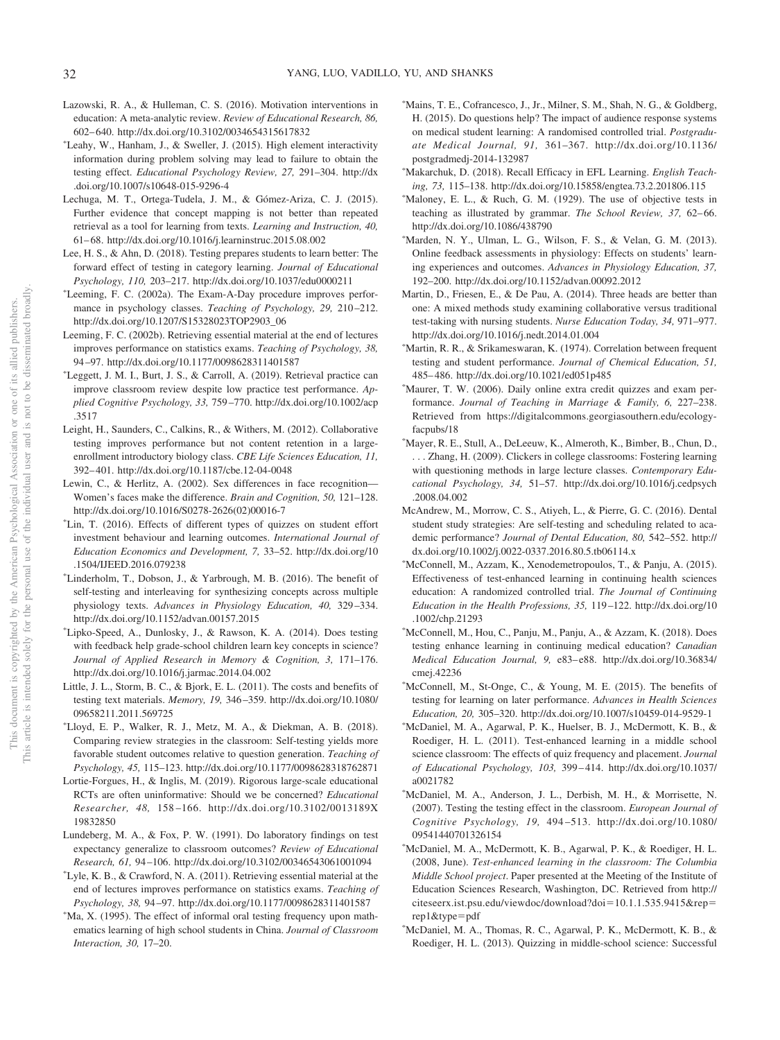- Lazowski, R. A., & Hulleman, C. S. (2016). Motivation interventions in education: A meta-analytic review. *Review of Educational Research, 86,* 602– 640. http://dx.doi.org/10.3102/0034654315617832
- -Leahy, W., Hanham, J., & Sweller, J. (2015). High element interactivity information during problem solving may lead to failure to obtain the testing effect. *Educational Psychology Review, 27,* 291–304. http://dx .doi.org/10.1007/s10648-015-9296-4
- Lechuga, M. T., Ortega-Tudela, J. M., & Gómez-Ariza, C. J. (2015). Further evidence that concept mapping is not better than repeated retrieval as a tool for learning from texts. *Learning and Instruction, 40,* 61– 68. http://dx.doi.org/10.1016/j.learninstruc.2015.08.002
- Lee, H. S., & Ahn, D. (2018). Testing prepares students to learn better: The forward effect of testing in category learning. *Journal of Educational Psychology, 110,* 203–217. http://dx.doi.org/10.1037/edu0000211
- -Leeming, F. C. (2002a). The Exam-A-Day procedure improves performance in psychology classes. *Teaching of Psychology, 29, 210-212*. http://dx.doi.org/10.1207/S15328023TOP2903\_06
- Leeming, F. C. (2002b). Retrieving essential material at the end of lectures improves performance on statistics exams. *Teaching of Psychology, 38,* 94 –97. http://dx.doi.org/10.1177/0098628311401587
- -Leggett, J. M. I., Burt, J. S., & Carroll, A. (2019). Retrieval practice can improve classroom review despite low practice test performance. *Applied Cognitive Psychology, 33,* 759 –770. http://dx.doi.org/10.1002/acp .3517
- Leight, H., Saunders, C., Calkins, R., & Withers, M. (2012). Collaborative testing improves performance but not content retention in a largeenrollment introductory biology class. *CBE Life Sciences Education, 11,* 392– 401. http://dx.doi.org/10.1187/cbe.12-04-0048
- Lewin, C., & Herlitz, A. (2002). Sex differences in face recognition— Women's faces make the difference. *Brain and Cognition, 50,* 121–128. http://dx.doi.org/10.1016/S0278-2626(02)00016-7
- -Lin, T. (2016). Effects of different types of quizzes on student effort investment behaviour and learning outcomes. *International Journal of Education Economics and Development, 7,* 33–52. http://dx.doi.org/10 .1504/IJEED.2016.079238
- -Linderholm, T., Dobson, J., & Yarbrough, M. B. (2016). The benefit of self-testing and interleaving for synthesizing concepts across multiple physiology texts. *Advances in Physiology Education, 40,* 329 –334. http://dx.doi.org/10.1152/advan.00157.2015
- -Lipko-Speed, A., Dunlosky, J., & Rawson, K. A. (2014). Does testing with feedback help grade-school children learn key concepts in science? *Journal of Applied Research in Memory & Cognition, 3,* 171–176. http://dx.doi.org/10.1016/j.jarmac.2014.04.002
- Little, J. L., Storm, B. C., & Bjork, E. L. (2011). The costs and benefits of testing text materials. *Memory, 19,* 346 –359. http://dx.doi.org/10.1080/ 09658211.2011.569725
- -Lloyd, E. P., Walker, R. J., Metz, M. A., & Diekman, A. B. (2018). Comparing review strategies in the classroom: Self-testing yields more favorable student outcomes relative to question generation. *Teaching of Psychology, 45,* 115–123. http://dx.doi.org/10.1177/0098628318762871
- Lortie-Forgues, H., & Inglis, M. (2019). Rigorous large-scale educational RCTs are often uninformative: Should we be concerned? *Educational Researcher, 48,* 158 –166. http://dx.doi.org/10.3102/0013189X 19832850
- Lundeberg, M. A., & Fox, P. W. (1991). Do laboratory findings on test expectancy generalize to classroom outcomes? *Review of Educational Research, 61,* 94 –106. http://dx.doi.org/10.3102/00346543061001094
- -Lyle, K. B., & Crawford, N. A. (2011). Retrieving essential material at the end of lectures improves performance on statistics exams. *Teaching of Psychology, 38,* 94 –97. http://dx.doi.org/10.1177/0098628311401587
- -Ma, X. (1995). The effect of informal oral testing frequency upon mathematics learning of high school students in China. *Journal of Classroom Interaction, 30,* 17–20.
- -Mains, T. E., Cofrancesco, J., Jr., Milner, S. M., Shah, N. G., & Goldberg, H. (2015). Do questions help? The impact of audience response systems on medical student learning: A randomised controlled trial. *Postgraduate Medical Journal, 91,* 361–367. http://dx.doi.org/10.1136/ postgradmedj-2014-132987
- -Makarchuk, D. (2018). Recall Efficacy in EFL Learning. *English Teaching, 73,* 115–138. http://dx.doi.org/10.15858/engtea.73.2.201806.115
- -Maloney, E. L., & Ruch, G. M. (1929). The use of objective tests in teaching as illustrated by grammar. *The School Review, 37, 62-66*. http://dx.doi.org/10.1086/438790
- -Marden, N. Y., Ulman, L. G., Wilson, F. S., & Velan, G. M. (2013). Online feedback assessments in physiology: Effects on students' learning experiences and outcomes. *Advances in Physiology Education, 37,* 192–200. http://dx.doi.org/10.1152/advan.00092.2012
- Martin, D., Friesen, E., & De Pau, A. (2014). Three heads are better than one: A mixed methods study examining collaborative versus traditional test-taking with nursing students. *Nurse Education Today, 34,* 971–977. http://dx.doi.org/10.1016/j.nedt.2014.01.004
- -Martin, R. R., & Srikameswaran, K. (1974). Correlation between frequent testing and student performance. *Journal of Chemical Education, 51,* 485– 486. http://dx.doi.org/10.1021/ed051p485
- -Maurer, T. W. (2006). Daily online extra credit quizzes and exam performance. *Journal of Teaching in Marriage & Family, 6,* 227–238. Retrieved from https://digitalcommons.georgiasouthern.edu/ecologyfacpubs/18
- -Mayer, R. E., Stull, A., DeLeeuw, K., Almeroth, K., Bimber, B., Chun, D., . . . Zhang, H. (2009). Clickers in college classrooms: Fostering learning with questioning methods in large lecture classes. *Contemporary Educational Psychology, 34,* 51–57. http://dx.doi.org/10.1016/j.cedpsych .2008.04.002
- McAndrew, M., Morrow, C. S., Atiyeh, L., & Pierre, G. C. (2016). Dental student study strategies: Are self-testing and scheduling related to academic performance? *Journal of Dental Education, 80,* 542–552. http:// dx.doi.org/10.1002/j.0022-0337.2016.80.5.tb06114.x
- -McConnell, M., Azzam, K., Xenodemetropoulos, T., & Panju, A. (2015). Effectiveness of test-enhanced learning in continuing health sciences education: A randomized controlled trial. *The Journal of Continuing Education in the Health Professions, 35,* 119 –122. http://dx.doi.org/10 .1002/chp.21293
- -McConnell, M., Hou, C., Panju, M., Panju, A., & Azzam, K. (2018). Does testing enhance learning in continuing medical education? *Canadian Medical Education Journal, 9,* e83– e88. http://dx.doi.org/10.36834/ cmej.42236
- -McConnell, M., St-Onge, C., & Young, M. E. (2015). The benefits of testing for learning on later performance. *Advances in Health Sciences Education, 20,* 305–320. http://dx.doi.org/10.1007/s10459-014-9529-1
- -McDaniel, M. A., Agarwal, P. K., Huelser, B. J., McDermott, K. B., & Roediger, H. L. (2011). Test-enhanced learning in a middle school science classroom: The effects of quiz frequency and placement. *Journal of Educational Psychology, 103,* 399 – 414. http://dx.doi.org/10.1037/ a0021782
- -McDaniel, M. A., Anderson, J. L., Derbish, M. H., & Morrisette, N. (2007). Testing the testing effect in the classroom. *European Journal of Cognitive Psychology, 19,* 494 –513. http://dx.doi.org/10.1080/ 09541440701326154
- -McDaniel, M. A., McDermott, K. B., Agarwal, P. K., & Roediger, H. L. (2008, June). *Test-enhanced learning in the classroom: The Columbia Middle School project*. Paper presented at the Meeting of the Institute of Education Sciences Research, Washington, DC. Retrieved from http:// citeseerx.ist.psu.edu/viewdoc/download?doi-10.1.1.535.9415&reprep1&type-pdf
- -McDaniel, M. A., Thomas, R. C., Agarwal, P. K., McDermott, K. B., & Roediger, H. L. (2013). Quizzing in middle-school science: Successful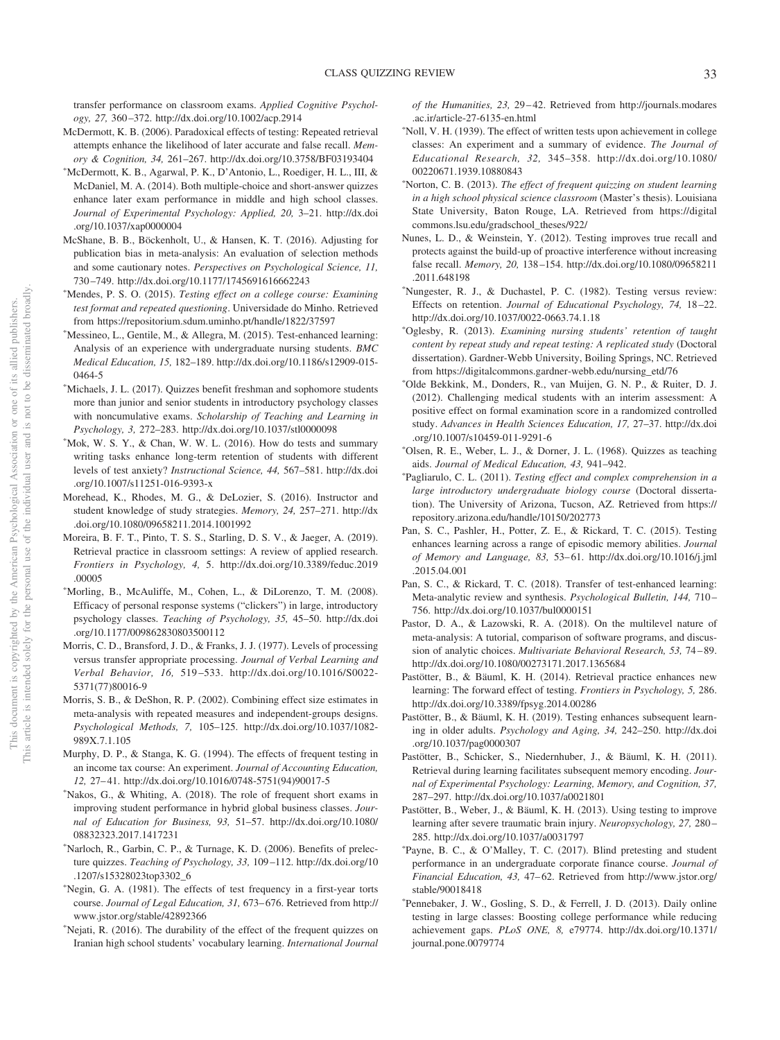transfer performance on classroom exams. *Applied Cognitive Psychology, 27,* 360 –372. http://dx.doi.org/10.1002/acp.2914

- McDermott, K. B. (2006). Paradoxical effects of testing: Repeated retrieval attempts enhance the likelihood of later accurate and false recall. *Memory & Cognition, 34,* 261–267. http://dx.doi.org/10.3758/BF03193404
- -McDermott, K. B., Agarwal, P. K., D'Antonio, L., Roediger, H. L., III, & McDaniel, M. A. (2014). Both multiple-choice and short-answer quizzes enhance later exam performance in middle and high school classes. *Journal of Experimental Psychology: Applied, 20,* 3–21. http://dx.doi .org/10.1037/xap0000004
- McShane, B. B., Böckenholt, U., & Hansen, K. T. (2016). Adjusting for publication bias in meta-analysis: An evaluation of selection methods and some cautionary notes. *Perspectives on Psychological Science, 11,* 730 –749. http://dx.doi.org/10.1177/1745691616662243
- -Mendes, P. S. O. (2015). *Testing effect on a college course: Examining test format and repeated questioning*. Universidade do Minho. Retrieved from https://repositorium.sdum.uminho.pt/handle/1822/37597
- -Messineo, L., Gentile, M., & Allegra, M. (2015). Test-enhanced learning: Analysis of an experience with undergraduate nursing students. *BMC Medical Education, 15,* 182–189. http://dx.doi.org/10.1186/s12909-015- 0464-5
- -Michaels, J. L. (2017). Quizzes benefit freshman and sophomore students more than junior and senior students in introductory psychology classes with noncumulative exams. *Scholarship of Teaching and Learning in Psychology, 3,* 272–283. http://dx.doi.org/10.1037/stl0000098
- -Mok, W. S. Y., & Chan, W. W. L. (2016). How do tests and summary writing tasks enhance long-term retention of students with different levels of test anxiety? *Instructional Science, 44,* 567–581. http://dx.doi .org/10.1007/s11251-016-9393-x
- Morehead, K., Rhodes, M. G., & DeLozier, S. (2016). Instructor and student knowledge of study strategies. *Memory, 24,* 257–271. http://dx .doi.org/10.1080/09658211.2014.1001992
- Moreira, B. F. T., Pinto, T. S. S., Starling, D. S. V., & Jaeger, A. (2019). Retrieval practice in classroom settings: A review of applied research. *Frontiers in Psychology, 4,* 5. http://dx.doi.org/10.3389/feduc.2019 .00005
- -Morling, B., McAuliffe, M., Cohen, L., & DiLorenzo, T. M. (2008). Efficacy of personal response systems ("clickers") in large, introductory psychology classes. *Teaching of Psychology, 35,* 45–50. http://dx.doi .org/10.1177/009862830803500112
- Morris, C. D., Bransford, J. D., & Franks, J. J. (1977). Levels of processing versus transfer appropriate processing. *Journal of Verbal Learning and Verbal Behavior, 16,* 519 –533. http://dx.doi.org/10.1016/S0022- 5371(77)80016-9
- Morris, S. B., & DeShon, R. P. (2002). Combining effect size estimates in meta-analysis with repeated measures and independent-groups designs. *Psychological Methods, 7,* 105–125. http://dx.doi.org/10.1037/1082- 989X.7.1.105
- Murphy, D. P., & Stanga, K. G. (1994). The effects of frequent testing in an income tax course: An experiment. *Journal of Accounting Education, 12,* 27– 41. http://dx.doi.org/10.1016/0748-5751(94)90017-5
- -Nakos, G., & Whiting, A. (2018). The role of frequent short exams in improving student performance in hybrid global business classes. *Journal of Education for Business, 93,* 51–57. http://dx.doi.org/10.1080/ 08832323.2017.1417231
- -Narloch, R., Garbin, C. P., & Turnage, K. D. (2006). Benefits of prelecture quizzes. *Teaching of Psychology, 33,* 109 –112. http://dx.doi.org/10 .1207/s15328023top3302\_6
- -Negin, G. A. (1981). The effects of test frequency in a first-year torts course. *Journal of Legal Education, 31,* 673– 676. Retrieved from http:// www.jstor.org/stable/42892366
- -Nejati, R. (2016). The durability of the effect of the frequent quizzes on Iranian high school students' vocabulary learning. *International Journal*

*of the Humanities, 23,* 29 – 42. Retrieved from http://journals.modares .ac.ir/article-27-6135-en.html

- -Noll, V. H. (1939). The effect of written tests upon achievement in college classes: An experiment and a summary of evidence. *The Journal of Educational Research, 32,* 345–358. http://dx.doi.org/10.1080/ 00220671.1939.10880843
- -Norton, C. B. (2013). *The effect of frequent quizzing on student learning in a high school physical science classroom* (Master's thesis). Louisiana State University, Baton Rouge, LA. Retrieved from https://digital commons.lsu.edu/gradschool\_theses/922/
- Nunes, L. D., & Weinstein, Y. (2012). Testing improves true recall and protects against the build-up of proactive interference without increasing false recall. *Memory, 20,* 138 –154. http://dx.doi.org/10.1080/09658211 .2011.648198
- -Nungester, R. J., & Duchastel, P. C. (1982). Testing versus review: Effects on retention. *Journal of Educational Psychology, 74,* 18 –22. http://dx.doi.org/10.1037/0022-0663.74.1.18
- -Oglesby, R. (2013). *Examining nursing students' retention of taught content by repeat study and repeat testing: A replicated study* (Doctoral dissertation). Gardner-Webb University, Boiling Springs, NC. Retrieved from https://digitalcommons.gardner-webb.edu/nursing\_etd/76
- -Olde Bekkink, M., Donders, R., van Muijen, G. N. P., & Ruiter, D. J. (2012). Challenging medical students with an interim assessment: A positive effect on formal examination score in a randomized controlled study. *Advances in Health Sciences Education, 17,* 27–37. http://dx.doi .org/10.1007/s10459-011-9291-6
- -Olsen, R. E., Weber, L. J., & Dorner, J. L. (1968). Quizzes as teaching aids. *Journal of Medical Education, 43,* 941–942.
- Pagliarulo, C. L. (2011). *Testing effect and complex comprehension in a large introductory undergraduate biology course* (Doctoral dissertation). The University of Arizona, Tucson, AZ. Retrieved from https:// repository.arizona.edu/handle/10150/202773
- Pan, S. C., Pashler, H., Potter, Z. E., & Rickard, T. C. (2015). Testing enhances learning across a range of episodic memory abilities. *Journal of Memory and Language, 83,* 53– 61. http://dx.doi.org/10.1016/j.jml .2015.04.001
- Pan, S. C., & Rickard, T. C. (2018). Transfer of test-enhanced learning: Meta-analytic review and synthesis. *Psychological Bulletin, 144,* 710 – 756. http://dx.doi.org/10.1037/bul0000151
- Pastor, D. A., & Lazowski, R. A. (2018). On the multilevel nature of meta-analysis: A tutorial, comparison of software programs, and discussion of analytic choices. *Multivariate Behavioral Research, 53,* 74 – 89. http://dx.doi.org/10.1080/00273171.2017.1365684
- Pastötter, B., & Bäuml, K. H. (2014). Retrieval practice enhances new learning: The forward effect of testing. *Frontiers in Psychology, 5,* 286. http://dx.doi.org/10.3389/fpsyg.2014.00286
- Pastötter, B., & Bäuml, K. H. (2019). Testing enhances subsequent learning in older adults. *Psychology and Aging, 34,* 242–250. http://dx.doi .org/10.1037/pag0000307
- Pastötter, B., Schicker, S., Niedernhuber, J., & Bäuml, K. H. (2011). Retrieval during learning facilitates subsequent memory encoding. *Journal of Experimental Psychology: Learning, Memory, and Cognition, 37,* 287–297. http://dx.doi.org/10.1037/a0021801
- Pastötter, B., Weber, J., & Bäuml, K. H. (2013). Using testing to improve learning after severe traumatic brain injury. *Neuropsychology, 27,* 280 – 285. http://dx.doi.org/10.1037/a0031797
- Payne, B. C., & O'Malley, T. C. (2017). Blind pretesting and student performance in an undergraduate corporate finance course. *Journal of Financial Education, 43, 47-62. Retrieved from http://www.jstor.org/* stable/90018418
- Pennebaker, J. W., Gosling, S. D., & Ferrell, J. D. (2013). Daily online testing in large classes: Boosting college performance while reducing achievement gaps. *PLoS ONE, 8,* e79774. http://dx.doi.org/10.1371/ journal.pone.0079774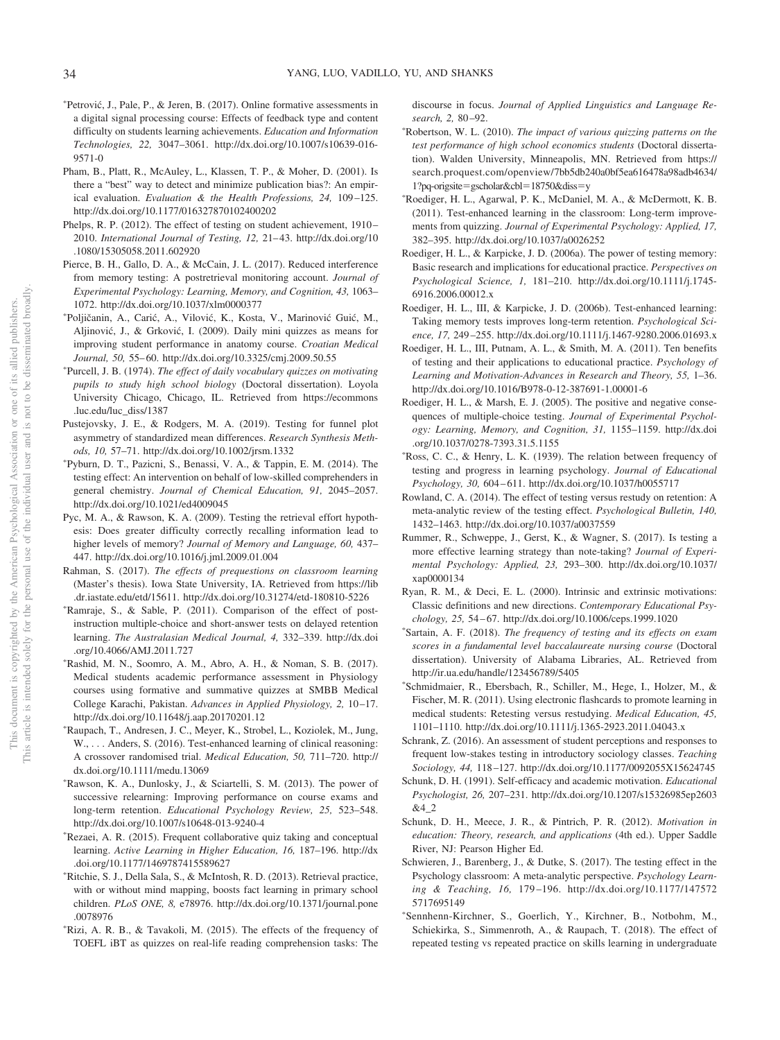- \*Petrović, J., Pale, P., & Jeren, B. (2017). Online formative assessments in a digital signal processing course: Effects of feedback type and content difficulty on students learning achievements. *Education and Information Technologies, 22,* 3047–3061. http://dx.doi.org/10.1007/s10639-016- 9571-0
- Pham, B., Platt, R., McAuley, L., Klassen, T. P., & Moher, D. (2001). Is there a "best" way to detect and minimize publication bias?: An empirical evaluation. *Evaluation & the Health Professions*, 24, 109-125. http://dx.doi.org/10.1177/016327870102400202
- Phelps, R. P. (2012). The effect of testing on student achievement, 1910– 2010. *International Journal of Testing, 12,* 21– 43. http://dx.doi.org/10 .1080/15305058.2011.602920
- Pierce, B. H., Gallo, D. A., & McCain, J. L. (2017). Reduced interference from memory testing: A postretrieval monitoring account. *Journal of Experimental Psychology: Learning, Memory, and Cognition, 43,* 1063– 1072. http://dx.doi.org/10.1037/xlm0000377
- \*Poljičanin, A., Carić, A., Vilović, K., Kosta, V., Marinović Guić, M., Aljinović, J., & Grković, I. (2009). Daily mini quizzes as means for improving student performance in anatomy course. *Croatian Medical Journal, 50,* 55– 60. http://dx.doi.org/10.3325/cmj.2009.50.55
- Purcell, J. B. (1974). *The effect of daily vocabulary quizzes on motivating pupils to study high school biology* (Doctoral dissertation). Loyola University Chicago, Chicago, IL. Retrieved from https://ecommons .luc.edu/luc\_diss/1387
- Pustejovsky, J. E., & Rodgers, M. A. (2019). Testing for funnel plot asymmetry of standardized mean differences. *Research Synthesis Methods, 10,* 57–71. http://dx.doi.org/10.1002/jrsm.1332
- Pyburn, D. T., Pazicni, S., Benassi, V. A., & Tappin, E. M. (2014). The testing effect: An intervention on behalf of low-skilled comprehenders in general chemistry. *Journal of Chemical Education, 91,* 2045–2057. http://dx.doi.org/10.1021/ed4009045
- Pyc, M. A., & Rawson, K. A. (2009). Testing the retrieval effort hypothesis: Does greater difficulty correctly recalling information lead to higher levels of memory? *Journal of Memory and Language, 60,* 437– 447. http://dx.doi.org/10.1016/j.jml.2009.01.004
- Rahman, S. (2017). *The effects of prequestions on classroom learning* (Master's thesis). Iowa State University, IA. Retrieved from https://lib .dr.iastate.edu/etd/15611. http://dx.doi.org/10.31274/etd-180810-5226
- -Ramraje, S., & Sable, P. (2011). Comparison of the effect of postinstruction multiple-choice and short-answer tests on delayed retention learning. *The Australasian Medical Journal, 4,* 332–339. http://dx.doi .org/10.4066/AMJ.2011.727
- -Rashid, M. N., Soomro, A. M., Abro, A. H., & Noman, S. B. (2017). Medical students academic performance assessment in Physiology courses using formative and summative quizzes at SMBB Medical College Karachi, Pakistan. *Advances in Applied Physiology, 2,* 10 –17. http://dx.doi.org/10.11648/j.aap.20170201.12
- -Raupach, T., Andresen, J. C., Meyer, K., Strobel, L., Koziolek, M., Jung, W., ... Anders, S. (2016). Test-enhanced learning of clinical reasoning: A crossover randomised trial. *Medical Education, 50,* 711–720. http:// dx.doi.org/10.1111/medu.13069
- -Rawson, K. A., Dunlosky, J., & Sciartelli, S. M. (2013). The power of successive relearning: Improving performance on course exams and long-term retention. *Educational Psychology Review, 25,* 523–548. http://dx.doi.org/10.1007/s10648-013-9240-4
- -Rezaei, A. R. (2015). Frequent collaborative quiz taking and conceptual learning. *Active Learning in Higher Education, 16,* 187–196. http://dx .doi.org/10.1177/1469787415589627
- -Ritchie, S. J., Della Sala, S., & McIntosh, R. D. (2013). Retrieval practice, with or without mind mapping, boosts fact learning in primary school children. *PLoS ONE, 8,* e78976. http://dx.doi.org/10.1371/journal.pone .0078976
- -Rizi, A. R. B., & Tavakoli, M. (2015). The effects of the frequency of TOEFL iBT as quizzes on real-life reading comprehension tasks: The

discourse in focus. *Journal of Applied Linguistics and Language Research, 2,* 80 –92.

- -Robertson, W. L. (2010). *The impact of various quizzing patterns on the test performance of high school economics students* (Doctoral dissertation). Walden University, Minneapolis, MN. Retrieved from https:// search.proquest.com/openview/7bb5db240a0bf5ea616478a98adb4634/ 1?pq-origsite=gscholar&cbl=18750&diss=y
- -Roediger, H. L., Agarwal, P. K., McDaniel, M. A., & McDermott, K. B. (2011). Test-enhanced learning in the classroom: Long-term improvements from quizzing. *Journal of Experimental Psychology: Applied, 17,* 382–395. http://dx.doi.org/10.1037/a0026252
- Roediger, H. L., & Karpicke, J. D. (2006a). The power of testing memory: Basic research and implications for educational practice. *Perspectives on Psychological Science, 1,* 181–210. http://dx.doi.org/10.1111/j.1745- 6916.2006.00012.x
- Roediger, H. L., III, & Karpicke, J. D. (2006b). Test-enhanced learning: Taking memory tests improves long-term retention. *Psychological Science, 17,* 249 –255. http://dx.doi.org/10.1111/j.1467-9280.2006.01693.x
- Roediger, H. L., III, Putnam, A. L., & Smith, M. A. (2011). Ten benefits of testing and their applications to educational practice. *Psychology of Learning and Motivation-Advances in Research and Theory, 55,* 1–36. http://dx.doi.org/10.1016/B978-0-12-387691-1.00001-6
- Roediger, H. L., & Marsh, E. J. (2005). The positive and negative consequences of multiple-choice testing. *Journal of Experimental Psychology: Learning, Memory, and Cognition, 31,* 1155–1159. http://dx.doi .org/10.1037/0278-7393.31.5.1155
- -Ross, C. C., & Henry, L. K. (1939). The relation between frequency of testing and progress in learning psychology. *Journal of Educational Psychology, 30,* 604 – 611. http://dx.doi.org/10.1037/h0055717
- Rowland, C. A. (2014). The effect of testing versus restudy on retention: A meta-analytic review of the testing effect. *Psychological Bulletin, 140,* 1432–1463. http://dx.doi.org/10.1037/a0037559
- Rummer, R., Schweppe, J., Gerst, K., & Wagner, S. (2017). Is testing a more effective learning strategy than note-taking? *Journal of Experimental Psychology: Applied, 23,* 293–300. http://dx.doi.org/10.1037/ xap0000134
- Ryan, R. M., & Deci, E. L. (2000). Intrinsic and extrinsic motivations: Classic definitions and new directions. *Contemporary Educational Psychology, 25,* 54 – 67. http://dx.doi.org/10.1006/ceps.1999.1020
- Sartain, A. F. (2018). *The frequency of testing and its effects on exam scores in a fundamental level baccalaureate nursing course* (Doctoral dissertation). University of Alabama Libraries, AL. Retrieved from http://ir.ua.edu/handle/123456789/5405
- Schmidmaier, R., Ebersbach, R., Schiller, M., Hege, I., Holzer, M., & Fischer, M. R. (2011). Using electronic flashcards to promote learning in medical students: Retesting versus restudying. *Medical Education, 45,* 1101–1110. http://dx.doi.org/10.1111/j.1365-2923.2011.04043.x
- Schrank, Z. (2016). An assessment of student perceptions and responses to frequent low-stakes testing in introductory sociology classes. *Teaching Sociology, 44,* 118 –127. http://dx.doi.org/10.1177/0092055X15624745
- Schunk, D. H. (1991). Self-efficacy and academic motivation. *Educational Psychologist, 26,* 207–231. http://dx.doi.org/10.1207/s15326985ep2603 &4\_2
- Schunk, D. H., Meece, J. R., & Pintrich, P. R. (2012). *Motivation in education: Theory, research, and applications* (4th ed.). Upper Saddle River, NJ: Pearson Higher Ed.
- Schwieren, J., Barenberg, J., & Dutke, S. (2017). The testing effect in the Psychology classroom: A meta-analytic perspective. *Psychology Learning & Teaching, 16,* 179 –196. http://dx.doi.org/10.1177/147572 5717695149
- Sennhenn-Kirchner, S., Goerlich, Y., Kirchner, B., Notbohm, M., Schiekirka, S., Simmenroth, A., & Raupach, T. (2018). The effect of repeated testing vs repeated practice on skills learning in undergraduate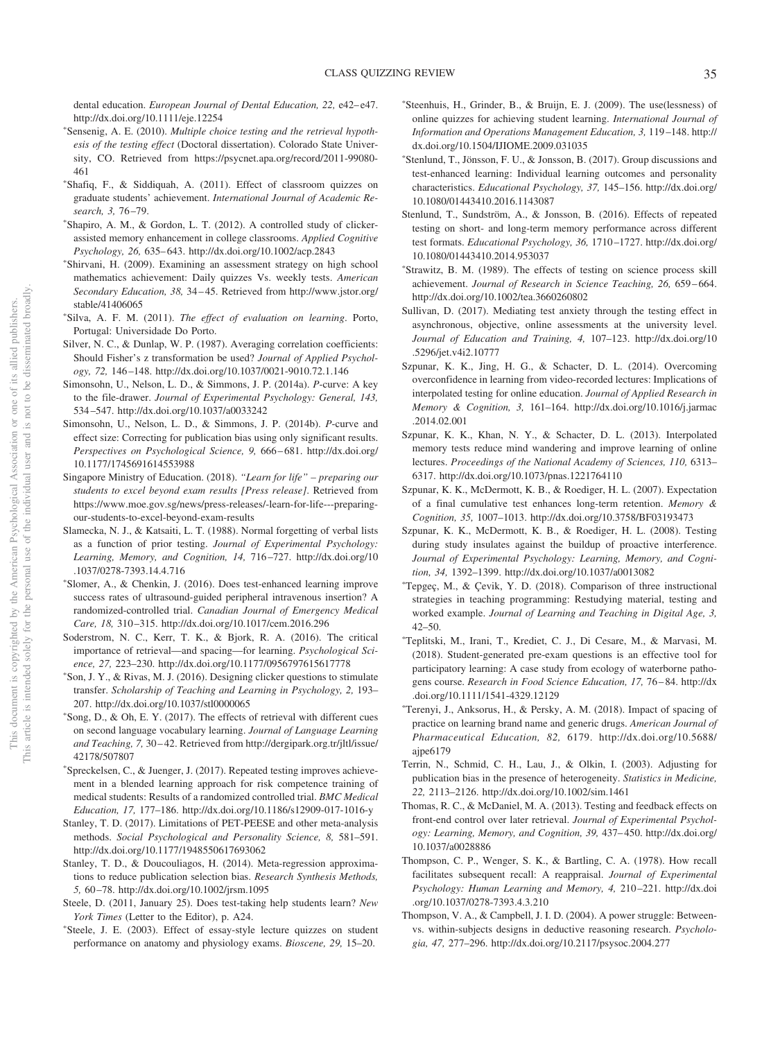dental education. *European Journal of Dental Education*, 22, e42-e47. http://dx.doi.org/10.1111/eje.12254

- Sensenig, A. E. (2010). *Multiple choice testing and the retrieval hypothesis of the testing effect* (Doctoral dissertation). Colorado State University, CO. Retrieved from https://psycnet.apa.org/record/2011-99080- 461
- Shafiq, F., & Siddiquah, A. (2011). Effect of classroom quizzes on graduate students' achievement. *International Journal of Academic Research, 3,* 76 –79.
- Shapiro, A. M., & Gordon, L. T. (2012). A controlled study of clickerassisted memory enhancement in college classrooms. *Applied Cognitive Psychology, 26,* 635– 643. http://dx.doi.org/10.1002/acp.2843
- Shirvani, H. (2009). Examining an assessment strategy on high school mathematics achievement: Daily quizzes Vs. weekly tests. *American Secondary Education, 38,* 34 – 45. Retrieved from http://www.jstor.org/ stable/41406065
- Silva, A. F. M. (2011). *The effect of evaluation on learning*. Porto, Portugal: Universidade Do Porto.
- Silver, N. C., & Dunlap, W. P. (1987). Averaging correlation coefficients: Should Fisher's z transformation be used? *Journal of Applied Psychology, 72,* 146 –148. http://dx.doi.org/10.1037/0021-9010.72.1.146
- Simonsohn, U., Nelson, L. D., & Simmons, J. P. (2014a). *P*-curve: A key to the file-drawer. *Journal of Experimental Psychology: General, 143,* 534 –547. http://dx.doi.org/10.1037/a0033242
- Simonsohn, U., Nelson, L. D., & Simmons, J. P. (2014b). *P*-curve and effect size: Correcting for publication bias using only significant results. *Perspectives on Psychological Science, 9,* 666 – 681. http://dx.doi.org/ 10.1177/1745691614553988
- Singapore Ministry of Education. (2018). *"Learn for life" preparing our students to excel beyond exam results [Press release]*. Retrieved from https://www.moe.gov.sg/news/press-releases/-learn-for-life---preparingour-students-to-excel-beyond-exam-results
- Slamecka, N. J., & Katsaiti, L. T. (1988). Normal forgetting of verbal lists as a function of prior testing. *Journal of Experimental Psychology: Learning, Memory, and Cognition, 14,* 716 –727. http://dx.doi.org/10 .1037/0278-7393.14.4.716
- Slomer, A., & Chenkin, J. (2016). Does test-enhanced learning improve success rates of ultrasound-guided peripheral intravenous insertion? A randomized-controlled trial. *Canadian Journal of Emergency Medical Care, 18,* 310 –315. http://dx.doi.org/10.1017/cem.2016.296
- Soderstrom, N. C., Kerr, T. K., & Bjork, R. A. (2016). The critical importance of retrieval—and spacing—for learning. *Psychological Science, 27,* 223–230. http://dx.doi.org/10.1177/0956797615617778
- Son, J. Y., & Rivas, M. J. (2016). Designing clicker questions to stimulate transfer. *Scholarship of Teaching and Learning in Psychology, 2,* 193– 207. http://dx.doi.org/10.1037/stl0000065
- Song, D., & Oh, E. Y. (2017). The effects of retrieval with different cues on second language vocabulary learning. *Journal of Language Learning and Teaching, 7,* 30 – 42. Retrieved from http://dergipark.org.tr/jltl/issue/ 42178/507807
- Spreckelsen, C., & Juenger, J. (2017). Repeated testing improves achievement in a blended learning approach for risk competence training of medical students: Results of a randomized controlled trial. *BMC Medical Education, 17,* 177–186. http://dx.doi.org/10.1186/s12909-017-1016-y
- Stanley, T. D. (2017). Limitations of PET-PEESE and other meta-analysis methods. *Social Psychological and Personality Science, 8,* 581–591. http://dx.doi.org/10.1177/1948550617693062
- Stanley, T. D., & Doucouliagos, H. (2014). Meta-regression approximations to reduce publication selection bias. *Research Synthesis Methods, 5,* 60 –78. http://dx.doi.org/10.1002/jrsm.1095
- Steele, D. (2011, January 25). Does test-taking help students learn? *New York Times* (Letter to the Editor), p. A24.
- Steele, J. E. (2003). Effect of essay-style lecture quizzes on student performance on anatomy and physiology exams. *Bioscene, 29,* 15–20.
- Steenhuis, H., Grinder, B., & Bruijn, E. J. (2009). The use(lessness) of online quizzes for achieving student learning. *International Journal of Information and Operations Management Education, 3,* 119 –148. http:// dx.doi.org/10.1504/IJIOME.2009.031035
- Stenlund, T., Jönsson, F. U., & Jonsson, B. (2017). Group discussions and test-enhanced learning: Individual learning outcomes and personality characteristics. *Educational Psychology, 37,* 145–156. http://dx.doi.org/ 10.1080/01443410.2016.1143087
- Stenlund, T., Sundström, A., & Jonsson, B. (2016). Effects of repeated testing on short- and long-term memory performance across different test formats. *Educational Psychology, 36,* 1710 –1727. http://dx.doi.org/ 10.1080/01443410.2014.953037
- Strawitz, B. M. (1989). The effects of testing on science process skill achievement. *Journal of Research in Science Teaching, 26,* 659 – 664. http://dx.doi.org/10.1002/tea.3660260802
- Sullivan, D. (2017). Mediating test anxiety through the testing effect in asynchronous, objective, online assessments at the university level. *Journal of Education and Training, 4,* 107–123. http://dx.doi.org/10 .5296/jet.v4i2.10777
- Szpunar, K. K., Jing, H. G., & Schacter, D. L. (2014). Overcoming overconfidence in learning from video-recorded lectures: Implications of interpolated testing for online education. *Journal of Applied Research in Memory & Cognition, 3,* 161–164. http://dx.doi.org/10.1016/j.jarmac .2014.02.001
- Szpunar, K. K., Khan, N. Y., & Schacter, D. L. (2013). Interpolated memory tests reduce mind wandering and improve learning of online lectures. *Proceedings of the National Academy of Sciences, 110,* 6313– 6317. http://dx.doi.org/10.1073/pnas.1221764110
- Szpunar, K. K., McDermott, K. B., & Roediger, H. L. (2007). Expectation of a final cumulative test enhances long-term retention. *Memory & Cognition, 35,* 1007–1013. http://dx.doi.org/10.3758/BF03193473
- Szpunar, K. K., McDermott, K. B., & Roediger, H. L. (2008). Testing during study insulates against the buildup of proactive interference. *Journal of Experimental Psychology: Learning, Memory, and Cognition, 34,* 1392–1399. http://dx.doi.org/10.1037/a0013082
- -Tepgeç, M., & Çevik, Y. D. (2018). Comparison of three instructional strategies in teaching programming: Restudying material, testing and worked example. *Journal of Learning and Teaching in Digital Age, 3,* 42–50.
- -Teplitski, M., Irani, T., Krediet, C. J., Di Cesare, M., & Marvasi, M. (2018). Student-generated pre-exam questions is an effective tool for participatory learning: A case study from ecology of waterborne pathogens course. *Research in Food Science Education, 17,* 76 – 84. http://dx .doi.org/10.1111/1541-4329.12129
- -Terenyi, J., Anksorus, H., & Persky, A. M. (2018). Impact of spacing of practice on learning brand name and generic drugs. *American Journal of Pharmaceutical Education, 82,* 6179. http://dx.doi.org/10.5688/ ajpe6179
- Terrin, N., Schmid, C. H., Lau, J., & Olkin, I. (2003). Adjusting for publication bias in the presence of heterogeneity. *Statistics in Medicine, 22,* 2113–2126. http://dx.doi.org/10.1002/sim.1461
- Thomas, R. C., & McDaniel, M. A. (2013). Testing and feedback effects on front-end control over later retrieval. *Journal of Experimental Psychology: Learning, Memory, and Cognition, 39,* 437– 450. http://dx.doi.org/ 10.1037/a0028886
- Thompson, C. P., Wenger, S. K., & Bartling, C. A. (1978). How recall facilitates subsequent recall: A reappraisal. *Journal of Experimental Psychology: Human Learning and Memory, 4,* 210 –221. http://dx.doi .org/10.1037/0278-7393.4.3.210
- Thompson, V. A., & Campbell, J. I. D. (2004). A power struggle: Betweenvs. within-subjects designs in deductive reasoning research. *Psychologia, 47,* 277–296. http://dx.doi.org/10.2117/psysoc.2004.277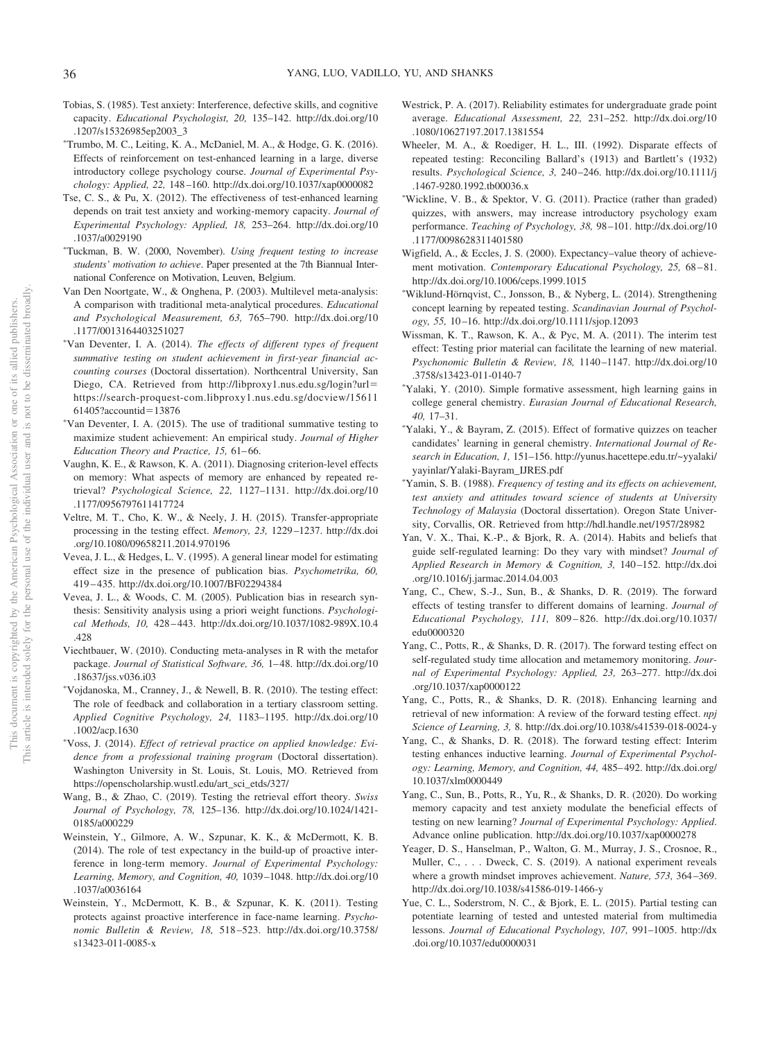- Tobias, S. (1985). Test anxiety: Interference, defective skills, and cognitive capacity. *Educational Psychologist, 20,* 135–142. http://dx.doi.org/10 .1207/s15326985ep2003\_3
- -Trumbo, M. C., Leiting, K. A., McDaniel, M. A., & Hodge, G. K. (2016). Effects of reinforcement on test-enhanced learning in a large, diverse introductory college psychology course. *Journal of Experimental Psychology: Applied, 22,* 148 –160. http://dx.doi.org/10.1037/xap0000082
- Tse, C. S., & Pu, X. (2012). The effectiveness of test-enhanced learning depends on trait test anxiety and working-memory capacity. *Journal of Experimental Psychology: Applied, 18,* 253–264. http://dx.doi.org/10 .1037/a0029190
- -Tuckman, B. W. (2000, November). *Using frequent testing to increase students' motivation to achieve*. Paper presented at the 7th Biannual International Conference on Motivation, Leuven, Belgium.
- Van Den Noortgate, W., & Onghena, P. (2003). Multilevel meta-analysis: A comparison with traditional meta-analytical procedures. *Educational and Psychological Measurement, 63,* 765–790. http://dx.doi.org/10 .1177/0013164403251027
- -Van Deventer, I. A. (2014). *The effects of different types of frequent summative testing on student achievement in first-year financial accounting courses* (Doctoral dissertation). Northcentral University, San Diego, CA. Retrieved from http://libproxy1.nus.edu.sg/login?url= https://search-proquest-com.libproxy1.nus.edu.sg/docview/15611 61405?accountid-13876
- -Van Deventer, I. A. (2015). The use of traditional summative testing to maximize student achievement: An empirical study. *Journal of Higher* Education Theory and Practice, 15, 61-66.
- Vaughn, K. E., & Rawson, K. A. (2011). Diagnosing criterion-level effects on memory: What aspects of memory are enhanced by repeated retrieval? *Psychological Science, 22,* 1127–1131. http://dx.doi.org/10 .1177/0956797611417724
- Veltre, M. T., Cho, K. W., & Neely, J. H. (2015). Transfer-appropriate processing in the testing effect. *Memory, 23,* 1229 –1237. http://dx.doi .org/10.1080/09658211.2014.970196
- Vevea, J. L., & Hedges, L. V. (1995). A general linear model for estimating effect size in the presence of publication bias. *Psychometrika, 60,* 419 – 435. http://dx.doi.org/10.1007/BF02294384
- Vevea, J. L., & Woods, C. M. (2005). Publication bias in research synthesis: Sensitivity analysis using a priori weight functions. *Psychological Methods, 10,* 428 – 443. http://dx.doi.org/10.1037/1082-989X.10.4 .428
- Viechtbauer, W. (2010). Conducting meta-analyses in R with the metafor package. *Journal of Statistical Software, 36,* 1– 48. http://dx.doi.org/10 .18637/jss.v036.i03
- -Vojdanoska, M., Cranney, J., & Newell, B. R. (2010). The testing effect: The role of feedback and collaboration in a tertiary classroom setting. *Applied Cognitive Psychology, 24,* 1183–1195. http://dx.doi.org/10 .1002/acp.1630
- -Voss, J. (2014). *Effect of retrieval practice on applied knowledge: Evidence from a professional training program* (Doctoral dissertation). Washington University in St. Louis, St. Louis, MO. Retrieved from https://openscholarship.wustl.edu/art\_sci\_etds/327/
- Wang, B., & Zhao, C. (2019). Testing the retrieval effort theory. *Swiss Journal of Psychology, 78,* 125–136. http://dx.doi.org/10.1024/1421- 0185/a000229
- Weinstein, Y., Gilmore, A. W., Szpunar, K. K., & McDermott, K. B. (2014). The role of test expectancy in the build-up of proactive interference in long-term memory. *Journal of Experimental Psychology: Learning, Memory, and Cognition, 40,* 1039 –1048. http://dx.doi.org/10 .1037/a0036164
- Weinstein, Y., McDermott, K. B., & Szpunar, K. K. (2011). Testing protects against proactive interference in face-name learning. *Psychonomic Bulletin & Review, 18,* 518 –523. http://dx.doi.org/10.3758/ s13423-011-0085-x
- Westrick, P. A. (2017). Reliability estimates for undergraduate grade point average. *Educational Assessment, 22,* 231–252. http://dx.doi.org/10 .1080/10627197.2017.1381554
- Wheeler, M. A., & Roediger, H. L., III. (1992). Disparate effects of repeated testing: Reconciling Ballard's (1913) and Bartlett's (1932) results. *Psychological Science, 3,* 240 –246. http://dx.doi.org/10.1111/j .1467-9280.1992.tb00036.x
- -Wickline, V. B., & Spektor, V. G. (2011). Practice (rather than graded) quizzes, with answers, may increase introductory psychology exam performance. *Teaching of Psychology, 38,* 98 –101. http://dx.doi.org/10 .1177/0098628311401580
- Wigfield, A., & Eccles, J. S. (2000). Expectancy–value theory of achievement motivation. *Contemporary Educational Psychology*, 25, 68-81. http://dx.doi.org/10.1006/ceps.1999.1015
- -Wiklund-Hörnqvist, C., Jonsson, B., & Nyberg, L. (2014). Strengthening concept learning by repeated testing. *Scandinavian Journal of Psychology, 55,* 10 –16. http://dx.doi.org/10.1111/sjop.12093
- Wissman, K. T., Rawson, K. A., & Pyc, M. A. (2011). The interim test effect: Testing prior material can facilitate the learning of new material. *Psychonomic Bulletin & Review, 18,* 1140 –1147. http://dx.doi.org/10 .3758/s13423-011-0140-7
- -Yalaki, Y. (2010). Simple formative assessment, high learning gains in college general chemistry. *Eurasian Journal of Educational Research, 40,* 17–31.
- -Yalaki, Y., & Bayram, Z. (2015). Effect of formative quizzes on teacher candidates' learning in general chemistry. *International Journal of Research in Education, 1,* 151–156. http://yunus.hacettepe.edu.tr/~yyalaki/ yayinlar/Yalaki-Bayram\_IJRES.pdf
- -Yamin, S. B. (1988). *Frequency of testing and its effects on achievement, test anxiety and attitudes toward science of students at University Technology of Malaysia* (Doctoral dissertation). Oregon State University, Corvallis, OR. Retrieved from http://hdl.handle.net/1957/28982
- Yan, V. X., Thai, K.-P., & Bjork, R. A. (2014). Habits and beliefs that guide self-regulated learning: Do they vary with mindset? *Journal of Applied Research in Memory & Cognition, 3,* 140 –152. http://dx.doi .org/10.1016/j.jarmac.2014.04.003
- Yang, C., Chew, S.-J., Sun, B., & Shanks, D. R. (2019). The forward effects of testing transfer to different domains of learning. *Journal of Educational Psychology, 111,* 809 – 826. http://dx.doi.org/10.1037/ edu0000320
- Yang, C., Potts, R., & Shanks, D. R. (2017). The forward testing effect on self-regulated study time allocation and metamemory monitoring. *Journal of Experimental Psychology: Applied, 23,* 263–277. http://dx.doi .org/10.1037/xap0000122
- Yang, C., Potts, R., & Shanks, D. R. (2018). Enhancing learning and retrieval of new information: A review of the forward testing effect. *npj Science of Learning, 3,* 8. http://dx.doi.org/10.1038/s41539-018-0024-y
- Yang, C., & Shanks, D. R. (2018). The forward testing effect: Interim testing enhances inductive learning. *Journal of Experimental Psychology: Learning, Memory, and Cognition, 44,* 485– 492. http://dx.doi.org/ 10.1037/xlm0000449
- Yang, C., Sun, B., Potts, R., Yu, R., & Shanks, D. R. (2020). Do working memory capacity and test anxiety modulate the beneficial effects of testing on new learning? *Journal of Experimental Psychology: Applied*. Advance online publication. http://dx.doi.org/10.1037/xap0000278
- Yeager, D. S., Hanselman, P., Walton, G. M., Murray, J. S., Crosnoe, R., Muller, C.,... Dweck, C. S. (2019). A national experiment reveals where a growth mindset improves achievement. *Nature, 573,* 364 –369. http://dx.doi.org/10.1038/s41586-019-1466-y
- Yue, C. L., Soderstrom, N. C., & Bjork, E. L. (2015). Partial testing can potentiate learning of tested and untested material from multimedia lessons. *Journal of Educational Psychology, 107,* 991–1005. http://dx .doi.org/10.1037/edu0000031